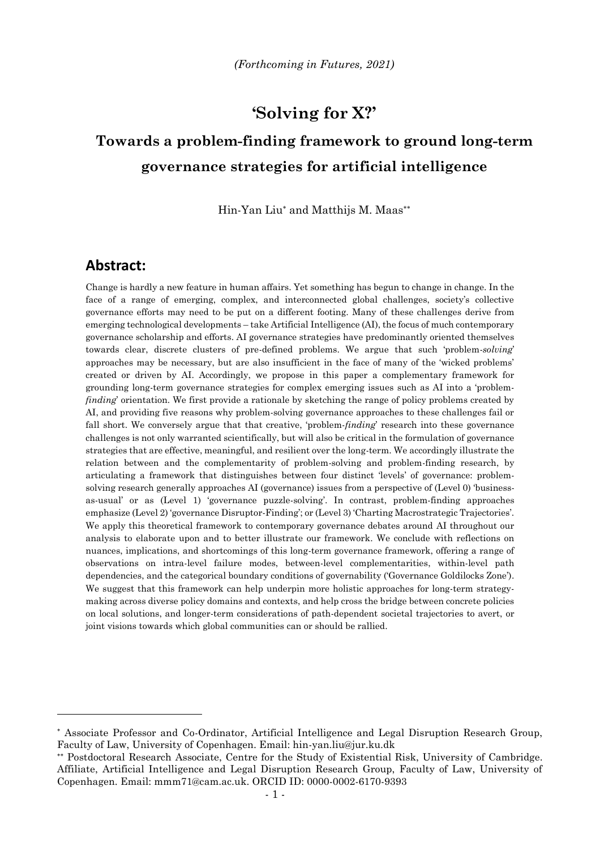## **'Solving for X?'**

# **Towards a problem-finding framework to ground long-term governance strategies for artificial intelligence**

Hin-Yan Liu\* and Matthijs M. Maas\*\*

### **Abstract:**

Change is hardly a new feature in human affairs. Yet something has begun to change in change. In the face of a range of emerging, complex, and interconnected global challenges, society's collective governance efforts may need to be put on a different footing. Many of these challenges derive from emerging technological developments – take Artificial Intelligence (AI), the focus of much contemporary governance scholarship and efforts. AI governance strategies have predominantly oriented themselves towards clear, discrete clusters of pre-defined problems. We argue that such 'problem-*solving*' approaches may be necessary, but are also insufficient in the face of many of the 'wicked problems' created or driven by AI. Accordingly, we propose in this paper a complementary framework for grounding long-term governance strategies for complex emerging issues such as AI into a 'problem*finding*' orientation. We first provide a rationale by sketching the range of policy problems created by AI, and providing five reasons why problem-solving governance approaches to these challenges fail or fall short. We conversely argue that that creative, 'problem-*finding*' research into these governance challenges is not only warranted scientifically, but will also be critical in the formulation of governance strategies that are effective, meaningful, and resilient over the long-term. We accordingly illustrate the relation between and the complementarity of problem-solving and problem-finding research, by articulating a framework that distinguishes between four distinct 'levels' of governance: problemsolving research generally approaches AI (governance) issues from a perspective of (Level 0) 'businessas-usual' or as (Level 1) 'governance puzzle-solving'. In contrast, problem-finding approaches emphasize (Level 2) 'governance Disruptor-Finding'; or (Level 3) 'Charting Macrostrategic Trajectories'. We apply this theoretical framework to contemporary governance debates around AI throughout our analysis to elaborate upon and to better illustrate our framework. We conclude with reflections on nuances, implications, and shortcomings of this long-term governance framework, offering a range of observations on intra-level failure modes, between-level complementarities, within-level path dependencies, and the categorical boundary conditions of governability ('Governance Goldilocks Zone'). We suggest that this framework can help underpin more holistic approaches for long-term strategymaking across diverse policy domains and contexts, and help cross the bridge between concrete policies on local solutions, and longer-term considerations of path-dependent societal trajectories to avert, or joint visions towards which global communities can or should be rallied.

Associate Professor and Co-Ordinator, Artificial Intelligence and Legal Disruption Research Group, Faculty of Law, University of Copenhagen. Email: hin-yan.liu@jur.ku.dk

Postdoctoral Research Associate, Centre for the Study of Existential Risk, University of Cambridge. Affiliate, Artificial Intelligence and Legal Disruption Research Group, Faculty of Law, University of Copenhagen. Email: mmm71@cam.ac.uk. ORCID ID: 0000-0002-6170-9393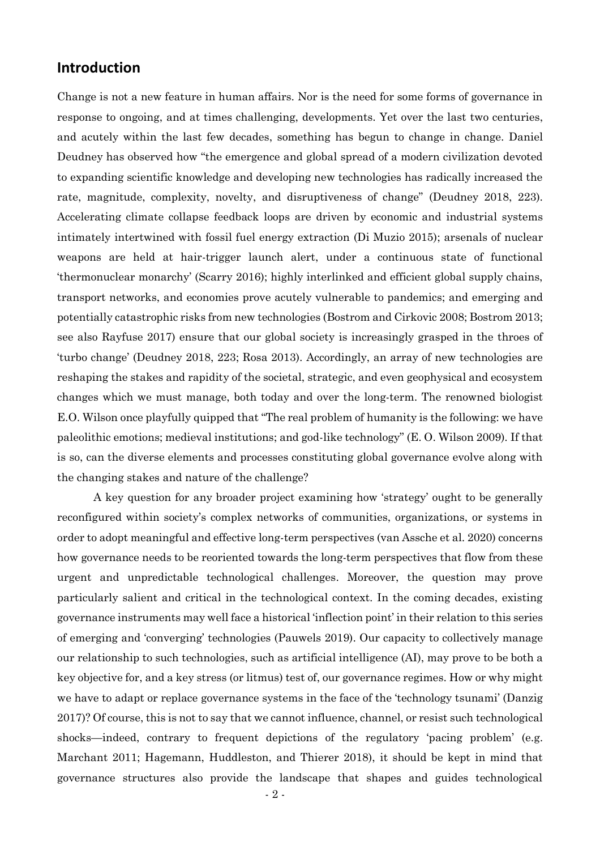### **Introduction**

Change is not a new feature in human affairs. Nor is the need for some forms of governance in response to ongoing, and at times challenging, developments. Yet over the last two centuries, and acutely within the last few decades, something has begun to change in change. Daniel Deudney has observed how "the emergence and global spread of a modern civilization devoted to expanding scientific knowledge and developing new technologies has radically increased the rate, magnitude, complexity, novelty, and disruptiveness of change" (Deudney 2018, 223). Accelerating climate collapse feedback loops are driven by economic and industrial systems intimately intertwined with fossil fuel energy extraction (Di Muzio 2015); arsenals of nuclear weapons are held at hair-trigger launch alert, under a continuous state of functional 'thermonuclear monarchy' (Scarry 2016); highly interlinked and efficient global supply chains, transport networks, and economies prove acutely vulnerable to pandemics; and emerging and potentially catastrophic risks from new technologies (Bostrom and Cirkovic 2008; Bostrom 2013; see also Rayfuse 2017) ensure that our global society is increasingly grasped in the throes of 'turbo change' (Deudney 2018, 223; Rosa 2013). Accordingly, an array of new technologies are reshaping the stakes and rapidity of the societal, strategic, and even geophysical and ecosystem changes which we must manage, both today and over the long-term. The renowned biologist E.O. Wilson once playfully quipped that "The real problem of humanity is the following: we have paleolithic emotions; medieval institutions; and god-like technology" (E. O. Wilson 2009)*.* If that is so, can the diverse elements and processes constituting global governance evolve along with the changing stakes and nature of the challenge?

A key question for any broader project examining how 'strategy' ought to be generally reconfigured within society's complex networks of communities, organizations, or systems in order to adopt meaningful and effective long-term perspectives (van Assche et al. 2020) concerns how governance needs to be reoriented towards the long-term perspectives that flow from these urgent and unpredictable technological challenges. Moreover, the question may prove particularly salient and critical in the technological context. In the coming decades, existing governance instruments may well face a historical 'inflection point' in their relation to this series of emerging and 'converging' technologies (Pauwels 2019). Our capacity to collectively manage our relationship to such technologies, such as artificial intelligence (AI), may prove to be both a key objective for, and a key stress (or litmus) test of, our governance regimes. How or why might we have to adapt or replace governance systems in the face of the 'technology tsunami' (Danzig 2017)? Of course, this is not to say that we cannot influence, channel, or resist such technological shocks—indeed, contrary to frequent depictions of the regulatory 'pacing problem' (e.g. Marchant 2011; Hagemann, Huddleston, and Thierer 2018), it should be kept in mind that governance structures also provide the landscape that shapes and guides technological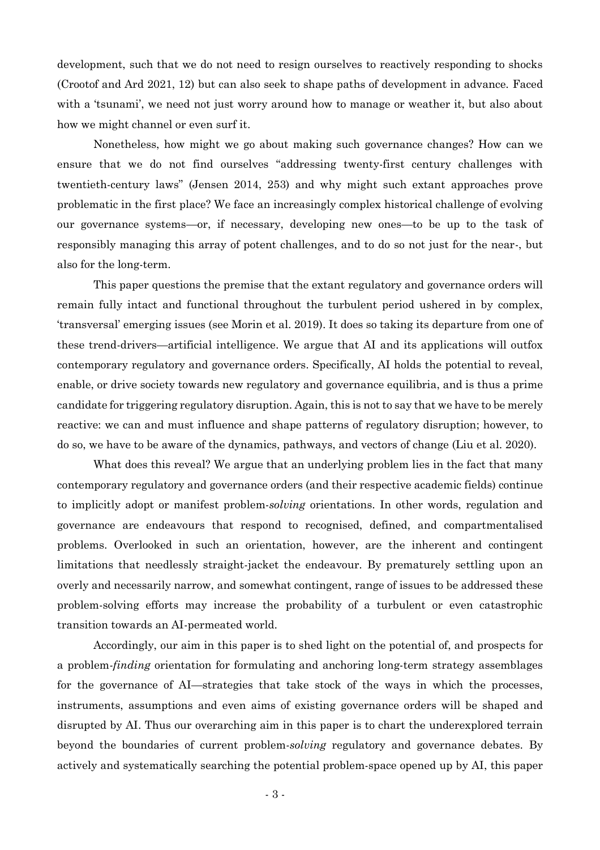development, such that we do not need to resign ourselves to reactively responding to shocks (Crootof and Ard 2021, 12) but can also seek to shape paths of development in advance. Faced with a 'tsunami', we need not just worry around how to manage or weather it, but also about how we might channel or even surf it.

Nonetheless, how might we go about making such governance changes? How can we ensure that we do not find ourselves "addressing twenty-first century challenges with twentieth-century laws" (Jensen 2014, 253) and why might such extant approaches prove problematic in the first place? We face an increasingly complex historical challenge of evolving our governance systems—or, if necessary, developing new ones—to be up to the task of responsibly managing this array of potent challenges, and to do so not just for the near-, but also for the long-term.

This paper questions the premise that the extant regulatory and governance orders will remain fully intact and functional throughout the turbulent period ushered in by complex, 'transversal' emerging issues (see Morin et al. 2019). It does so taking its departure from one of these trend-drivers—artificial intelligence. We argue that AI and its applications will outfox contemporary regulatory and governance orders. Specifically, AI holds the potential to reveal, enable, or drive society towards new regulatory and governance equilibria, and is thus a prime candidate for triggering regulatory disruption. Again, this is not to say that we have to be merely reactive: we can and must influence and shape patterns of regulatory disruption; however, to do so, we have to be aware of the dynamics, pathways, and vectors of change (Liu et al. 2020).

What does this reveal? We argue that an underlying problem lies in the fact that many contemporary regulatory and governance orders (and their respective academic fields) continue to implicitly adopt or manifest problem-*solving* orientations. In other words, regulation and governance are endeavours that respond to recognised, defined, and compartmentalised problems. Overlooked in such an orientation, however, are the inherent and contingent limitations that needlessly straight-jacket the endeavour. By prematurely settling upon an overly and necessarily narrow, and somewhat contingent, range of issues to be addressed these problem-solving efforts may increase the probability of a turbulent or even catastrophic transition towards an AI-permeated world.

Accordingly, our aim in this paper is to shed light on the potential of, and prospects for a problem*-finding* orientation for formulating and anchoring long-term strategy assemblages for the governance of AI—strategies that take stock of the ways in which the processes, instruments, assumptions and even aims of existing governance orders will be shaped and disrupted by AI. Thus our overarching aim in this paper is to chart the underexplored terrain beyond the boundaries of current problem*-solving* regulatory and governance debates. By actively and systematically searching the potential problem-space opened up by AI, this paper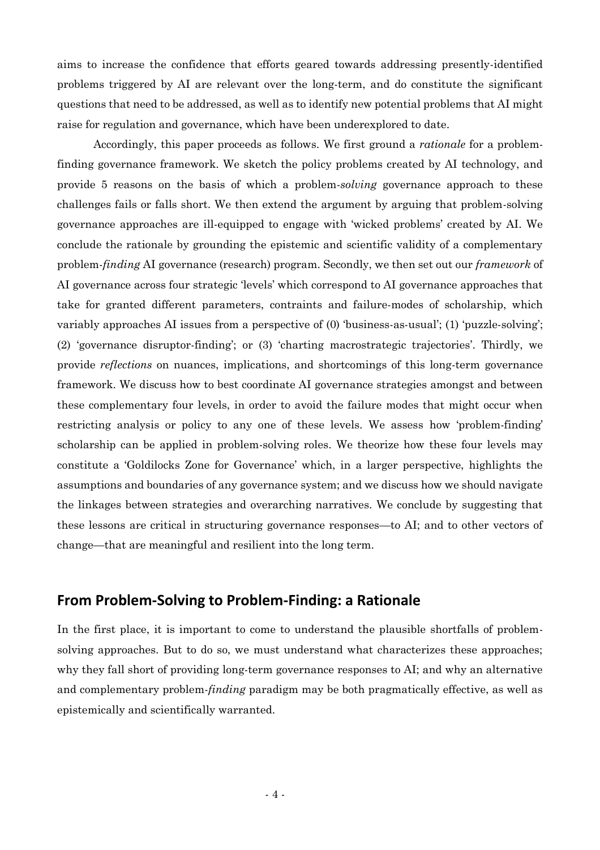aims to increase the confidence that efforts geared towards addressing presently-identified problems triggered by AI are relevant over the long-term, and do constitute the significant questions that need to be addressed, as well as to identify new potential problems that AI might raise for regulation and governance, which have been underexplored to date.

Accordingly, this paper proceeds as follows. We first ground a *rationale* for a problemfinding governance framework. We sketch the policy problems created by AI technology, and provide 5 reasons on the basis of which a problem-*solving* governance approach to these challenges fails or falls short. We then extend the argument by arguing that problem-solving governance approaches are ill-equipped to engage with 'wicked problems' created by AI. We conclude the rationale by grounding the epistemic and scientific validity of a complementary problem-*finding* AI governance (research) program. Secondly, we then set out our *framework* of AI governance across four strategic 'levels' which correspond to AI governance approaches that take for granted different parameters, contraints and failure-modes of scholarship, which variably approaches AI issues from a perspective of (0) 'business-as-usual'; (1) 'puzzle-solving'; (2) 'governance disruptor-finding'; or (3) 'charting macrostrategic trajectories'. Thirdly, we provide *reflections* on nuances, implications, and shortcomings of this long-term governance framework. We discuss how to best coordinate AI governance strategies amongst and between these complementary four levels, in order to avoid the failure modes that might occur when restricting analysis or policy to any one of these levels. We assess how 'problem-finding' scholarship can be applied in problem-solving roles. We theorize how these four levels may constitute a 'Goldilocks Zone for Governance' which, in a larger perspective, highlights the assumptions and boundaries of any governance system; and we discuss how we should navigate the linkages between strategies and overarching narratives. We conclude by suggesting that these lessons are critical in structuring governance responses—to AI; and to other vectors of change—that are meaningful and resilient into the long term.

### **From Problem-Solving to Problem-Finding: a Rationale**

In the first place, it is important to come to understand the plausible shortfalls of problemsolving approaches. But to do so, we must understand what characterizes these approaches; why they fall short of providing long-term governance responses to AI; and why an alternative and complementary problem-*finding* paradigm may be both pragmatically effective, as well as epistemically and scientifically warranted.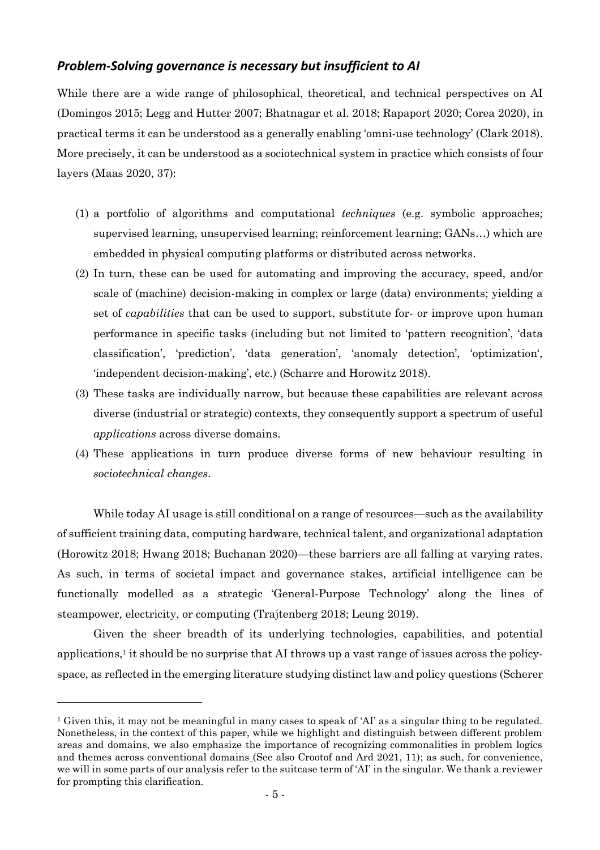### *Problem-Solving governance is necessary but insufficient to AI*

While there are a wide range of philosophical, theoretical, and technical perspectives on AI (Domingos 2015; Legg and Hutter 2007; Bhatnagar et al. 2018; Rapaport 2020; Corea 2020), in practical terms it can be understood as a generally enabling 'omni-use technology' (Clark 2018). More precisely, it can be understood as a sociotechnical system in practice which consists of four layers (Maas 2020, 37):

- (1) a portfolio of algorithms and computational *techniques* (e.g. symbolic approaches; supervised learning, unsupervised learning; reinforcement learning; GANs…) which are embedded in physical computing platforms or distributed across networks.
- (2) In turn, these can be used for automating and improving the accuracy, speed, and/or scale of (machine) decision-making in complex or large (data) environments; yielding a set of *capabilities* that can be used to support, substitute for- or improve upon human performance in specific tasks (including but not limited to 'pattern recognition', 'data classification', 'prediction', 'data generation', 'anomaly detection', 'optimization', 'independent decision-making', etc.) (Scharre and Horowitz 2018).
- (3) These tasks are individually narrow, but because these capabilities are relevant across diverse (industrial or strategic) contexts, they consequently support a spectrum of useful *applications* across diverse domains.
- (4) These applications in turn produce diverse forms of new behaviour resulting in *sociotechnical changes*.

While today AI usage is still conditional on a range of resources—such as the availability of sufficient training data, computing hardware, technical talent, and organizational adaptation (Horowitz 2018; Hwang 2018; Buchanan 2020)—these barriers are all falling at varying rates. As such, in terms of societal impact and governance stakes, artificial intelligence can be functionally modelled as a strategic 'General-Purpose Technology' along the lines of steampower, electricity, or computing (Trajtenberg 2018; Leung 2019).

Given the sheer breadth of its underlying technologies, capabilities, and potential applications, 1 it should be no surprise that AI throws up a vast range of issues across the policyspace, as reflected in the emerging literature studying distinct law and policy questions (Scherer

<sup>1</sup> Given this, it may not be meaningful in many cases to speak of 'AI' as a singular thing to be regulated. Nonetheless, in the context of this paper, while we highlight and distinguish between different problem areas and domains, we also emphasize the importance of recognizing commonalities in problem logics and themes across conventional domains (See also Crootof and Ard 2021, 11); as such, for convenience, we will in some parts of our analysis refer to the suitcase term of 'AI' in the singular. We thank a reviewer for prompting this clarification.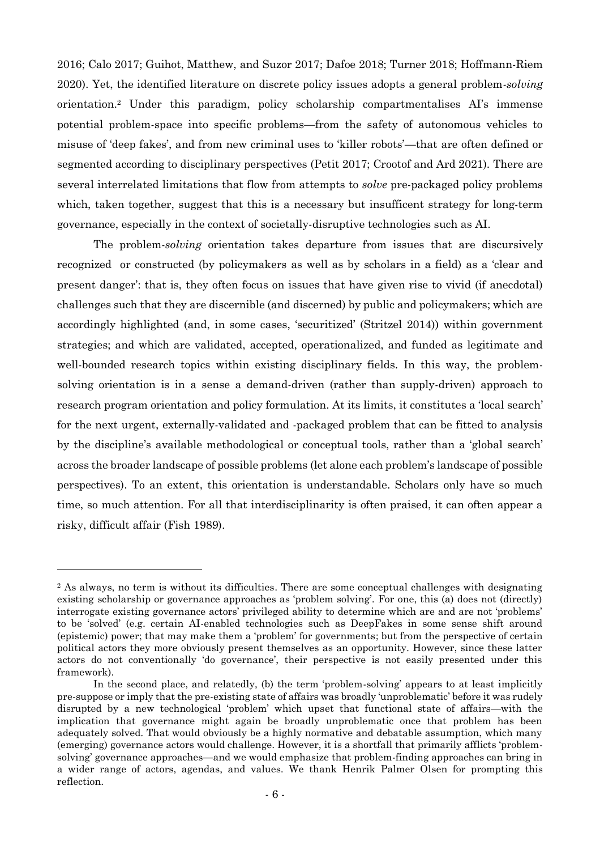2016; Calo 2017; Guihot, Matthew, and Suzor 2017; Dafoe 2018; Turner 2018; Hoffmann-Riem 2020). Yet, the identified literature on discrete policy issues adopts a general problem*-solving*  orientation. <sup>2</sup> Under this paradigm, policy scholarship compartmentalises AI's immense potential problem-space into specific problems—from the safety of autonomous vehicles to misuse of 'deep fakes', and from new criminal uses to 'killer robots'—that are often defined or segmented according to disciplinary perspectives (Petit 2017; Crootof and Ard 2021)*.* There are several interrelated limitations that flow from attempts to *solve* pre-packaged policy problems which, taken together, suggest that this is a necessary but insufficent strategy for long-term governance, especially in the context of societally-disruptive technologies such as AI.

The problem-*solving* orientation takes departure from issues that are discursively recognized or constructed (by policymakers as well as by scholars in a field) as a 'clear and present danger': that is, they often focus on issues that have given rise to vivid (if anecdotal) challenges such that they are discernible (and discerned) by public and policymakers; which are accordingly highlighted (and, in some cases, 'securitized' (Stritzel 2014)) within government strategies; and which are validated, accepted, operationalized, and funded as legitimate and well-bounded research topics within existing disciplinary fields. In this way, the problemsolving orientation is in a sense a demand-driven (rather than supply-driven) approach to research program orientation and policy formulation. At its limits, it constitutes a 'local search' for the next urgent, externally-validated and -packaged problem that can be fitted to analysis by the discipline's available methodological or conceptual tools, rather than a 'global search' across the broader landscape of possible problems (let alone each problem's landscape of possible perspectives). To an extent, this orientation is understandable. Scholars only have so much time, so much attention. For all that interdisciplinarity is often praised, it can often appear a risky, difficult affair (Fish 1989).

<sup>2</sup> As always, no term is without its difficulties. There are some conceptual challenges with designating existing scholarship or governance approaches as 'problem solving'. For one, this (a) does not (directly) interrogate existing governance actors' privileged ability to determine which are and are not 'problems' to be 'solved' (e.g. certain AI-enabled technologies such as DeepFakes in some sense shift around (epistemic) power; that may make them a 'problem' for governments; but from the perspective of certain political actors they more obviously present themselves as an opportunity. However, since these latter actors do not conventionally 'do governance', their perspective is not easily presented under this framework).

In the second place, and relatedly, (b) the term 'problem-solving' appears to at least implicitly pre-suppose or imply that the pre-existing state of affairs was broadly 'unproblematic' before it was rudely disrupted by a new technological 'problem' which upset that functional state of affairs—with the implication that governance might again be broadly unproblematic once that problem has been adequately solved. That would obviously be a highly normative and debatable assumption, which many (emerging) governance actors would challenge. However, it is a shortfall that primarily afflicts 'problemsolving' governance approaches—and we would emphasize that problem-finding approaches can bring in a wider range of actors, agendas, and values. We thank Henrik Palmer Olsen for prompting this reflection.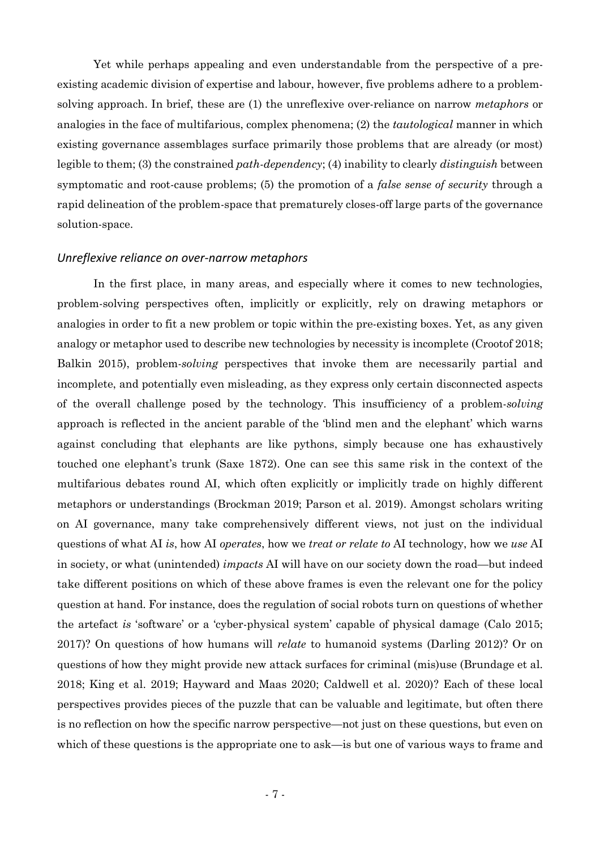Yet while perhaps appealing and even understandable from the perspective of a preexisting academic division of expertise and labour, however, five problems adhere to a problemsolving approach. In brief, these are (1) the unreflexive over-reliance on narrow *metaphors* or analogies in the face of multifarious, complex phenomena; (2) the *tautological* manner in which existing governance assemblages surface primarily those problems that are already (or most) legible to them; (3) the constrained *path-dependency*; (4) inability to clearly *distinguish* between symptomatic and root-cause problems; (5) the promotion of a *false sense of security* through a rapid delineation of the problem-space that prematurely closes-off large parts of the governance solution-space.

#### *Unreflexive reliance on over-narrow metaphors*

In the first place, in many areas, and especially where it comes to new technologies, problem-solving perspectives often, implicitly or explicitly, rely on drawing metaphors or analogies in order to fit a new problem or topic within the pre-existing boxes. Yet, as any given analogy or metaphor used to describe new technologies by necessity is incomplete (Crootof 2018; Balkin 2015), problem-*solving* perspectives that invoke them are necessarily partial and incomplete, and potentially even misleading, as they express only certain disconnected aspects of the overall challenge posed by the technology. This insufficiency of a problem-*solving*  approach is reflected in the ancient parable of the 'blind men and the elephant' which warns against concluding that elephants are like pythons, simply because one has exhaustively touched one elephant's trunk (Saxe 1872). One can see this same risk in the context of the multifarious debates round AI, which often explicitly or implicitly trade on highly different metaphors or understandings (Brockman 2019; Parson et al. 2019). Amongst scholars writing on AI governance, many take comprehensively different views, not just on the individual questions of what AI *is*, how AI *operates*, how we *treat or relate to* AI technology, how we *use* AI in society, or what (unintended) *impacts* AI will have on our society down the road—but indeed take different positions on which of these above frames is even the relevant one for the policy question at hand. For instance, does the regulation of social robots turn on questions of whether the artefact *is* 'software' or a 'cyber-physical system' capable of physical damage (Calo 2015; 2017)? On questions of how humans will *relate* to humanoid systems (Darling 2012)? Or on questions of how they might provide new attack surfaces for criminal (mis)use (Brundage et al. 2018; King et al. 2019; Hayward and Maas 2020; Caldwell et al. 2020)? Each of these local perspectives provides pieces of the puzzle that can be valuable and legitimate, but often there is no reflection on how the specific narrow perspective—not just on these questions, but even on which of these questions is the appropriate one to ask—is but one of various ways to frame and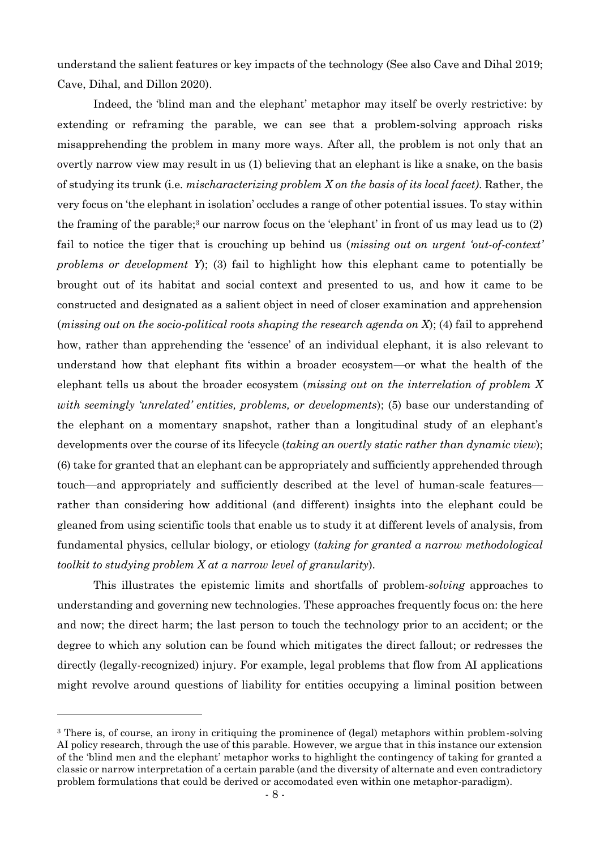understand the salient features or key impacts of the technology (See also Cave and Dihal 2019; Cave, Dihal, and Dillon 2020).

Indeed, the 'blind man and the elephant' metaphor may itself be overly restrictive: by extending or reframing the parable, we can see that a problem-solving approach risks misapprehending the problem in many more ways. After all, the problem is not only that an overtly narrow view may result in us (1) believing that an elephant is like a snake, on the basis of studying its trunk (i.e. *mischaracterizing problem X on the basis of its local facet)*. Rather, the very focus on 'the elephant in isolation' occludes a range of other potential issues. To stay within the framing of the parable;<sup>3</sup> our narrow focus on the 'elephant' in front of us may lead us to  $(2)$ fail to notice the tiger that is crouching up behind us (*missing out on urgent 'out-of-context' problems or development Y*); (3) fail to highlight how this elephant came to potentially be brought out of its habitat and social context and presented to us, and how it came to be constructed and designated as a salient object in need of closer examination and apprehension (*missing out on the socio-political roots shaping the research agenda on X*); (4) fail to apprehend how, rather than apprehending the 'essence' of an individual elephant, it is also relevant to understand how that elephant fits within a broader ecosystem—or what the health of the elephant tells us about the broader ecosystem (*missing out on the interrelation of problem X with seemingly 'unrelated' entities, problems, or developments*); (5) base our understanding of the elephant on a momentary snapshot, rather than a longitudinal study of an elephant's developments over the course of its lifecycle (*taking an overtly static rather than dynamic view*); (6) take for granted that an elephant can be appropriately and sufficiently apprehended through touch—and appropriately and sufficiently described at the level of human-scale features rather than considering how additional (and different) insights into the elephant could be gleaned from using scientific tools that enable us to study it at different levels of analysis, from fundamental physics, cellular biology, or etiology (*taking for granted a narrow methodological toolkit to studying problem X at a narrow level of granularity*).

This illustrates the epistemic limits and shortfalls of problem-*solving* approaches to understanding and governing new technologies. These approaches frequently focus on: the here and now; the direct harm; the last person to touch the technology prior to an accident; or the degree to which any solution can be found which mitigates the direct fallout; or redresses the directly (legally-recognized) injury. For example, legal problems that flow from AI applications might revolve around questions of liability for entities occupying a liminal position between

<sup>&</sup>lt;sup>3</sup> There is, of course, an irony in critiquing the prominence of (legal) metaphors within problem-solving AI policy research, through the use of this parable. However, we argue that in this instance our extension of the 'blind men and the elephant' metaphor works to highlight the contingency of taking for granted a classic or narrow interpretation of a certain parable (and the diversity of alternate and even contradictory problem formulations that could be derived or accomodated even within one metaphor-paradigm).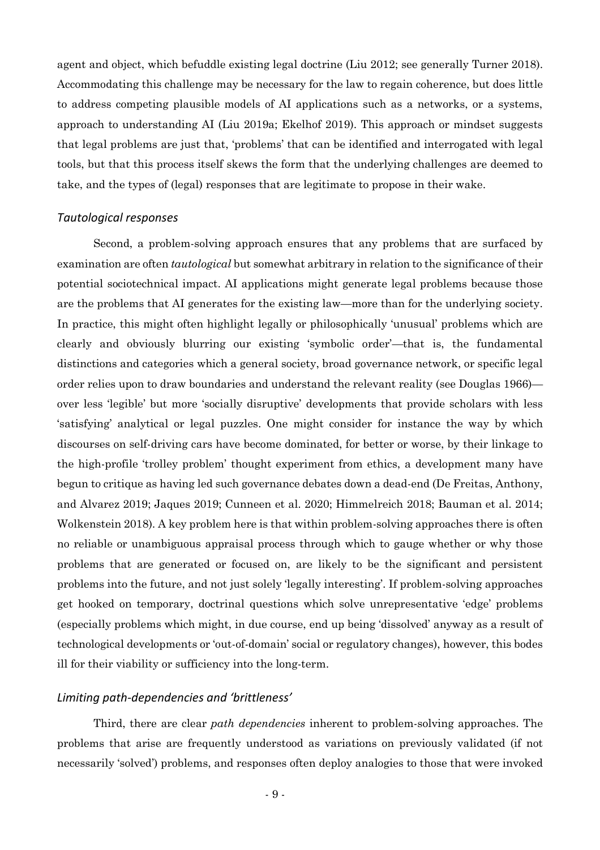agent and object, which befuddle existing legal doctrine (Liu 2012; see generally Turner 2018). Accommodating this challenge may be necessary for the law to regain coherence, but does little to address competing plausible models of AI applications such as a networks, or a systems, approach to understanding AI (Liu 2019a; Ekelhof 2019). This approach or mindset suggests that legal problems are just that, 'problems' that can be identified and interrogated with legal tools, but that this process itself skews the form that the underlying challenges are deemed to take, and the types of (legal) responses that are legitimate to propose in their wake.

#### *Tautological responses*

Second, a problem-solving approach ensures that any problems that are surfaced by examination are often *tautological* but somewhat arbitrary in relation to the significance of their potential sociotechnical impact. AI applications might generate legal problems because those are the problems that AI generates for the existing law—more than for the underlying society. In practice, this might often highlight legally or philosophically 'unusual' problems which are clearly and obviously blurring our existing 'symbolic order'—that is, the fundamental distinctions and categories which a general society, broad governance network, or specific legal order relies upon to draw boundaries and understand the relevant reality (see Douglas 1966) over less 'legible' but more 'socially disruptive' developments that provide scholars with less 'satisfying' analytical or legal puzzles. One might consider for instance the way by which discourses on self-driving cars have become dominated, for better or worse, by their linkage to the high-profile 'trolley problem' thought experiment from ethics, a development many have begun to critique as having led such governance debates down a dead-end (De Freitas, Anthony, and Alvarez 2019; Jaques 2019; Cunneen et al. 2020; Himmelreich 2018; Bauman et al. 2014; Wolkenstein 2018). A key problem here is that within problem-solving approaches there is often no reliable or unambiguous appraisal process through which to gauge whether or why those problems that are generated or focused on, are likely to be the significant and persistent problems into the future, and not just solely 'legally interesting'. If problem-solving approaches get hooked on temporary, doctrinal questions which solve unrepresentative 'edge' problems (especially problems which might, in due course, end up being 'dissolved' anyway as a result of technological developments or 'out-of-domain' social or regulatory changes), however, this bodes ill for their viability or sufficiency into the long-term.

#### *Limiting path-dependencies and 'brittleness'*

Third, there are clear *path dependencies* inherent to problem-solving approaches. The problems that arise are frequently understood as variations on previously validated (if not necessarily 'solved') problems, and responses often deploy analogies to those that were invoked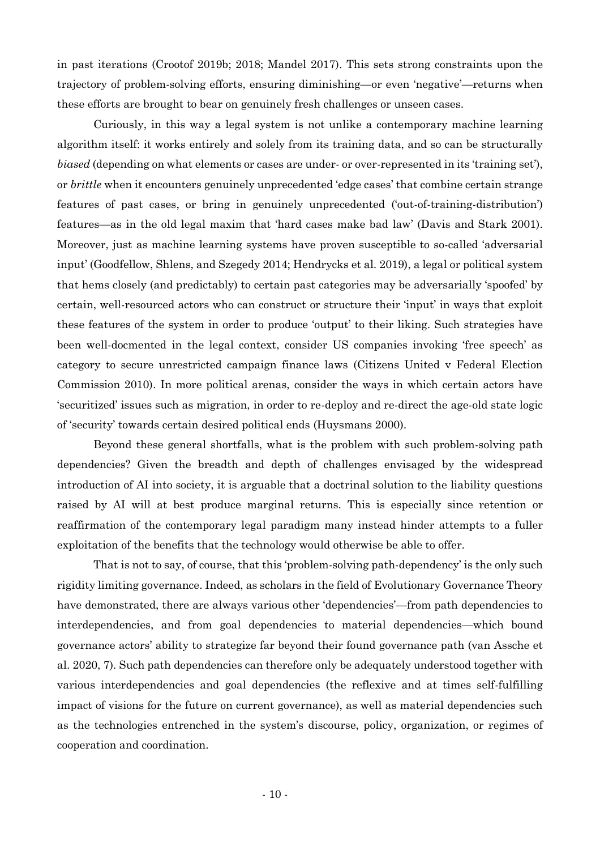in past iterations (Crootof 2019b; 2018; Mandel 2017). This sets strong constraints upon the trajectory of problem-solving efforts, ensuring diminishing—or even 'negative'—returns when these efforts are brought to bear on genuinely fresh challenges or unseen cases.

Curiously, in this way a legal system is not unlike a contemporary machine learning algorithm itself: it works entirely and solely from its training data, and so can be structurally *biased* (depending on what elements or cases are under- or over-represented in its 'training set'), or *brittle* when it encounters genuinely unprecedented 'edge cases' that combine certain strange features of past cases, or bring in genuinely unprecedented ('out-of-training-distribution') features—as in the old legal maxim that 'hard cases make bad law' (Davis and Stark 2001). Moreover, just as machine learning systems have proven susceptible to so-called 'adversarial input' (Goodfellow, Shlens, and Szegedy 2014; Hendrycks et al. 2019), a legal or political system that hems closely (and predictably) to certain past categories may be adversarially 'spoofed' by certain, well-resourced actors who can construct or structure their 'input' in ways that exploit these features of the system in order to produce 'output' to their liking. Such strategies have been well-docmented in the legal context, consider US companies invoking 'free speech' as category to secure unrestricted campaign finance laws (Citizens United v Federal Election Commission 2010). In more political arenas, consider the ways in which certain actors have 'securitized' issues such as migration, in order to re-deploy and re-direct the age-old state logic of 'security' towards certain desired political ends (Huysmans 2000).

Beyond these general shortfalls, what is the problem with such problem-solving path dependencies? Given the breadth and depth of challenges envisaged by the widespread introduction of AI into society, it is arguable that a doctrinal solution to the liability questions raised by AI will at best produce marginal returns. This is especially since retention or reaffirmation of the contemporary legal paradigm many instead hinder attempts to a fuller exploitation of the benefits that the technology would otherwise be able to offer.

That is not to say, of course, that this 'problem-solving path-dependency' is the only such rigidity limiting governance. Indeed, as scholars in the field of Evolutionary Governance Theory have demonstrated, there are always various other 'dependencies'—from path dependencies to interdependencies, and from goal dependencies to material dependencies—which bound governance actors' ability to strategize far beyond their found governance path (van Assche et al. 2020, 7). Such path dependencies can therefore only be adequately understood together with various interdependencies and goal dependencies (the reflexive and at times self-fulfilling impact of visions for the future on current governance), as well as material dependencies such as the technologies entrenched in the system's discourse, policy, organization, or regimes of cooperation and coordination.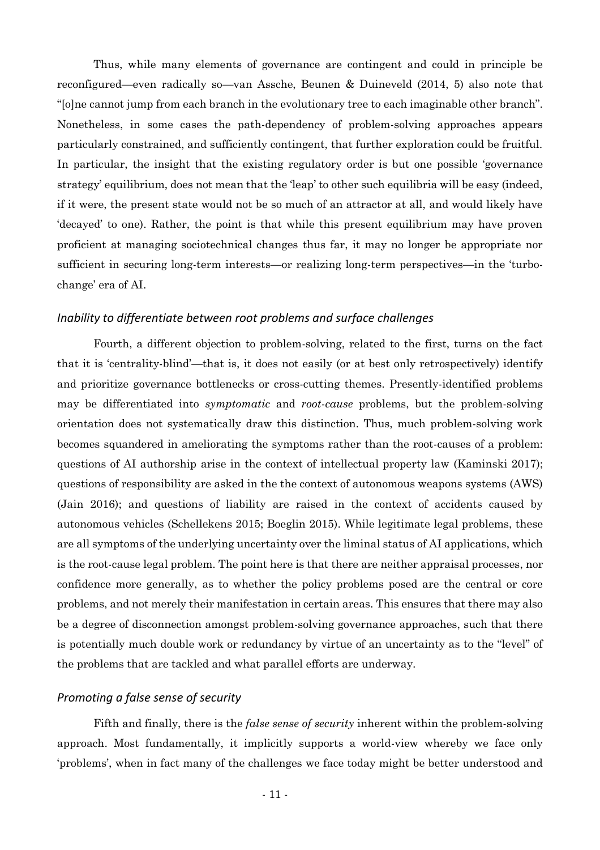Thus, while many elements of governance are contingent and could in principle be reconfigured—even radically so—van Assche, Beunen & Duineveld (2014, 5) also note that "[o]ne cannot jump from each branch in the evolutionary tree to each imaginable other branch". Nonetheless, in some cases the path-dependency of problem-solving approaches appears particularly constrained, and sufficiently contingent, that further exploration could be fruitful. In particular, the insight that the existing regulatory order is but one possible 'governance strategy' equilibrium, does not mean that the 'leap' to other such equilibria will be easy (indeed, if it were, the present state would not be so much of an attractor at all, and would likely have 'decayed' to one). Rather, the point is that while this present equilibrium may have proven proficient at managing sociotechnical changes thus far, it may no longer be appropriate nor sufficient in securing long-term interests—or realizing long-term perspectives—in the 'turbochange' era of AI.

### *Inability to differentiate between root problems and surface challenges*

Fourth, a different objection to problem-solving, related to the first, turns on the fact that it is 'centrality-blind'—that is, it does not easily (or at best only retrospectively) identify and prioritize governance bottlenecks or cross-cutting themes. Presently-identified problems may be differentiated into *symptomatic* and *root-cause* problems, but the problem-solving orientation does not systematically draw this distinction. Thus, much problem-solving work becomes squandered in ameliorating the symptoms rather than the root-causes of a problem: questions of AI authorship arise in the context of intellectual property law (Kaminski 2017); questions of responsibility are asked in the the context of autonomous weapons systems (AWS) (Jain 2016); and questions of liability are raised in the context of accidents caused by autonomous vehicles (Schellekens 2015; Boeglin 2015). While legitimate legal problems, these are all symptoms of the underlying uncertainty over the liminal status of AI applications, which is the root-cause legal problem. The point here is that there are neither appraisal processes, nor confidence more generally, as to whether the policy problems posed are the central or core problems, and not merely their manifestation in certain areas. This ensures that there may also be a degree of disconnection amongst problem-solving governance approaches, such that there is potentially much double work or redundancy by virtue of an uncertainty as to the "level" of the problems that are tackled and what parallel efforts are underway.

### *Promoting a false sense of security*

Fifth and finally, there is the *false sense of security* inherent within the problem-solving approach. Most fundamentally, it implicitly supports a world-view whereby we face only 'problems', when in fact many of the challenges we face today might be better understood and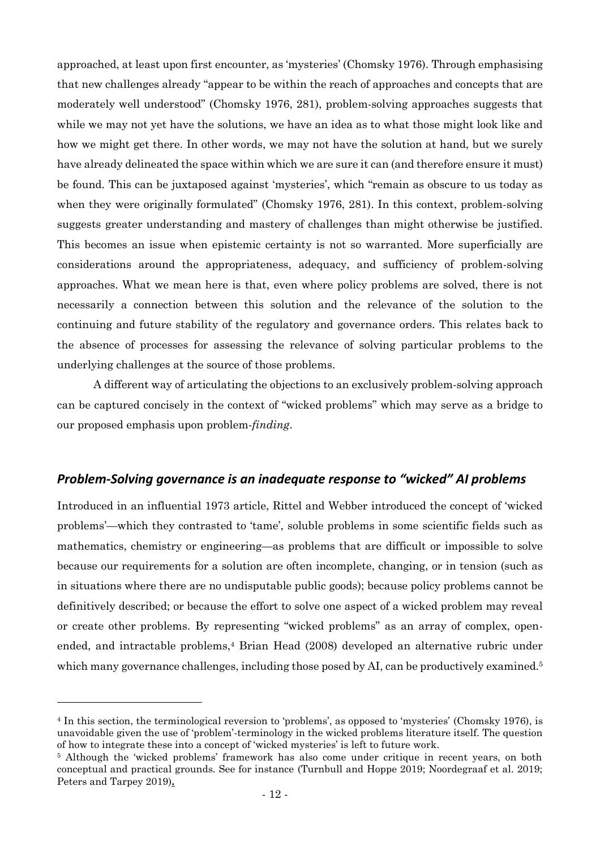approached, at least upon first encounter, as 'mysteries' (Chomsky 1976). Through emphasising that new challenges already "appear to be within the reach of approaches and concepts that are moderately well understood" (Chomsky 1976, 281), problem-solving approaches suggests that while we may not yet have the solutions, we have an idea as to what those might look like and how we might get there. In other words, we may not have the solution at hand, but we surely have already delineated the space within which we are sure it can (and therefore ensure it must) be found. This can be juxtaposed against 'mysteries', which "remain as obscure to us today as when they were originally formulated" (Chomsky 1976, 281). In this context, problem-solving suggests greater understanding and mastery of challenges than might otherwise be justified. This becomes an issue when epistemic certainty is not so warranted. More superficially are considerations around the appropriateness, adequacy, and sufficiency of problem-solving approaches. What we mean here is that, even where policy problems are solved, there is not necessarily a connection between this solution and the relevance of the solution to the continuing and future stability of the regulatory and governance orders. This relates back to the absence of processes for assessing the relevance of solving particular problems to the underlying challenges at the source of those problems.

A different way of articulating the objections to an exclusively problem-solving approach can be captured concisely in the context of "wicked problems" which may serve as a bridge to our proposed emphasis upon problem-*finding*.

#### *Problem-Solving governance is an inadequate response to "wicked" AI problems*

Introduced in an influential 1973 article, Rittel and Webber introduced the concept of 'wicked problems'—which they contrasted to 'tame', soluble problems in some scientific fields such as mathematics, chemistry or engineering—as problems that are difficult or impossible to solve because our requirements for a solution are often incomplete, changing, or in tension (such as in situations where there are no undisputable public goods); because policy problems cannot be definitively described; or because the effort to solve one aspect of a wicked problem may reveal or create other problems. By representing "wicked problems" as an array of complex, openended, and intractable problems, <sup>4</sup> Brian Head (2008) developed an alternative rubric under which many governance challenges, including those posed by AI, can be productively examined.<sup>5</sup>

<sup>4</sup> In this section, the terminological reversion to 'problems', as opposed to 'mysteries' (Chomsky 1976), is unavoidable given the use of 'problem'-terminology in the wicked problems literature itself. The question of how to integrate these into a concept of 'wicked mysteries' is left to future work.

<sup>5</sup> Although the 'wicked problems' framework has also come under critique in recent years, on both conceptual and practical grounds. See for instance (Turnbull and Hoppe 2019; Noordegraaf et al. 2019; Peters and Tarpey 2019)**.**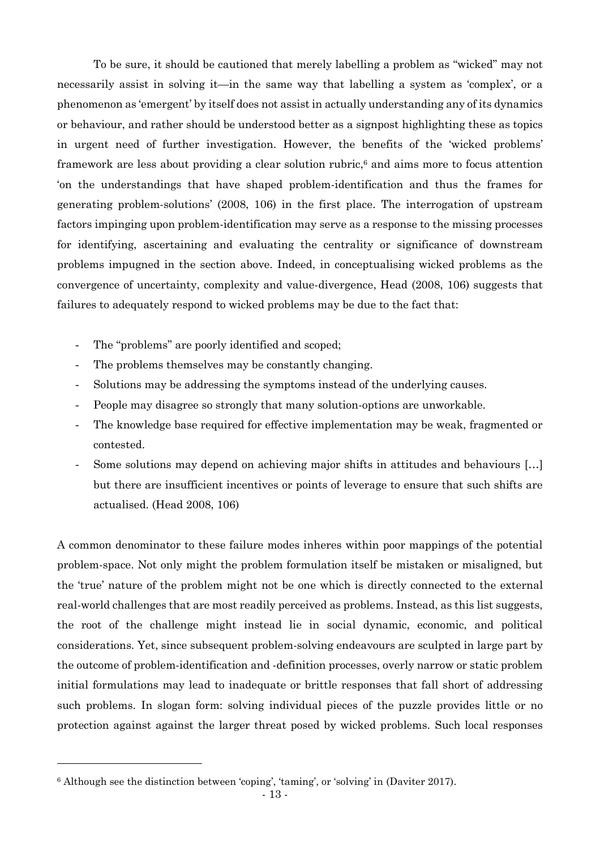To be sure, it should be cautioned that merely labelling a problem as "wicked" may not necessarily assist in solving it—in the same way that labelling a system as 'complex', or a phenomenon as 'emergent' by itself does not assist in actually understanding any of its dynamics or behaviour, and rather should be understood better as a signpost highlighting these as topics in urgent need of further investigation. However, the benefits of the 'wicked problems' framework are less about providing a clear solution rubric,<sup>6</sup> and aims more to focus attention 'on the understandings that have shaped problem-identification and thus the frames for generating problem-solutions' (2008, 106) in the first place. The interrogation of upstream factors impinging upon problem-identification may serve as a response to the missing processes for identifying, ascertaining and evaluating the centrality or significance of downstream problems impugned in the section above. Indeed, in conceptualising wicked problems as the convergence of uncertainty, complexity and value-divergence, Head (2008, 106) suggests that failures to adequately respond to wicked problems may be due to the fact that:

- The "problems" are poorly identified and scoped;
- The problems themselves may be constantly changing.
- Solutions may be addressing the symptoms instead of the underlying causes.
- People may disagree so strongly that many solution-options are unworkable.
- The knowledge base required for effective implementation may be weak, fragmented or contested.
- Some solutions may depend on achieving major shifts in attitudes and behaviours [...] but there are insufficient incentives or points of leverage to ensure that such shifts are actualised. (Head 2008, 106)

A common denominator to these failure modes inheres within poor mappings of the potential problem-space. Not only might the problem formulation itself be mistaken or misaligned, but the 'true' nature of the problem might not be one which is directly connected to the external real-world challenges that are most readily perceived as problems. Instead, as this list suggests, the root of the challenge might instead lie in social dynamic, economic, and political considerations. Yet, since subsequent problem-solving endeavours are sculpted in large part by the outcome of problem-identification and -definition processes, overly narrow or static problem initial formulations may lead to inadequate or brittle responses that fall short of addressing such problems. In slogan form: solving individual pieces of the puzzle provides little or no protection against against the larger threat posed by wicked problems. Such local responses

<sup>6</sup> Although see the distinction between 'coping', 'taming', or 'solving' in (Daviter 2017).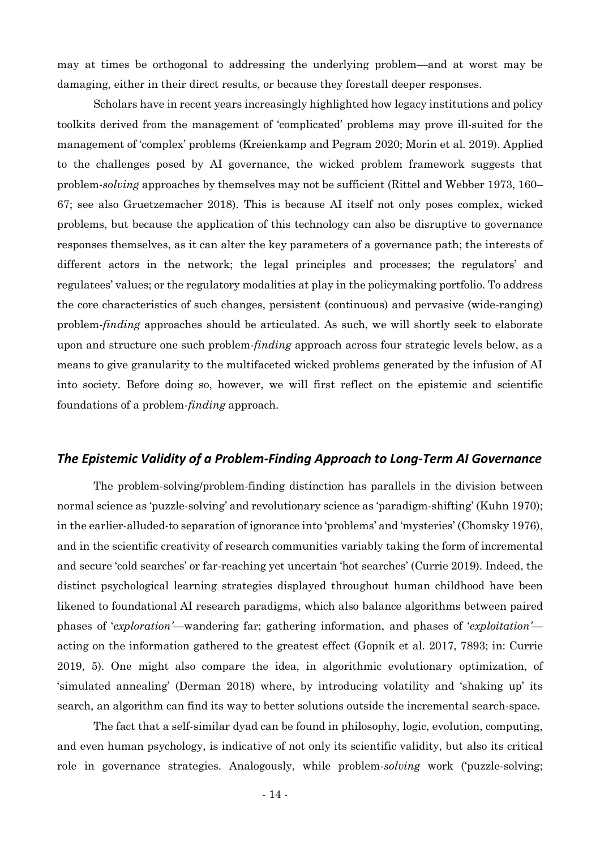may at times be orthogonal to addressing the underlying problem—and at worst may be damaging, either in their direct results, or because they forestall deeper responses.

Scholars have in recent years increasingly highlighted how legacy institutions and policy toolkits derived from the management of 'complicated' problems may prove ill-suited for the management of 'complex' problems (Kreienkamp and Pegram 2020; Morin et al. 2019). Applied to the challenges posed by AI governance, the wicked problem framework suggests that problem-*solving* approaches by themselves may not be sufficient (Rittel and Webber 1973, 160– 67; see also Gruetzemacher 2018). This is because AI itself not only poses complex, wicked problems, but because the application of this technology can also be disruptive to governance responses themselves, as it can alter the key parameters of a governance path; the interests of different actors in the network; the legal principles and processes; the regulators' and regulatees' values; or the regulatory modalities at play in the policymaking portfolio. To address the core characteristics of such changes, persistent (continuous) and pervasive (wide-ranging) problem-*finding* approaches should be articulated. As such, we will shortly seek to elaborate upon and structure one such problem-*finding* approach across four strategic levels below, as a means to give granularity to the multifaceted wicked problems generated by the infusion of AI into society. Before doing so, however, we will first reflect on the epistemic and scientific foundations of a problem-*finding* approach.

### *The Epistemic Validity of a Problem-Finding Approach to Long-Term AI Governance*

The problem-solving/problem-finding distinction has parallels in the division between normal science as 'puzzle-solving' and revolutionary science as 'paradigm-shifting' (Kuhn 1970); in the earlier-alluded-to separation of ignorance into 'problems' and 'mysteries' (Chomsky 1976), and in the scientific creativity of research communities variably taking the form of incremental and secure 'cold searches' or far-reaching yet uncertain 'hot searches' (Currie 2019). Indeed, the distinct psychological learning strategies displayed throughout human childhood have been likened to foundational AI research paradigms, which also balance algorithms between paired phases of '*exploration'*—wandering far; gathering information, and phases of '*exploitation'* acting on the information gathered to the greatest effect (Gopnik et al. 2017, 7893; in: Currie 2019, 5). One might also compare the idea, in algorithmic evolutionary optimization, of 'simulated annealing' (Derman 2018) where, by introducing volatility and 'shaking up' its search, an algorithm can find its way to better solutions outside the incremental search-space.

The fact that a self-similar dyad can be found in philosophy, logic, evolution, computing, and even human psychology, is indicative of not only its scientific validity, but also its critical role in governance strategies. Analogously, while problem-*solving* work ('puzzle-solving;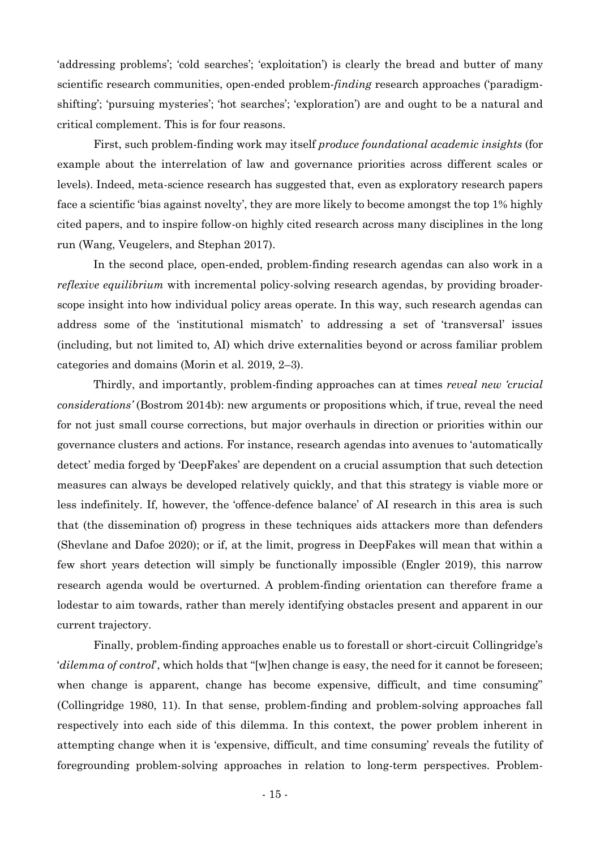'addressing problems'; 'cold searches'; 'exploitation') is clearly the bread and butter of many scientific research communities, open-ended problem-*finding* research approaches ('paradigmshifting'; 'pursuing mysteries'; 'hot searches'; 'exploration') are and ought to be a natural and critical complement. This is for four reasons.

First, such problem-finding work may itself *produce foundational academic insights* (for example about the interrelation of law and governance priorities across different scales or levels). Indeed, meta-science research has suggested that, even as exploratory research papers face a scientific 'bias against novelty', they are more likely to become amongst the top 1% highly cited papers, and to inspire follow-on highly cited research across many disciplines in the long run (Wang, Veugelers, and Stephan 2017).

In the second place*,* open-ended, problem-finding research agendas can also work in a *reflexive equilibrium* with incremental policy-solving research agendas, by providing broaderscope insight into how individual policy areas operate. In this way, such research agendas can address some of the 'institutional mismatch' to addressing a set of 'transversal' issues (including, but not limited to, AI) which drive externalities beyond or across familiar problem categories and domains (Morin et al. 2019, 2–3).

Thirdly, and importantly, problem-finding approaches can at times *reveal new 'crucial considerations'* (Bostrom 2014b): new arguments or propositions which, if true, reveal the need for not just small course corrections, but major overhauls in direction or priorities within our governance clusters and actions. For instance, research agendas into avenues to 'automatically detect' media forged by 'DeepFakes' are dependent on a crucial assumption that such detection measures can always be developed relatively quickly, and that this strategy is viable more or less indefinitely. If, however, the 'offence-defence balance' of AI research in this area is such that (the dissemination of) progress in these techniques aids attackers more than defenders (Shevlane and Dafoe 2020); or if, at the limit, progress in DeepFakes will mean that within a few short years detection will simply be functionally impossible (Engler 2019), this narrow research agenda would be overturned. A problem-finding orientation can therefore frame a lodestar to aim towards, rather than merely identifying obstacles present and apparent in our current trajectory.

Finally, problem-finding approaches enable us to forestall or short-circuit Collingridge's '*dilemma of control*', which holds that "[w]hen change is easy, the need for it cannot be foreseen; when change is apparent, change has become expensive, difficult, and time consuming" (Collingridge 1980, 11). In that sense, problem-finding and problem-solving approaches fall respectively into each side of this dilemma. In this context, the power problem inherent in attempting change when it is 'expensive, difficult, and time consuming' reveals the futility of foregrounding problem-solving approaches in relation to long-term perspectives. Problem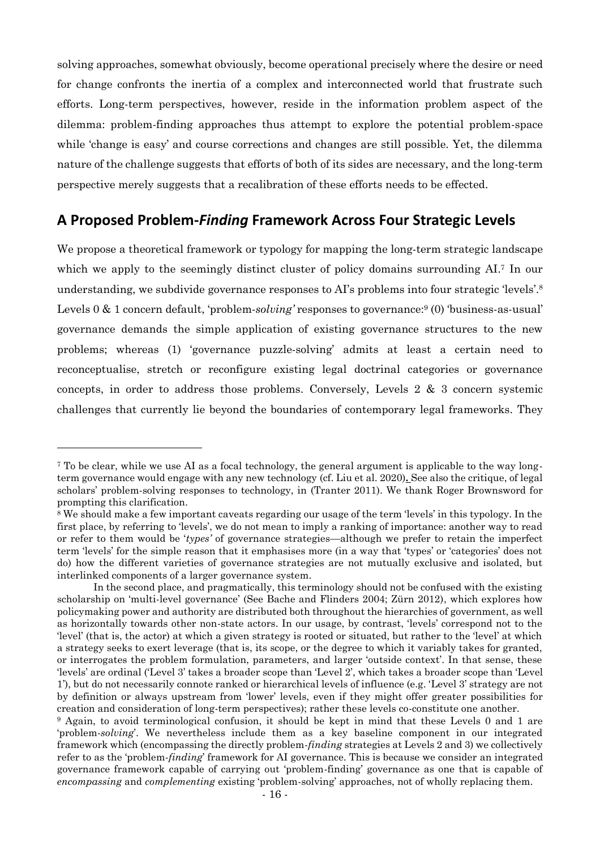solving approaches, somewhat obviously, become operational precisely where the desire or need for change confronts the inertia of a complex and interconnected world that frustrate such efforts. Long-term perspectives, however, reside in the information problem aspect of the dilemma: problem-finding approaches thus attempt to explore the potential problem-space while 'change is easy' and course corrections and changes are still possible. Yet, the dilemma nature of the challenge suggests that efforts of both of its sides are necessary, and the long-term perspective merely suggests that a recalibration of these efforts needs to be effected.

### **A Proposed Problem-***Finding* **Framework Across Four Strategic Levels**

We propose a theoretical framework or typology for mapping the long-term strategic landscape which we apply to the seemingly distinct cluster of policy domains surrounding AI.<sup>7</sup> In our understanding, we subdivide governance responses to AI's problems into four strategic 'levels'. 8 Levels 0 & 1 concern default, 'problem-*solving'* responses to governance:<sup>9</sup> (0) 'business-as-usual' governance demands the simple application of existing governance structures to the new problems; whereas (1) 'governance puzzle-solving' admits at least a certain need to reconceptualise, stretch or reconfigure existing legal doctrinal categories or governance concepts, in order to address those problems. Conversely, Levels 2 & 3 concern systemic challenges that currently lie beyond the boundaries of contemporary legal frameworks. They

<sup>7</sup> To be clear, while we use AI as a focal technology, the general argument is applicable to the way longterm governance would engage with any new technology (cf. Liu et al. 2020)**.** See also the critique, of legal scholars' problem-solving responses to technology, in (Tranter 2011). We thank Roger Brownsword for prompting this clarification.

<sup>8</sup> We should make a few important caveats regarding our usage of the term 'levels' in this typology. In the first place, by referring to 'levels', we do not mean to imply a ranking of importance: another way to read or refer to them would be '*types'* of governance strategies—although we prefer to retain the imperfect term 'levels' for the simple reason that it emphasises more (in a way that 'types' or 'categories' does not do) how the different varieties of governance strategies are not mutually exclusive and isolated, but interlinked components of a larger governance system.

In the second place, and pragmatically, this terminology should not be confused with the existing scholarship on 'multi-level governance' (See Bache and Flinders 2004; Zürn 2012), which explores how policymaking power and authority are distributed both throughout the hierarchies of government, as well as horizontally towards other non-state actors. In our usage, by contrast, 'levels' correspond not to the 'level' (that is, the actor) at which a given strategy is rooted or situated, but rather to the 'level' at which a strategy seeks to exert leverage (that is, its scope, or the degree to which it variably takes for granted, or interrogates the problem formulation, parameters, and larger 'outside context'. In that sense, these 'levels' are ordinal ('Level 3' takes a broader scope than 'Level 2', which takes a broader scope than 'Level 1'), but do not necessarily connote ranked or hierarchical levels of influence (e.g. 'Level 3' strategy are not by definition or always upstream from 'lower' levels, even if they might offer greater possibilities for creation and consideration of long-term perspectives); rather these levels co-constitute one another.

<sup>9</sup> Again, to avoid terminological confusion, it should be kept in mind that these Levels 0 and 1 are 'problem-*solving*'. We nevertheless include them as a key baseline component in our integrated framework which (encompassing the directly problem-*finding* strategies at Levels 2 and 3) we collectively refer to as the 'problem-*finding*' framework for AI governance. This is because we consider an integrated governance framework capable of carrying out 'problem-finding' governance as one that is capable of *encompassing* and *complementing* existing 'problem-solving' approaches, not of wholly replacing them.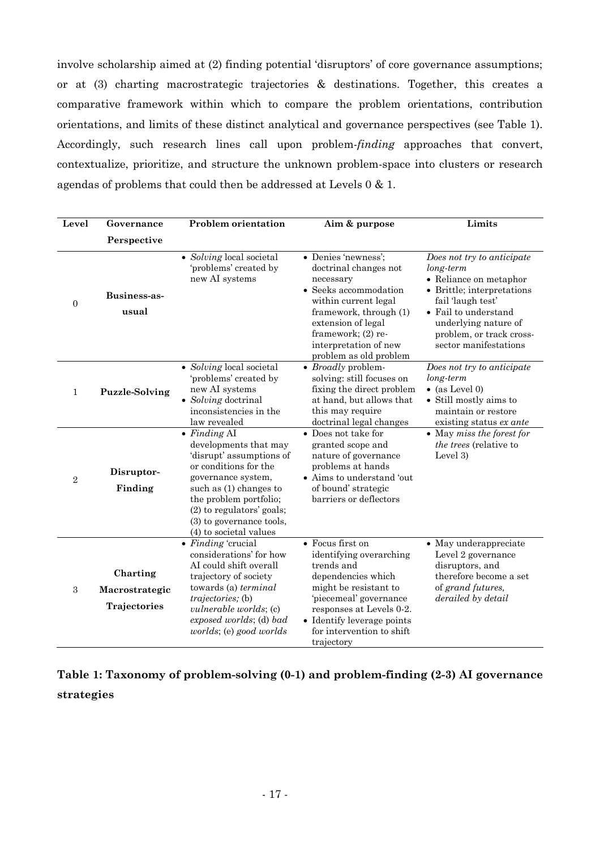involve scholarship aimed at (2) finding potential 'disruptors' of core governance assumptions; or at (3) charting macrostrategic trajectories & destinations. Together, this creates a comparative framework within which to compare the problem orientations, contribution orientations, and limits of these distinct analytical and governance perspectives (see Table 1). Accordingly, such research lines call upon problem*-finding* approaches that convert, contextualize, prioritize, and structure the unknown problem-space into clusters or research agendas of problems that could then be addressed at Levels 0 & 1.

| Level          | Governance                                 | <b>Problem orientation</b>                                                                                                                                                                                                                                        | Aim & purpose                                                                                                                                                                                                                           | Limits                                                                                                                                                                                                                    |
|----------------|--------------------------------------------|-------------------------------------------------------------------------------------------------------------------------------------------------------------------------------------------------------------------------------------------------------------------|-----------------------------------------------------------------------------------------------------------------------------------------------------------------------------------------------------------------------------------------|---------------------------------------------------------------------------------------------------------------------------------------------------------------------------------------------------------------------------|
|                | Perspective                                |                                                                                                                                                                                                                                                                   |                                                                                                                                                                                                                                         |                                                                                                                                                                                                                           |
| $\theta$       | <b>Business-as-</b><br>usual               | • Solving local societal<br>'problems' created by<br>new AI systems                                                                                                                                                                                               | • Denies 'newness';<br>doctrinal changes not<br>necessary<br>• Seeks accommodation<br>within current legal<br>framework, through (1)<br>extension of legal<br>framework; (2) re-<br>interpretation of new<br>problem as old problem     | Does not try to anticipate<br>long-term<br>• Reliance on metaphor<br>• Brittle; interpretations<br>fail 'laugh test'<br>• Fail to understand<br>underlying nature of<br>problem, or track cross-<br>sector manifestations |
| $\mathbf{1}$   | <b>Puzzle-Solving</b>                      | • Solving local societal<br>'problems' created by<br>new AI systems<br>• Solving doctrinal<br>inconsistencies in the<br>law revealed                                                                                                                              | $\bullet$ <i>Broadly</i> problem-<br>solving: still focuses on<br>fixing the direct problem<br>at hand, but allows that<br>this may require<br>doctrinal legal changes                                                                  | Does not try to anticipate<br>$long-term$<br>$\bullet$ (as Level 0)<br>• Still mostly aims to<br>maintain or restore<br>existing status ex ante                                                                           |
| $\overline{2}$ | Disruptor-<br>Finding                      | $\bullet$ Finding AI<br>developments that may<br>'disrupt' assumptions of<br>or conditions for the<br>governance system,<br>such as $(1)$ changes to<br>the problem portfolio;<br>(2) to regulators' goals;<br>(3) to governance tools,<br>(4) to societal values | • Does not take for<br>granted scope and<br>nature of governance<br>problems at hands<br>• Aims to understand 'out<br>of bound' strategic<br>barriers or deflectors                                                                     | $\bullet$ May miss the forest for<br><i>the trees</i> (relative to<br>Level 3)                                                                                                                                            |
| 3              | Charting<br>Macrostrategic<br>Trajectories | $\bullet$ Finding 'crucial<br>considerations' for how<br>AI could shift overall<br>trajectory of society<br>towards (a) terminal<br><i>trajectories</i> ; (b)<br>vulnerable worlds; (c)<br>exposed worlds; (d) bad<br>worlds; (e) good worlds                     | • Focus first on<br>identifying overarching<br>trends and<br>dependencies which<br>might be resistant to<br>'piecemeal' governance<br>responses at Levels 0-2.<br>• Identify leverage points<br>for intervention to shift<br>trajectory | • May underappreciate<br>Level 2 governance<br>disruptors, and<br>therefore become a set<br>of grand futures,<br>derailed by detail                                                                                       |

## **Table 1: Taxonomy of problem-solving (0-1) and problem-finding (2-3) AI governance strategies**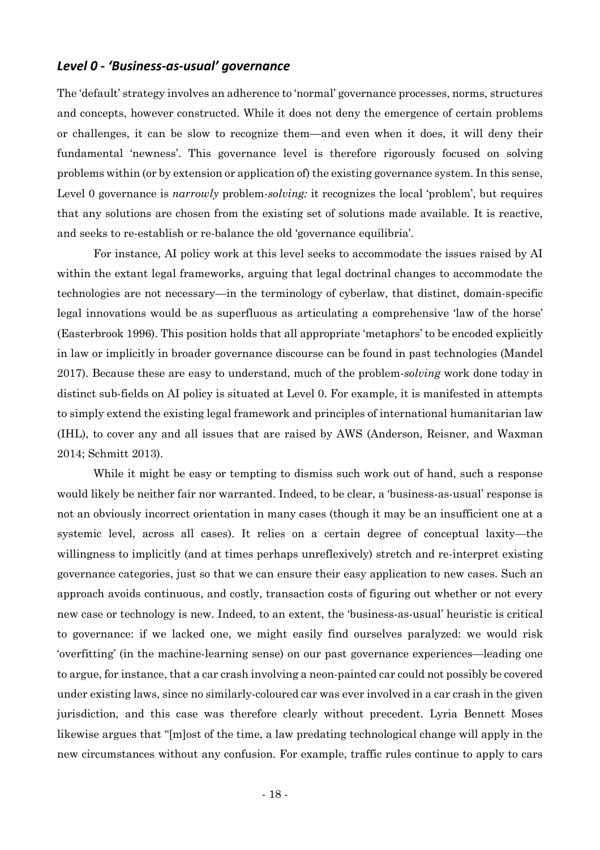### *Level 0 - 'Business-as-usual' governance*

The 'default' strategy involves an adherence to 'normal' governance processes, norms, structures and concepts, however constructed. While it does not deny the emergence of certain problems or challenges, it can be slow to recognize them—and even when it does, it will deny their fundamental 'newness'. This governance level is therefore rigorously focused on solving problems within (or by extension or application of) the existing governance system. In this sense, Level 0 governance is *narrowly* problem-*solving:* it recognizes the local 'problem', but requires that any solutions are chosen from the existing set of solutions made available. It is reactive, and seeks to re-establish or re-balance the old 'governance equilibria'.

For instance, AI policy work at this level seeks to accommodate the issues raised by AI within the extant legal frameworks, arguing that legal doctrinal changes to accommodate the technologies are not necessary—in the terminology of cyberlaw, that distinct, domain-specific legal innovations would be as superfluous as articulating a comprehensive 'law of the horse' (Easterbrook 1996). This position holds that all appropriate 'metaphors' to be encoded explicitly in law or implicitly in broader governance discourse can be found in past technologies (Mandel 2017). Because these are easy to understand, much of the problem-*solving* work done today in distinct sub-fields on AI policy is situated at Level 0. For example, it is manifested in attempts to simply extend the existing legal framework and principles of international humanitarian law (IHL), to cover any and all issues that are raised by AWS (Anderson, Reisner, and Waxman 2014; Schmitt 2013).

While it might be easy or tempting to dismiss such work out of hand, such a response would likely be neither fair nor warranted. Indeed, to be clear, a 'business-as-usual' response is not an obviously incorrect orientation in many cases (though it may be an insufficient one at a systemic level, across all cases). It relies on a certain degree of conceptual laxity—the willingness to implicitly (and at times perhaps unreflexively) stretch and re-interpret existing governance categories, just so that we can ensure their easy application to new cases. Such an approach avoids continuous, and costly, transaction costs of figuring out whether or not every new case or technology is new. Indeed, to an extent, the 'business-as-usual' heuristic is critical to governance: if we lacked one, we might easily find ourselves paralyzed: we would risk 'overfitting' (in the machine-learning sense) on our past governance experiences—leading one to argue, for instance, that a car crash involving a neon-painted car could not possibly be covered under existing laws, since no similarly-coloured car was ever involved in a car crash in the given jurisdiction, and this case was therefore clearly without precedent. Lyria Bennett Moses likewise argues that "[m]ost of the time, a law predating technological change will apply in the new circumstances without any confusion. For example, traffic rules continue to apply to cars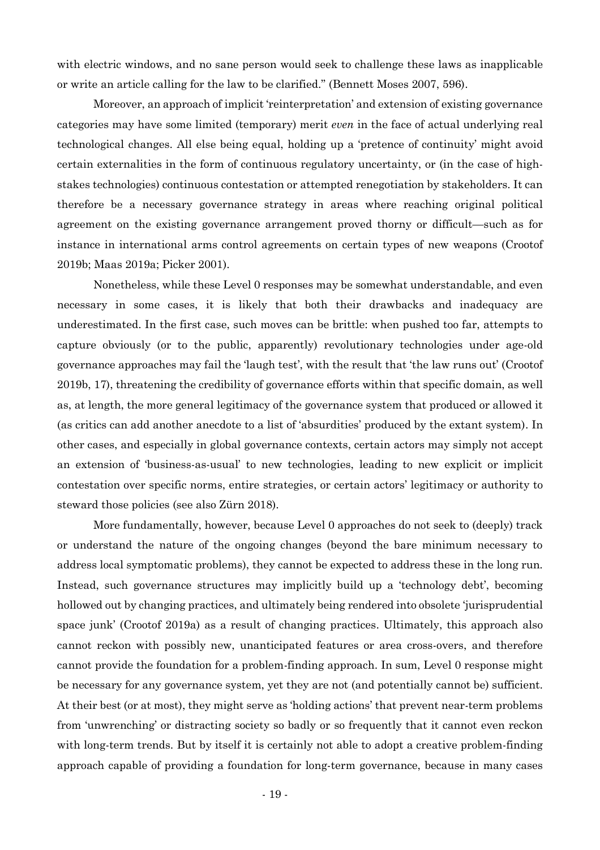with electric windows, and no sane person would seek to challenge these laws as inapplicable or write an article calling for the law to be clarified." (Bennett Moses 2007, 596).

Moreover, an approach of implicit 'reinterpretation' and extension of existing governance categories may have some limited (temporary) merit *even* in the face of actual underlying real technological changes. All else being equal, holding up a 'pretence of continuity' might avoid certain externalities in the form of continuous regulatory uncertainty, or (in the case of highstakes technologies) continuous contestation or attempted renegotiation by stakeholders. It can therefore be a necessary governance strategy in areas where reaching original political agreement on the existing governance arrangement proved thorny or difficult—such as for instance in international arms control agreements on certain types of new weapons (Crootof 2019b; Maas 2019a; Picker 2001).

Nonetheless, while these Level 0 responses may be somewhat understandable, and even necessary in some cases, it is likely that both their drawbacks and inadequacy are underestimated. In the first case, such moves can be brittle: when pushed too far, attempts to capture obviously (or to the public, apparently) revolutionary technologies under age-old governance approaches may fail the 'laugh test', with the result that 'the law runs out' (Crootof 2019b, 17), threatening the credibility of governance efforts within that specific domain, as well as, at length, the more general legitimacy of the governance system that produced or allowed it (as critics can add another anecdote to a list of 'absurdities' produced by the extant system). In other cases, and especially in global governance contexts, certain actors may simply not accept an extension of 'business-as-usual' to new technologies, leading to new explicit or implicit contestation over specific norms, entire strategies, or certain actors' legitimacy or authority to steward those policies (see also Zürn 2018).

More fundamentally, however, because Level 0 approaches do not seek to (deeply) track or understand the nature of the ongoing changes (beyond the bare minimum necessary to address local symptomatic problems), they cannot be expected to address these in the long run. Instead, such governance structures may implicitly build up a 'technology debt', becoming hollowed out by changing practices, and ultimately being rendered into obsolete 'jurisprudential space junk' (Crootof 2019a) as a result of changing practices. Ultimately, this approach also cannot reckon with possibly new, unanticipated features or area cross-overs, and therefore cannot provide the foundation for a problem-finding approach. In sum, Level 0 response might be necessary for any governance system, yet they are not (and potentially cannot be) sufficient. At their best (or at most), they might serve as 'holding actions' that prevent near-term problems from 'unwrenching' or distracting society so badly or so frequently that it cannot even reckon with long-term trends. But by itself it is certainly not able to adopt a creative problem-finding approach capable of providing a foundation for long-term governance, because in many cases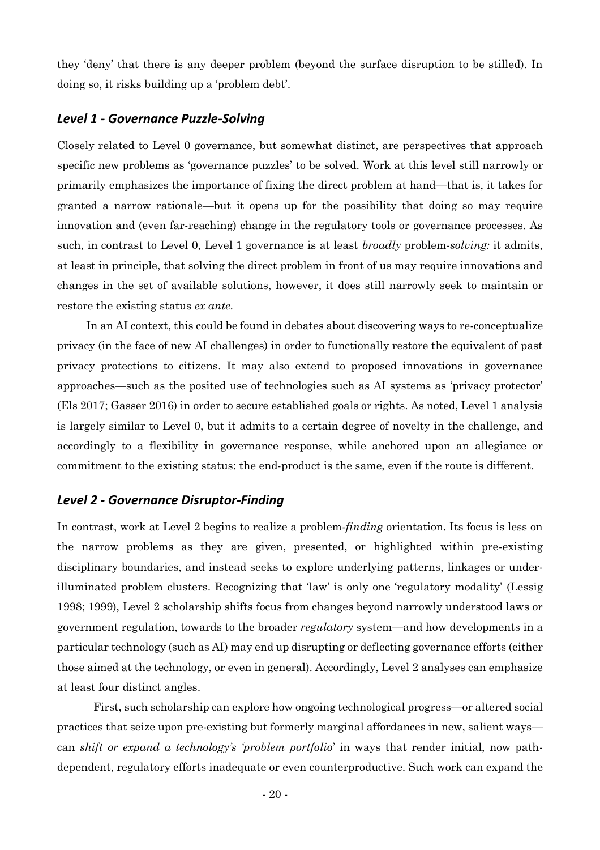they 'deny' that there is any deeper problem (beyond the surface disruption to be stilled). In doing so, it risks building up a 'problem debt'.

### *Level 1 - Governance Puzzle-Solving*

Closely related to Level 0 governance, but somewhat distinct, are perspectives that approach specific new problems as 'governance puzzles' to be solved. Work at this level still narrowly or primarily emphasizes the importance of fixing the direct problem at hand—that is, it takes for granted a narrow rationale—but it opens up for the possibility that doing so may require innovation and (even far-reaching) change in the regulatory tools or governance processes. As such, in contrast to Level 0, Level 1 governance is at least *broadly* problem-*solving:* it admits, at least in principle, that solving the direct problem in front of us may require innovations and changes in the set of available solutions, however, it does still narrowly seek to maintain or restore the existing status *ex ante*.

In an AI context, this could be found in debates about discovering ways to re-conceptualize privacy (in the face of new AI challenges) in order to functionally restore the equivalent of past privacy protections to citizens. It may also extend to proposed innovations in governance approaches—such as the posited use of technologies such as AI systems as 'privacy protector' (Els 2017; Gasser 2016) in order to secure established goals or rights. As noted, Level 1 analysis is largely similar to Level 0, but it admits to a certain degree of novelty in the challenge, and accordingly to a flexibility in governance response, while anchored upon an allegiance or commitment to the existing status: the end-product is the same, even if the route is different.

#### *Level 2 - Governance Disruptor-Finding*

In contrast, work at Level 2 begins to realize a problem-*finding* orientation. Its focus is less on the narrow problems as they are given, presented, or highlighted within pre-existing disciplinary boundaries, and instead seeks to explore underlying patterns, linkages or underilluminated problem clusters. Recognizing that 'law' is only one 'regulatory modality' (Lessig 1998; 1999), Level 2 scholarship shifts focus from changes beyond narrowly understood laws or government regulation, towards to the broader *regulatory* system—and how developments in a particular technology (such as AI) may end up disrupting or deflecting governance efforts (either those aimed at the technology, or even in general). Accordingly, Level 2 analyses can emphasize at least four distinct angles.

First, such scholarship can explore how ongoing technological progress—or altered social practices that seize upon pre-existing but formerly marginal affordances in new, salient ways can *shift or expand a technology's 'problem portfolio*' in ways that render initial, now pathdependent, regulatory efforts inadequate or even counterproductive. Such work can expand the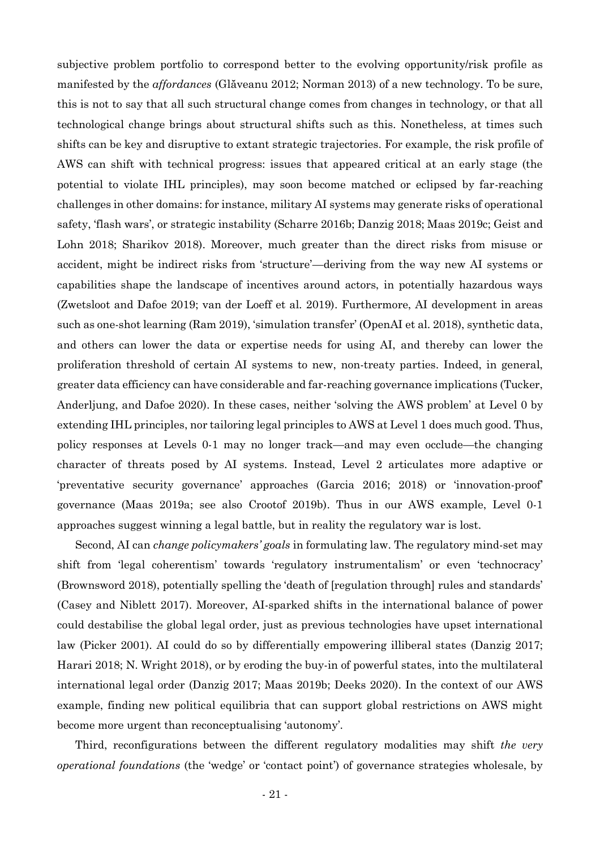subjective problem portfolio to correspond better to the evolving opportunity/risk profile as manifested by the *affordances* (Glăveanu 2012; Norman 2013) of a new technology. To be sure, this is not to say that all such structural change comes from changes in technology, or that all technological change brings about structural shifts such as this. Nonetheless, at times such shifts can be key and disruptive to extant strategic trajectories. For example, the risk profile of AWS can shift with technical progress: issues that appeared critical at an early stage (the potential to violate IHL principles), may soon become matched or eclipsed by far-reaching challenges in other domains: for instance, military AI systems may generate risks of operational safety, 'flash wars', or strategic instability (Scharre 2016b; Danzig 2018; Maas 2019c; Geist and Lohn 2018; Sharikov 2018). Moreover, much greater than the direct risks from misuse or accident, might be indirect risks from 'structure'—deriving from the way new AI systems or capabilities shape the landscape of incentives around actors, in potentially hazardous ways (Zwetsloot and Dafoe 2019; van der Loeff et al. 2019). Furthermore, AI development in areas such as one-shot learning (Ram 2019), 'simulation transfer' (OpenAI et al. 2018), synthetic data, and others can lower the data or expertise needs for using AI, and thereby can lower the proliferation threshold of certain AI systems to new, non-treaty parties. Indeed, in general, greater data efficiency can have considerable and far-reaching governance implications (Tucker, Anderljung, and Dafoe 2020). In these cases, neither 'solving the AWS problem' at Level 0 by extending IHL principles, nor tailoring legal principles to AWS at Level 1 does much good. Thus, policy responses at Levels 0-1 may no longer track—and may even occlude—the changing character of threats posed by AI systems. Instead, Level 2 articulates more adaptive or 'preventative security governance' approaches (Garcia 2016; 2018) or 'innovation-proof' governance (Maas 2019a; see also Crootof 2019b). Thus in our AWS example, Level 0-1 approaches suggest winning a legal battle, but in reality the regulatory war is lost.

Second, AI can *change policymakers' goals* in formulating law. The regulatory mind-set may shift from 'legal coherentism' towards 'regulatory instrumentalism' or even 'technocracy' (Brownsword 2018), potentially spelling the 'death of [regulation through] rules and standards' (Casey and Niblett 2017). Moreover, AI-sparked shifts in the international balance of power could destabilise the global legal order, just as previous technologies have upset international law (Picker 2001). AI could do so by differentially empowering illiberal states (Danzig 2017; Harari 2018; N. Wright 2018), or by eroding the buy-in of powerful states, into the multilateral international legal order (Danzig 2017; Maas 2019b; Deeks 2020). In the context of our AWS example, finding new political equilibria that can support global restrictions on AWS might become more urgent than reconceptualising 'autonomy'.

Third, reconfigurations between the different regulatory modalities may shift *the very operational foundations* (the 'wedge' or 'contact point') of governance strategies wholesale, by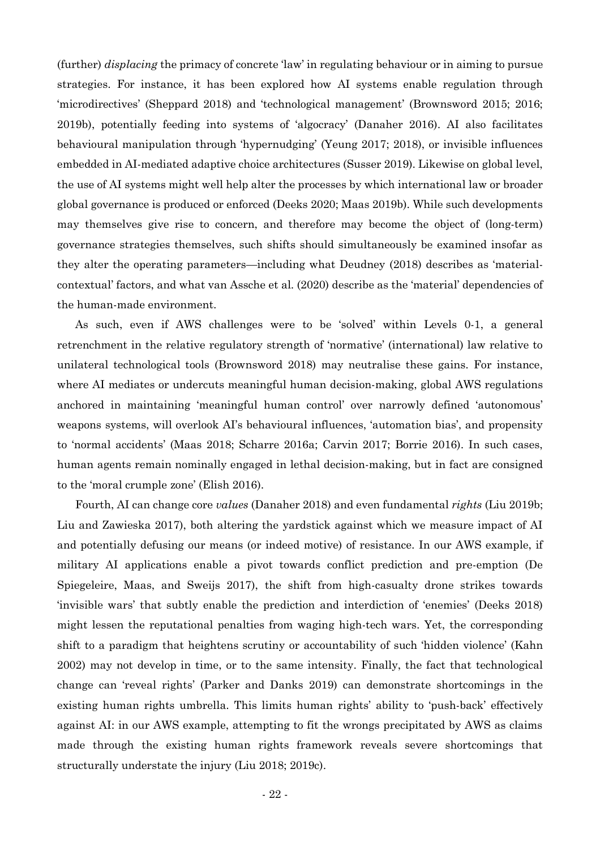(further) *displacing* the primacy of concrete 'law' in regulating behaviour or in aiming to pursue strategies. For instance, it has been explored how AI systems enable regulation through 'microdirectives' (Sheppard 2018) and 'technological management' (Brownsword 2015; 2016; 2019b), potentially feeding into systems of 'algocracy' (Danaher 2016). AI also facilitates behavioural manipulation through 'hypernudging' (Yeung 2017; 2018), or invisible influences embedded in AI-mediated adaptive choice architectures (Susser 2019). Likewise on global level, the use of AI systems might well help alter the processes by which international law or broader global governance is produced or enforced (Deeks 2020; Maas 2019b). While such developments may themselves give rise to concern, and therefore may become the object of (long-term) governance strategies themselves, such shifts should simultaneously be examined insofar as they alter the operating parameters—including what Deudney (2018) describes as 'materialcontextual' factors, and what van Assche et al. (2020) describe as the 'material' dependencies of the human-made environment.

As such, even if AWS challenges were to be 'solved' within Levels 0-1, a general retrenchment in the relative regulatory strength of 'normative' (international) law relative to unilateral technological tools (Brownsword 2018) may neutralise these gains. For instance, where AI mediates or undercuts meaningful human decision-making, global AWS regulations anchored in maintaining 'meaningful human control' over narrowly defined 'autonomous' weapons systems, will overlook AI's behavioural influences, 'automation bias', and propensity to 'normal accidents' (Maas 2018; Scharre 2016a; Carvin 2017; Borrie 2016). In such cases, human agents remain nominally engaged in lethal decision-making, but in fact are consigned to the 'moral crumple zone' (Elish 2016).

Fourth, AI can change core *values* (Danaher 2018) and even fundamental *rights* (Liu 2019b; Liu and Zawieska 2017), both altering the yardstick against which we measure impact of AI and potentially defusing our means (or indeed motive) of resistance. In our AWS example, if military AI applications enable a pivot towards conflict prediction and pre-emption (De Spiegeleire, Maas, and Sweijs 2017), the shift from high-casualty drone strikes towards 'invisible wars' that subtly enable the prediction and interdiction of 'enemies' (Deeks 2018) might lessen the reputational penalties from waging high-tech wars. Yet, the corresponding shift to a paradigm that heightens scrutiny or accountability of such 'hidden violence' (Kahn 2002) may not develop in time, or to the same intensity. Finally, the fact that technological change can 'reveal rights' (Parker and Danks 2019) can demonstrate shortcomings in the existing human rights umbrella. This limits human rights' ability to 'push-back' effectively against AI: in our AWS example, attempting to fit the wrongs precipitated by AWS as claims made through the existing human rights framework reveals severe shortcomings that structurally understate the injury (Liu 2018; 2019c).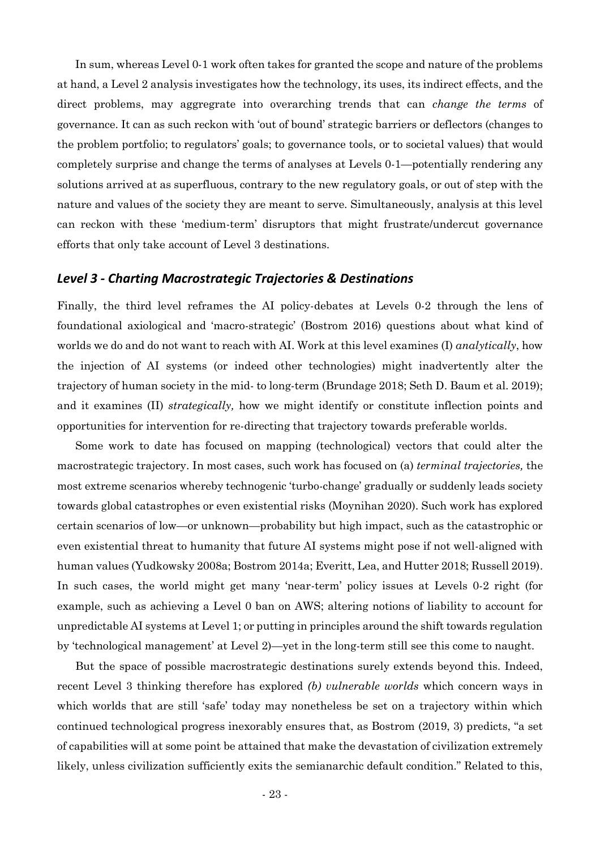In sum, whereas Level 0-1 work often takes for granted the scope and nature of the problems at hand, a Level 2 analysis investigates how the technology, its uses, its indirect effects, and the direct problems, may aggregrate into overarching trends that can *change the terms* of governance. It can as such reckon with 'out of bound' strategic barriers or deflectors (changes to the problem portfolio; to regulators' goals; to governance tools, or to societal values) that would completely surprise and change the terms of analyses at Levels 0-1—potentially rendering any solutions arrived at as superfluous, contrary to the new regulatory goals, or out of step with the nature and values of the society they are meant to serve. Simultaneously, analysis at this level can reckon with these 'medium-term' disruptors that might frustrate/undercut governance efforts that only take account of Level 3 destinations.

#### *Level 3 - Charting Macrostrategic Trajectories & Destinations*

Finally, the third level reframes the AI policy-debates at Levels 0-2 through the lens of foundational axiological and 'macro-strategic' (Bostrom 2016) questions about what kind of worlds we do and do not want to reach with AI. Work at this level examines (I) *analytically*, how the injection of AI systems (or indeed other technologies) might inadvertently alter the trajectory of human society in the mid- to long-term (Brundage 2018; Seth D. Baum et al. 2019); and it examines (II) *strategically,* how we might identify or constitute inflection points and opportunities for intervention for re-directing that trajectory towards preferable worlds.

Some work to date has focused on mapping (technological) vectors that could alter the macrostrategic trajectory. In most cases, such work has focused on (a) *terminal trajectories,* the most extreme scenarios whereby technogenic 'turbo-change' gradually or suddenly leads society towards global catastrophes or even existential risks (Moynihan 2020). Such work has explored certain scenarios of low—or unknown—probability but high impact, such as the catastrophic or even existential threat to humanity that future AI systems might pose if not well-aligned with human values (Yudkowsky 2008a; Bostrom 2014a; Everitt, Lea, and Hutter 2018; Russell 2019). In such cases, the world might get many 'near-term' policy issues at Levels 0-2 right (for example, such as achieving a Level 0 ban on AWS; altering notions of liability to account for unpredictable AI systems at Level 1; or putting in principles around the shift towards regulation by 'technological management' at Level 2)—yet in the long-term still see this come to naught.

But the space of possible macrostrategic destinations surely extends beyond this. Indeed, recent Level 3 thinking therefore has explored *(b) vulnerable worlds* which concern ways in which worlds that are still 'safe' today may nonetheless be set on a trajectory within which continued technological progress inexorably ensures that, as Bostrom (2019, 3) predicts, "a set of capabilities will at some point be attained that make the devastation of civilization extremely likely, unless civilization sufficiently exits the semianarchic default condition." Related to this,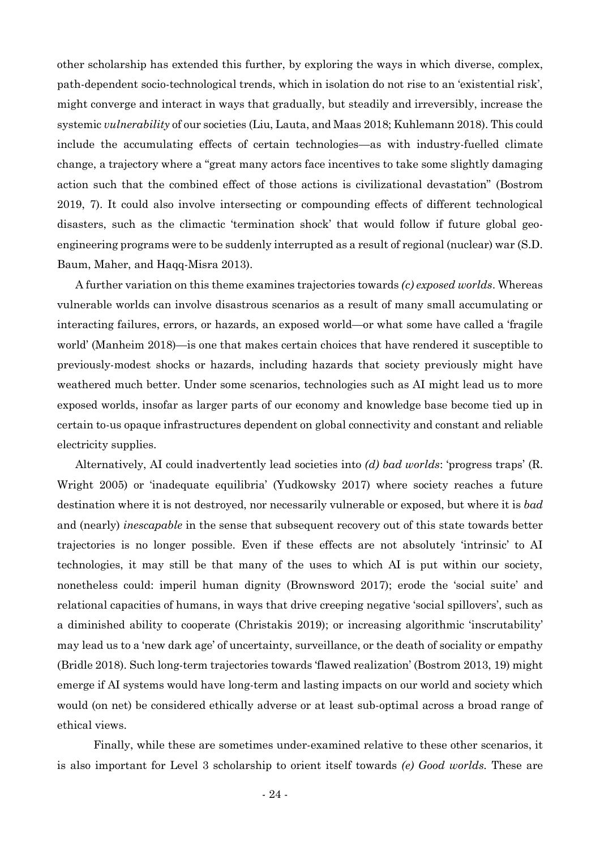other scholarship has extended this further, by exploring the ways in which diverse, complex, path-dependent socio-technological trends, which in isolation do not rise to an 'existential risk', might converge and interact in ways that gradually, but steadily and irreversibly, increase the systemic *vulnerability* of our societies (Liu, Lauta, and Maas 2018; Kuhlemann 2018). This could include the accumulating effects of certain technologies—as with industry-fuelled climate change, a trajectory where a "great many actors face incentives to take some slightly damaging action such that the combined effect of those actions is civilizational devastation" (Bostrom 2019, 7). It could also involve intersecting or compounding effects of different technological disasters, such as the climactic 'termination shock' that would follow if future global geoengineering programs were to be suddenly interrupted as a result of regional (nuclear) war (S.D. Baum, Maher, and Haqq-Misra 2013).

A further variation on this theme examines trajectories towards *(c) exposed worlds*. Whereas vulnerable worlds can involve disastrous scenarios as a result of many small accumulating or interacting failures, errors, or hazards, an exposed world—or what some have called a 'fragile world' (Manheim 2018)—is one that makes certain choices that have rendered it susceptible to previously-modest shocks or hazards, including hazards that society previously might have weathered much better. Under some scenarios, technologies such as AI might lead us to more exposed worlds, insofar as larger parts of our economy and knowledge base become tied up in certain to-us opaque infrastructures dependent on global connectivity and constant and reliable electricity supplies.

Alternatively, AI could inadvertently lead societies into *(d) bad worlds*: 'progress traps' (R. Wright 2005) or 'inadequate equilibria' (Yudkowsky 2017) where society reaches a future destination where it is not destroyed, nor necessarily vulnerable or exposed, but where it is *bad* and (nearly) *inescapable* in the sense that subsequent recovery out of this state towards better trajectories is no longer possible. Even if these effects are not absolutely 'intrinsic' to AI technologies, it may still be that many of the uses to which AI is put within our society, nonetheless could: imperil human dignity (Brownsword 2017); erode the 'social suite' and relational capacities of humans, in ways that drive creeping negative 'social spillovers', such as a diminished ability to cooperate (Christakis 2019); or increasing algorithmic 'inscrutability' may lead us to a 'new dark age' of uncertainty, surveillance, or the death of sociality or empathy (Bridle 2018). Such long-term trajectories towards 'flawed realization' (Bostrom 2013, 19) might emerge if AI systems would have long-term and lasting impacts on our world and society which would (on net) be considered ethically adverse or at least sub-optimal across a broad range of ethical views.

Finally, while these are sometimes under-examined relative to these other scenarios, it is also important for Level 3 scholarship to orient itself towards *(e) Good worlds.* These are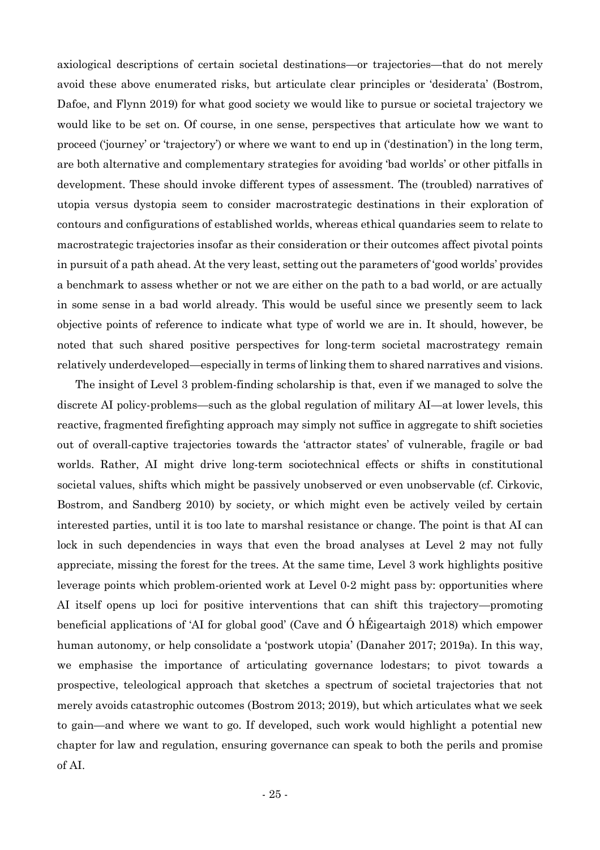axiological descriptions of certain societal destinations—or trajectories—that do not merely avoid these above enumerated risks, but articulate clear principles or 'desiderata' (Bostrom, Dafoe, and Flynn 2019) for what good society we would like to pursue or societal trajectory we would like to be set on. Of course, in one sense, perspectives that articulate how we want to proceed ('journey' or 'trajectory') or where we want to end up in ('destination') in the long term, are both alternative and complementary strategies for avoiding 'bad worlds' or other pitfalls in development. These should invoke different types of assessment. The (troubled) narratives of utopia versus dystopia seem to consider macrostrategic destinations in their exploration of contours and configurations of established worlds, whereas ethical quandaries seem to relate to macrostrategic trajectories insofar as their consideration or their outcomes affect pivotal points in pursuit of a path ahead. At the very least, setting out the parameters of 'good worlds' provides a benchmark to assess whether or not we are either on the path to a bad world, or are actually in some sense in a bad world already. This would be useful since we presently seem to lack objective points of reference to indicate what type of world we are in. It should, however, be noted that such shared positive perspectives for long-term societal macrostrategy remain relatively underdeveloped—especially in terms of linking them to shared narratives and visions.

The insight of Level 3 problem-finding scholarship is that, even if we managed to solve the discrete AI policy-problems—such as the global regulation of military AI—at lower levels, this reactive, fragmented firefighting approach may simply not suffice in aggregate to shift societies out of overall-captive trajectories towards the 'attractor states' of vulnerable, fragile or bad worlds. Rather, AI might drive long-term sociotechnical effects or shifts in constitutional societal values, shifts which might be passively unobserved or even unobservable (cf. Cirkovic, Bostrom, and Sandberg 2010) by society, or which might even be actively veiled by certain interested parties, until it is too late to marshal resistance or change. The point is that AI can lock in such dependencies in ways that even the broad analyses at Level 2 may not fully appreciate, missing the forest for the trees. At the same time, Level 3 work highlights positive leverage points which problem-oriented work at Level 0-2 might pass by: opportunities where AI itself opens up loci for positive interventions that can shift this trajectory—promoting beneficial applications of 'AI for global good' (Cave and Ó hÉigeartaigh 2018) which empower human autonomy, or help consolidate a 'postwork utopia' (Danaher 2017; 2019a). In this way, we emphasise the importance of articulating governance lodestars; to pivot towards a prospective, teleological approach that sketches a spectrum of societal trajectories that not merely avoids catastrophic outcomes (Bostrom 2013; 2019), but which articulates what we seek to gain—and where we want to go. If developed, such work would highlight a potential new chapter for law and regulation, ensuring governance can speak to both the perils and promise of AI.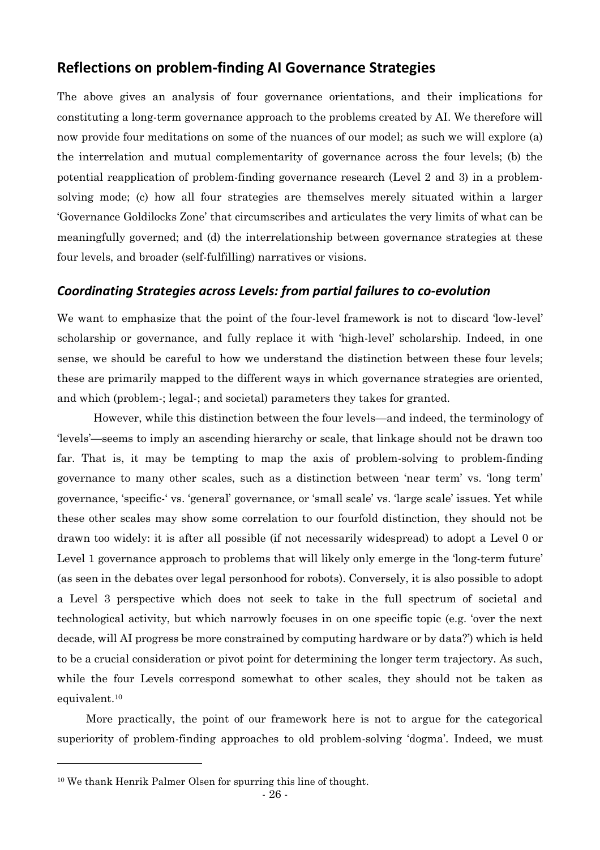### **Reflections on problem-finding AI Governance Strategies**

The above gives an analysis of four governance orientations, and their implications for constituting a long-term governance approach to the problems created by AI. We therefore will now provide four meditations on some of the nuances of our model; as such we will explore (a) the interrelation and mutual complementarity of governance across the four levels; (b) the potential reapplication of problem-finding governance research (Level 2 and 3) in a problemsolving mode; (c) how all four strategies are themselves merely situated within a larger 'Governance Goldilocks Zone' that circumscribes and articulates the very limits of what can be meaningfully governed; and (d) the interrelationship between governance strategies at these four levels, and broader (self-fulfilling) narratives or visions.

### *Coordinating Strategies across Levels: from partial failures to co-evolution*

We want to emphasize that the point of the four-level framework is not to discard 'low-level' scholarship or governance, and fully replace it with 'high-level' scholarship. Indeed, in one sense, we should be careful to how we understand the distinction between these four levels; these are primarily mapped to the different ways in which governance strategies are oriented, and which (problem-; legal-; and societal) parameters they takes for granted.

However, while this distinction between the four levels—and indeed, the terminology of 'levels'—seems to imply an ascending hierarchy or scale, that linkage should not be drawn too far. That is, it may be tempting to map the axis of problem-solving to problem-finding governance to many other scales, such as a distinction between 'near term' vs. 'long term' governance, 'specific-' vs. 'general' governance, or 'small scale' vs. 'large scale' issues. Yet while these other scales may show some correlation to our fourfold distinction, they should not be drawn too widely: it is after all possible (if not necessarily widespread) to adopt a Level 0 or Level 1 governance approach to problems that will likely only emerge in the 'long-term future' (as seen in the debates over legal personhood for robots). Conversely, it is also possible to adopt a Level 3 perspective which does not seek to take in the full spectrum of societal and technological activity, but which narrowly focuses in on one specific topic (e.g. 'over the next decade, will AI progress be more constrained by computing hardware or by data?') which is held to be a crucial consideration or pivot point for determining the longer term trajectory. As such, while the four Levels correspond somewhat to other scales, they should not be taken as equivalent.<sup>10</sup>

More practically, the point of our framework here is not to argue for the categorical superiority of problem-finding approaches to old problem-solving 'dogma'. Indeed, we must

<sup>10</sup> We thank Henrik Palmer Olsen for spurring this line of thought.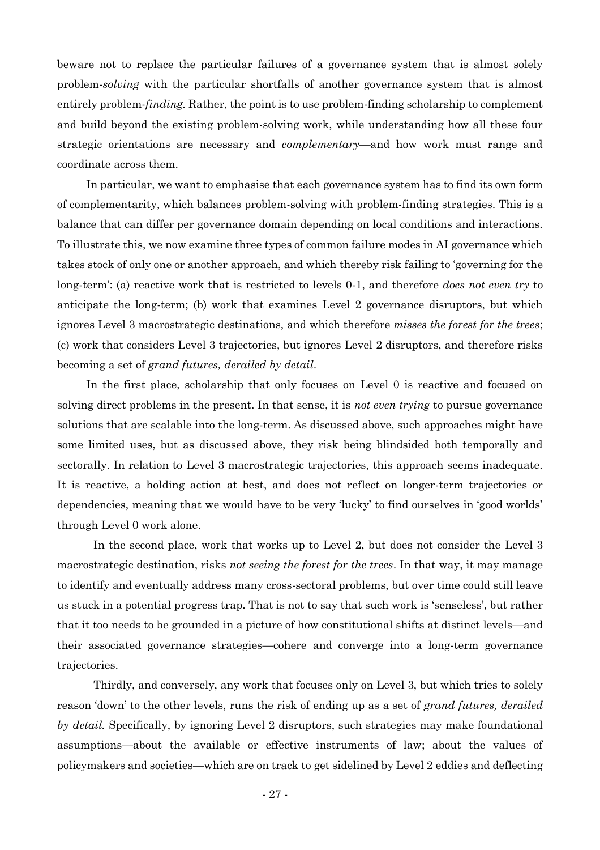beware not to replace the particular failures of a governance system that is almost solely problem-*solving* with the particular shortfalls of another governance system that is almost entirely problem-*finding.* Rather, the point is to use problem-finding scholarship to complement and build beyond the existing problem-solving work, while understanding how all these four strategic orientations are necessary and *complementary*—and how work must range and coordinate across them.

In particular, we want to emphasise that each governance system has to find its own form of complementarity, which balances problem-solving with problem-finding strategies. This is a balance that can differ per governance domain depending on local conditions and interactions. To illustrate this, we now examine three types of common failure modes in AI governance which takes stock of only one or another approach, and which thereby risk failing to 'governing for the long-term': (a) reactive work that is restricted to levels 0-1, and therefore *does not even try* to anticipate the long-term; (b) work that examines Level 2 governance disruptors, but which ignores Level 3 macrostrategic destinations, and which therefore *misses the forest for the trees*; (c) work that considers Level 3 trajectories, but ignores Level 2 disruptors, and therefore risks becoming a set of *grand futures, derailed by detail*.

In the first place, scholarship that only focuses on Level 0 is reactive and focused on solving direct problems in the present. In that sense, it is *not even trying* to pursue governance solutions that are scalable into the long-term. As discussed above, such approaches might have some limited uses, but as discussed above, they risk being blindsided both temporally and sectorally. In relation to Level 3 macrostrategic trajectories, this approach seems inadequate. It is reactive, a holding action at best, and does not reflect on longer-term trajectories or dependencies, meaning that we would have to be very 'lucky' to find ourselves in 'good worlds' through Level 0 work alone.

In the second place, work that works up to Level 2, but does not consider the Level 3 macrostrategic destination, risks *not seeing the forest for the trees*. In that way, it may manage to identify and eventually address many cross-sectoral problems, but over time could still leave us stuck in a potential progress trap. That is not to say that such work is 'senseless', but rather that it too needs to be grounded in a picture of how constitutional shifts at distinct levels—and their associated governance strategies—cohere and converge into a long-term governance trajectories.

Thirdly, and conversely, any work that focuses only on Level 3, but which tries to solely reason 'down' to the other levels, runs the risk of ending up as a set of *grand futures, derailed by detail.* Specifically, by ignoring Level 2 disruptors, such strategies may make foundational assumptions—about the available or effective instruments of law; about the values of policymakers and societies—which are on track to get sidelined by Level 2 eddies and deflecting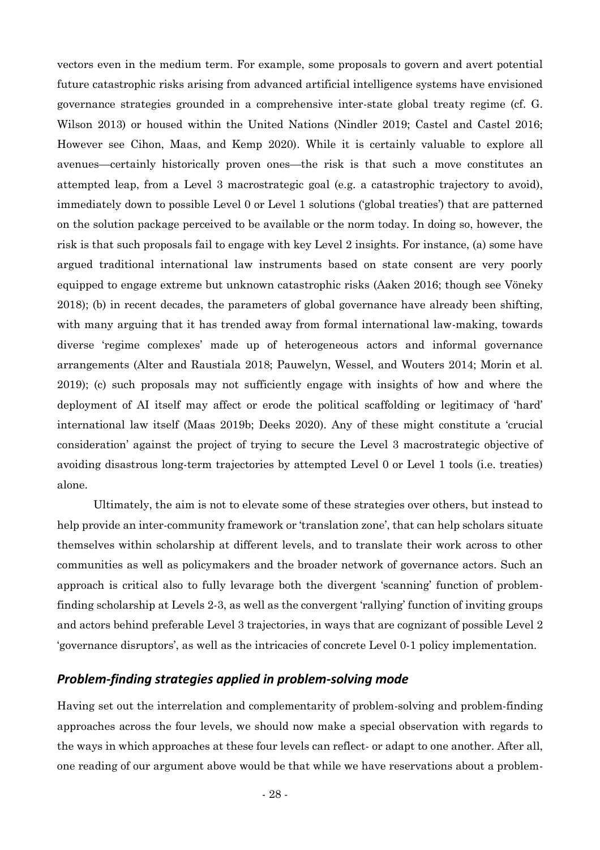vectors even in the medium term. For example, some proposals to govern and avert potential future catastrophic risks arising from advanced artificial intelligence systems have envisioned governance strategies grounded in a comprehensive inter-state global treaty regime (cf. G. Wilson 2013) or housed within the United Nations (Nindler 2019; Castel and Castel 2016; However see Cihon, Maas, and Kemp 2020). While it is certainly valuable to explore all avenues—certainly historically proven ones—the risk is that such a move constitutes an attempted leap, from a Level 3 macrostrategic goal (e.g. a catastrophic trajectory to avoid), immediately down to possible Level 0 or Level 1 solutions ('global treaties') that are patterned on the solution package perceived to be available or the norm today. In doing so, however, the risk is that such proposals fail to engage with key Level 2 insights. For instance, (a) some have argued traditional international law instruments based on state consent are very poorly equipped to engage extreme but unknown catastrophic risks (Aaken 2016; though see Vöneky 2018); (b) in recent decades, the parameters of global governance have already been shifting, with many arguing that it has trended away from formal international law-making, towards diverse 'regime complexes' made up of heterogeneous actors and informal governance arrangements (Alter and Raustiala 2018; Pauwelyn, Wessel, and Wouters 2014; Morin et al. 2019); (c) such proposals may not sufficiently engage with insights of how and where the deployment of AI itself may affect or erode the political scaffolding or legitimacy of 'hard' international law itself (Maas 2019b; Deeks 2020). Any of these might constitute a 'crucial consideration' against the project of trying to secure the Level 3 macrostrategic objective of avoiding disastrous long-term trajectories by attempted Level 0 or Level 1 tools (i.e. treaties) alone.

Ultimately, the aim is not to elevate some of these strategies over others, but instead to help provide an inter-community framework or 'translation zone', that can help scholars situate themselves within scholarship at different levels, and to translate their work across to other communities as well as policymakers and the broader network of governance actors. Such an approach is critical also to fully levarage both the divergent 'scanning' function of problemfinding scholarship at Levels 2-3, as well as the convergent 'rallying' function of inviting groups and actors behind preferable Level 3 trajectories, in ways that are cognizant of possible Level 2 'governance disruptors', as well as the intricacies of concrete Level 0-1 policy implementation.

### *Problem-finding strategies applied in problem-solving mode*

Having set out the interrelation and complementarity of problem-solving and problem-finding approaches across the four levels, we should now make a special observation with regards to the ways in which approaches at these four levels can reflect- or adapt to one another. After all, one reading of our argument above would be that while we have reservations about a problem-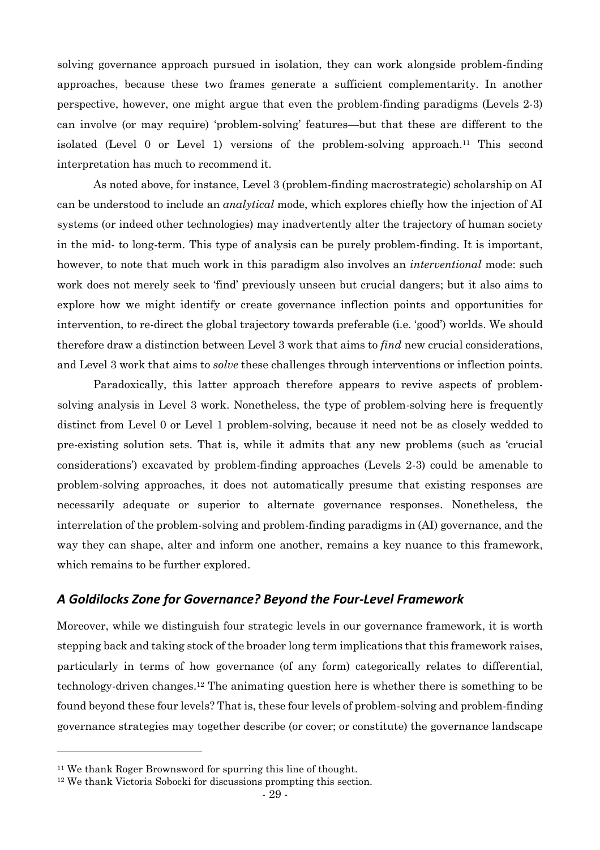solving governance approach pursued in isolation, they can work alongside problem-finding approaches, because these two frames generate a sufficient complementarity. In another perspective, however, one might argue that even the problem-finding paradigms (Levels 2-3) can involve (or may require) 'problem-solving' features—but that these are different to the isolated (Level 0 or Level 1) versions of the problem-solving approach.<sup>11</sup> This second interpretation has much to recommend it.

As noted above, for instance, Level 3 (problem-finding macrostrategic) scholarship on AI can be understood to include an *analytical* mode, which explores chiefly how the injection of AI systems (or indeed other technologies) may inadvertently alter the trajectory of human society in the mid- to long-term. This type of analysis can be purely problem-finding. It is important, however, to note that much work in this paradigm also involves an *interventional* mode: such work does not merely seek to 'find' previously unseen but crucial dangers; but it also aims to explore how we might identify or create governance inflection points and opportunities for intervention, to re-direct the global trajectory towards preferable (i.e. 'good') worlds. We should therefore draw a distinction between Level 3 work that aims to *find* new crucial considerations, and Level 3 work that aims to *solve* these challenges through interventions or inflection points.

Paradoxically, this latter approach therefore appears to revive aspects of problemsolving analysis in Level 3 work. Nonetheless, the type of problem-solving here is frequently distinct from Level 0 or Level 1 problem-solving, because it need not be as closely wedded to pre-existing solution sets. That is, while it admits that any new problems (such as 'crucial considerations') excavated by problem-finding approaches (Levels 2-3) could be amenable to problem-solving approaches, it does not automatically presume that existing responses are necessarily adequate or superior to alternate governance responses. Nonetheless, the interrelation of the problem-solving and problem-finding paradigms in (AI) governance, and the way they can shape, alter and inform one another, remains a key nuance to this framework, which remains to be further explored.

#### *A Goldilocks Zone for Governance? Beyond the Four-Level Framework*

Moreover, while we distinguish four strategic levels in our governance framework, it is worth stepping back and taking stock of the broader long term implications that this framework raises, particularly in terms of how governance (of any form) categorically relates to differential, technology-driven changes. <sup>12</sup> The animating question here is whether there is something to be found beyond these four levels? That is, these four levels of problem-solving and problem-finding governance strategies may together describe (or cover; or constitute) the governance landscape

<sup>11</sup> We thank Roger Brownsword for spurring this line of thought.

<sup>12</sup> We thank Victoria Sobocki for discussions prompting this section.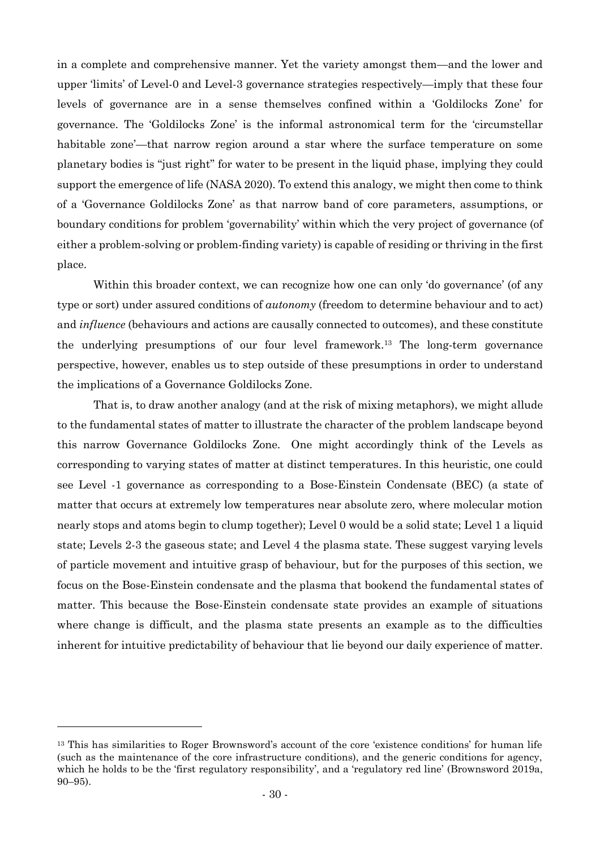in a complete and comprehensive manner. Yet the variety amongst them—and the lower and upper 'limits' of Level-0 and Level-3 governance strategies respectively—imply that these four levels of governance are in a sense themselves confined within a 'Goldilocks Zone' for governance. The 'Goldilocks Zone' is the informal astronomical term for the 'circumstellar habitable zone'—that narrow region around a star where the surface temperature on some planetary bodies is "just right" for water to be present in the liquid phase, implying they could support the emergence of life (NASA 2020). To extend this analogy, we might then come to think of a 'Governance Goldilocks Zone' as that narrow band of core parameters, assumptions, or boundary conditions for problem 'governability' within which the very project of governance (of either a problem-solving or problem-finding variety) is capable of residing or thriving in the first place.

Within this broader context, we can recognize how one can only 'do governance' (of any type or sort) under assured conditions of *autonomy* (freedom to determine behaviour and to act) and *influence* (behaviours and actions are causally connected to outcomes), and these constitute the underlying presumptions of our four level framework.<sup>13</sup> The long-term governance perspective, however, enables us to step outside of these presumptions in order to understand the implications of a Governance Goldilocks Zone.

That is, to draw another analogy (and at the risk of mixing metaphors), we might allude to the fundamental states of matter to illustrate the character of the problem landscape beyond this narrow Governance Goldilocks Zone. One might accordingly think of the Levels as corresponding to varying states of matter at distinct temperatures. In this heuristic, one could see Level -1 governance as corresponding to a Bose-Einstein Condensate (BEC) (a state of matter that occurs at extremely low temperatures near absolute zero, where molecular motion nearly stops and atoms begin to clump together); Level 0 would be a solid state; Level 1 a liquid state; Levels 2-3 the gaseous state; and Level 4 the plasma state. These suggest varying levels of particle movement and intuitive grasp of behaviour, but for the purposes of this section, we focus on the Bose-Einstein condensate and the plasma that bookend the fundamental states of matter. This because the Bose-Einstein condensate state provides an example of situations where change is difficult, and the plasma state presents an example as to the difficulties inherent for intuitive predictability of behaviour that lie beyond our daily experience of matter.

<sup>13</sup> This has similarities to Roger Brownsword's account of the core 'existence conditions' for human life (such as the maintenance of the core infrastructure conditions), and the generic conditions for agency, which he holds to be the 'first regulatory responsibility', and a 'regulatory red line' (Brownsword 2019a, 90–95).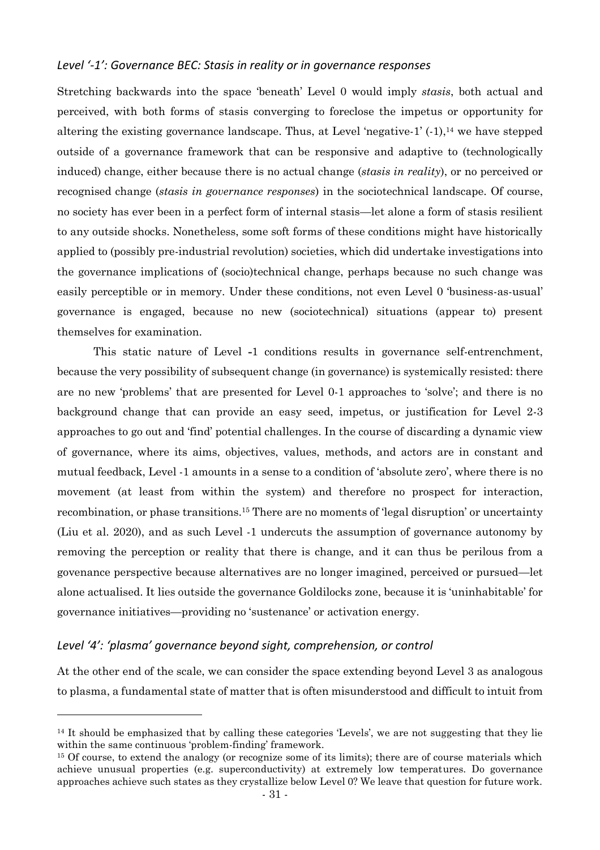#### *Level '-1': Governance BEC: Stasis in reality or in governance responses*

Stretching backwards into the space 'beneath' Level 0 would imply *stasis*, both actual and perceived, with both forms of stasis converging to foreclose the impetus or opportunity for altering the existing governance landscape. Thus, at Level 'negative-1' (-1), <sup>14</sup> we have stepped outside of a governance framework that can be responsive and adaptive to (technologically induced) change, either because there is no actual change (*stasis in reality*), or no perceived or recognised change (*stasis in governance responses*) in the sociotechnical landscape. Of course, no society has ever been in a perfect form of internal stasis—let alone a form of stasis resilient to any outside shocks. Nonetheless, some soft forms of these conditions might have historically applied to (possibly pre-industrial revolution) societies, which did undertake investigations into the governance implications of (socio)technical change, perhaps because no such change was easily perceptible or in memory. Under these conditions, not even Level 0 'business-as-usual' governance is engaged, because no new (sociotechnical) situations (appear to) present themselves for examination.

This static nature of Level **-**1 conditions results in governance self-entrenchment, because the very possibility of subsequent change (in governance) is systemically resisted: there are no new 'problems' that are presented for Level 0-1 approaches to 'solve'; and there is no background change that can provide an easy seed, impetus, or justification for Level 2-3 approaches to go out and 'find' potential challenges. In the course of discarding a dynamic view of governance, where its aims, objectives, values, methods, and actors are in constant and mutual feedback, Level -1 amounts in a sense to a condition of 'absolute zero', where there is no movement (at least from within the system) and therefore no prospect for interaction, recombination, or phase transitions.<sup>15</sup> There are no moments of 'legal disruption' or uncertainty (Liu et al. 2020), and as such Level -1 undercuts the assumption of governance autonomy by removing the perception or reality that there is change, and it can thus be perilous from a govenance perspective because alternatives are no longer imagined, perceived or pursued—let alone actualised. It lies outside the governance Goldilocks zone, because it is 'uninhabitable' for governance initiatives—providing no 'sustenance' or activation energy.

#### *Level '4': 'plasma' governance beyond sight, comprehension, or control*

At the other end of the scale, we can consider the space extending beyond Level 3 as analogous to plasma, a fundamental state of matter that is often misunderstood and difficult to intuit from

<sup>&</sup>lt;sup>14</sup> It should be emphasized that by calling these categories 'Levels', we are not suggesting that they lie within the same continuous 'problem-finding' framework.

<sup>&</sup>lt;sup>15</sup> Of course, to extend the analogy (or recognize some of its limits); there are of course materials which achieve unusual properties (e.g. superconductivity) at extremely low temperatures. Do governance approaches achieve such states as they crystallize below Level 0? We leave that question for future work.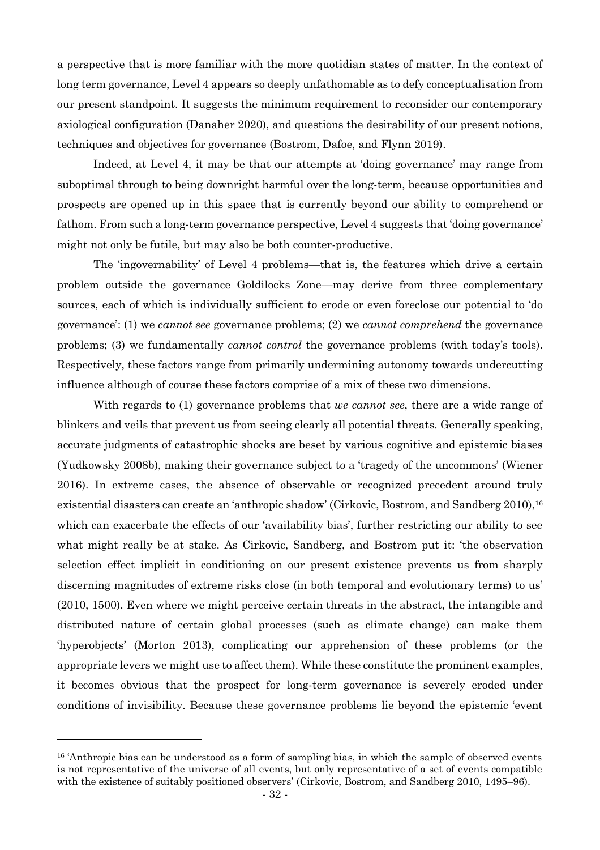a perspective that is more familiar with the more quotidian states of matter. In the context of long term governance, Level 4 appears so deeply unfathomable as to defy conceptualisation from our present standpoint. It suggests the minimum requirement to reconsider our contemporary axiological configuration (Danaher 2020), and questions the desirability of our present notions, techniques and objectives for governance (Bostrom, Dafoe, and Flynn 2019).

Indeed, at Level 4, it may be that our attempts at 'doing governance' may range from suboptimal through to being downright harmful over the long-term, because opportunities and prospects are opened up in this space that is currently beyond our ability to comprehend or fathom. From such a long-term governance perspective, Level 4 suggests that 'doing governance' might not only be futile, but may also be both counter-productive.

The 'ingovernability' of Level 4 problems—that is, the features which drive a certain problem outside the governance Goldilocks Zone—may derive from three complementary sources, each of which is individually sufficient to erode or even foreclose our potential to 'do governance': (1) we *cannot see* governance problems; (2) we *cannot comprehend* the governance problems; (3) we fundamentally *cannot control* the governance problems (with today's tools). Respectively, these factors range from primarily undermining autonomy towards undercutting influence although of course these factors comprise of a mix of these two dimensions.

With regards to (1) governance problems that *we cannot see*, there are a wide range of blinkers and veils that prevent us from seeing clearly all potential threats. Generally speaking, accurate judgments of catastrophic shocks are beset by various cognitive and epistemic biases (Yudkowsky 2008b), making their governance subject to a 'tragedy of the uncommons' (Wiener 2016). In extreme cases, the absence of observable or recognized precedent around truly existential disasters can create an 'anthropic shadow' (Cirkovic, Bostrom, and Sandberg 2010), 16 which can exacerbate the effects of our 'availability bias', further restricting our ability to see what might really be at stake. As Cirkovic, Sandberg, and Bostrom put it: 'the observation selection effect implicit in conditioning on our present existence prevents us from sharply discerning magnitudes of extreme risks close (in both temporal and evolutionary terms) to us' (2010, 1500). Even where we might perceive certain threats in the abstract, the intangible and distributed nature of certain global processes (such as climate change) can make them 'hyperobjects' (Morton 2013), complicating our apprehension of these problems (or the appropriate levers we might use to affect them). While these constitute the prominent examples, it becomes obvious that the prospect for long-term governance is severely eroded under conditions of invisibility. Because these governance problems lie beyond the epistemic 'event

<sup>&</sup>lt;sup>16</sup> 'Anthropic bias can be understood as a form of sampling bias, in which the sample of observed events is not representative of the universe of all events, but only representative of a set of events compatible with the existence of suitably positioned observers' (Cirkovic, Bostrom, and Sandberg 2010, 1495–96).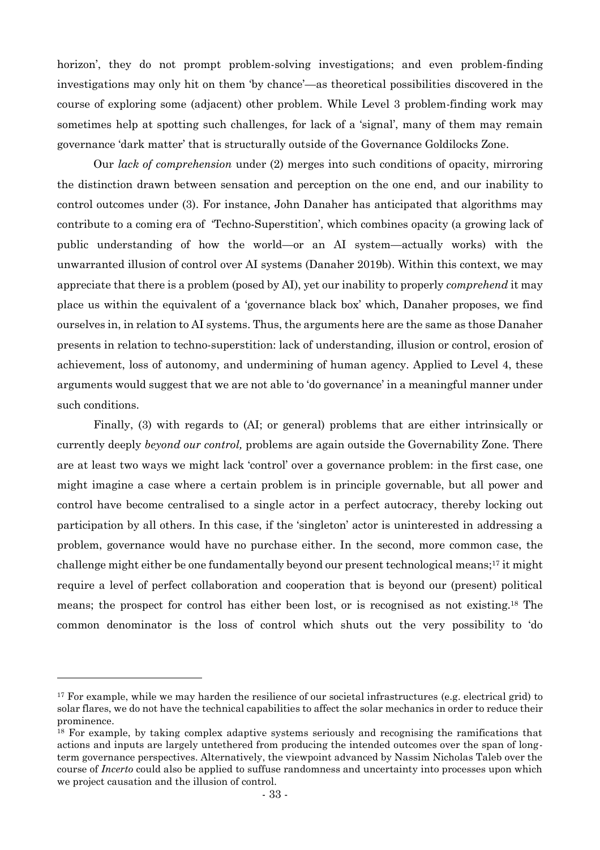horizon', they do not prompt problem-solving investigations; and even problem-finding investigations may only hit on them 'by chance'—as theoretical possibilities discovered in the course of exploring some (adjacent) other problem. While Level 3 problem-finding work may sometimes help at spotting such challenges, for lack of a 'signal', many of them may remain governance 'dark matter' that is structurally outside of the Governance Goldilocks Zone.

Our *lack of comprehension* under (2) merges into such conditions of opacity, mirroring the distinction drawn between sensation and perception on the one end, and our inability to control outcomes under (3). For instance, John Danaher has anticipated that algorithms may contribute to a coming era of 'Techno-Superstition', which combines opacity (a growing lack of public understanding of how the world—or an AI system—actually works) with the unwarranted illusion of control over AI systems (Danaher 2019b). Within this context, we may appreciate that there is a problem (posed by AI), yet our inability to properly *comprehend* it may place us within the equivalent of a 'governance black box' which, Danaher proposes, we find ourselves in, in relation to AI systems. Thus, the arguments here are the same as those Danaher presents in relation to techno-superstition: lack of understanding, illusion or control, erosion of achievement, loss of autonomy, and undermining of human agency. Applied to Level 4, these arguments would suggest that we are not able to 'do governance' in a meaningful manner under such conditions.

Finally, (3) with regards to (AI; or general) problems that are either intrinsically or currently deeply *beyond our control,* problems are again outside the Governability Zone. There are at least two ways we might lack 'control' over a governance problem: in the first case, one might imagine a case where a certain problem is in principle governable, but all power and control have become centralised to a single actor in a perfect autocracy, thereby locking out participation by all others. In this case, if the 'singleton' actor is uninterested in addressing a problem, governance would have no purchase either. In the second, more common case, the challenge might either be one fundamentally beyond our present technological means;<sup>17</sup> it might require a level of perfect collaboration and cooperation that is beyond our (present) political means; the prospect for control has either been lost, or is recognised as not existing. <sup>18</sup> The common denominator is the loss of control which shuts out the very possibility to 'do

<sup>&</sup>lt;sup>17</sup> For example, while we may harden the resilience of our societal infrastructures (e.g. electrical grid) to solar flares, we do not have the technical capabilities to affect the solar mechanics in order to reduce their prominence.

<sup>&</sup>lt;sup>18</sup> For example, by taking complex adaptive systems seriously and recognising the ramifications that actions and inputs are largely untethered from producing the intended outcomes over the span of longterm governance perspectives. Alternatively, the viewpoint advanced by Nassim Nicholas Taleb over the course of *Incerto* could also be applied to suffuse randomness and uncertainty into processes upon which we project causation and the illusion of control.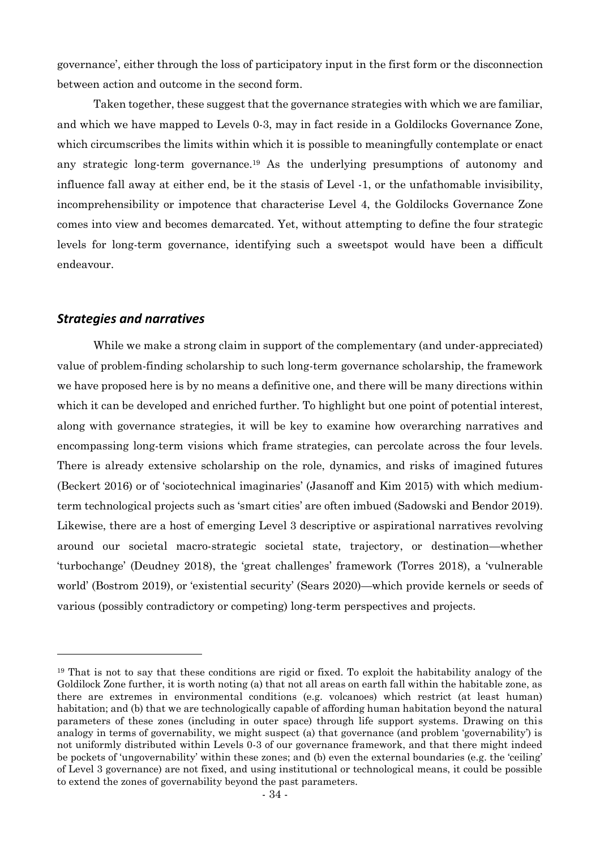governance', either through the loss of participatory input in the first form or the disconnection between action and outcome in the second form.

Taken together, these suggest that the governance strategies with which we are familiar, and which we have mapped to Levels 0-3, may in fact reside in a Goldilocks Governance Zone, which circumscribes the limits within which it is possible to meaningfully contemplate or enact any strategic long-term governance.<sup>19</sup> As the underlying presumptions of autonomy and influence fall away at either end, be it the stasis of Level -1, or the unfathomable invisibility, incomprehensibility or impotence that characterise Level 4, the Goldilocks Governance Zone comes into view and becomes demarcated. Yet, without attempting to define the four strategic levels for long-term governance, identifying such a sweetspot would have been a difficult endeavour.

### *Strategies and narratives*

While we make a strong claim in support of the complementary (and under-appreciated) value of problem-finding scholarship to such long-term governance scholarship, the framework we have proposed here is by no means a definitive one, and there will be many directions within which it can be developed and enriched further. To highlight but one point of potential interest, along with governance strategies, it will be key to examine how overarching narratives and encompassing long-term visions which frame strategies, can percolate across the four levels. There is already extensive scholarship on the role, dynamics, and risks of imagined futures (Beckert 2016) or of 'sociotechnical imaginaries' (Jasanoff and Kim 2015) with which mediumterm technological projects such as 'smart cities' are often imbued (Sadowski and Bendor 2019). Likewise, there are a host of emerging Level 3 descriptive or aspirational narratives revolving around our societal macro-strategic societal state, trajectory, or destination—whether 'turbochange' (Deudney 2018), the 'great challenges' framework (Torres 2018), a 'vulnerable world' (Bostrom 2019), or 'existential security' (Sears 2020)—which provide kernels or seeds of various (possibly contradictory or competing) long-term perspectives and projects.

<sup>19</sup> That is not to say that these conditions are rigid or fixed. To exploit the habitability analogy of the Goldilock Zone further, it is worth noting (a) that not all areas on earth fall within the habitable zone, as there are extremes in environmental conditions (e.g. volcanoes) which restrict (at least human) habitation; and (b) that we are technologically capable of affording human habitation beyond the natural parameters of these zones (including in outer space) through life support systems. Drawing on this analogy in terms of governability, we might suspect (a) that governance (and problem 'governability') is not uniformly distributed within Levels 0-3 of our governance framework, and that there might indeed be pockets of 'ungovernability' within these zones; and (b) even the external boundaries (e.g. the 'ceiling' of Level 3 governance) are not fixed, and using institutional or technological means, it could be possible to extend the zones of governability beyond the past parameters.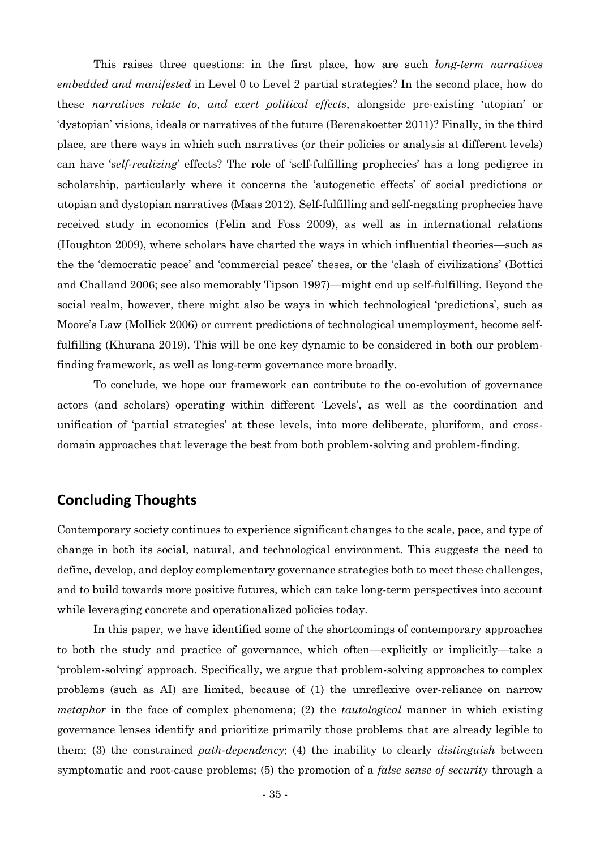This raises three questions: in the first place, how are such *long-term narratives embedded and manifested* in Level 0 to Level 2 partial strategies? In the second place, how do these *narratives relate to, and exert political effects*, alongside pre-existing 'utopian' or 'dystopian' visions, ideals or narratives of the future (Berenskoetter 2011)? Finally, in the third place, are there ways in which such narratives (or their policies or analysis at different levels) can have '*self-realizing*' effects? The role of 'self-fulfilling prophecies' has a long pedigree in scholarship, particularly where it concerns the 'autogenetic effects' of social predictions or utopian and dystopian narratives (Maas 2012). Self-fulfilling and self-negating prophecies have received study in economics (Felin and Foss 2009), as well as in international relations (Houghton 2009), where scholars have charted the ways in which influential theories—such as the the 'democratic peace' and 'commercial peace' theses, or the 'clash of civilizations' (Bottici and Challand 2006; see also memorably Tipson 1997)—might end up self-fulfilling. Beyond the social realm, however, there might also be ways in which technological 'predictions', such as Moore's Law (Mollick 2006) or current predictions of technological unemployment, become selffulfilling (Khurana 2019). This will be one key dynamic to be considered in both our problemfinding framework, as well as long-term governance more broadly.

To conclude, we hope our framework can contribute to the co-evolution of governance actors (and scholars) operating within different 'Levels', as well as the coordination and unification of 'partial strategies' at these levels, into more deliberate, pluriform, and crossdomain approaches that leverage the best from both problem-solving and problem-finding.

### **Concluding Thoughts**

Contemporary society continues to experience significant changes to the scale, pace, and type of change in both its social, natural, and technological environment. This suggests the need to define, develop, and deploy complementary governance strategies both to meet these challenges, and to build towards more positive futures, which can take long-term perspectives into account while leveraging concrete and operationalized policies today.

In this paper, we have identified some of the shortcomings of contemporary approaches to both the study and practice of governance, which often—explicitly or implicitly—take a 'problem-solving' approach. Specifically, we argue that problem-solving approaches to complex problems (such as AI) are limited, because of (1) the unreflexive over-reliance on narrow *metaphor* in the face of complex phenomena; (2) the *tautological* manner in which existing governance lenses identify and prioritize primarily those problems that are already legible to them; (3) the constrained *path-dependency*; (4) the inability to clearly *distinguish* between symptomatic and root-cause problems; (5) the promotion of a *false sense of security* through a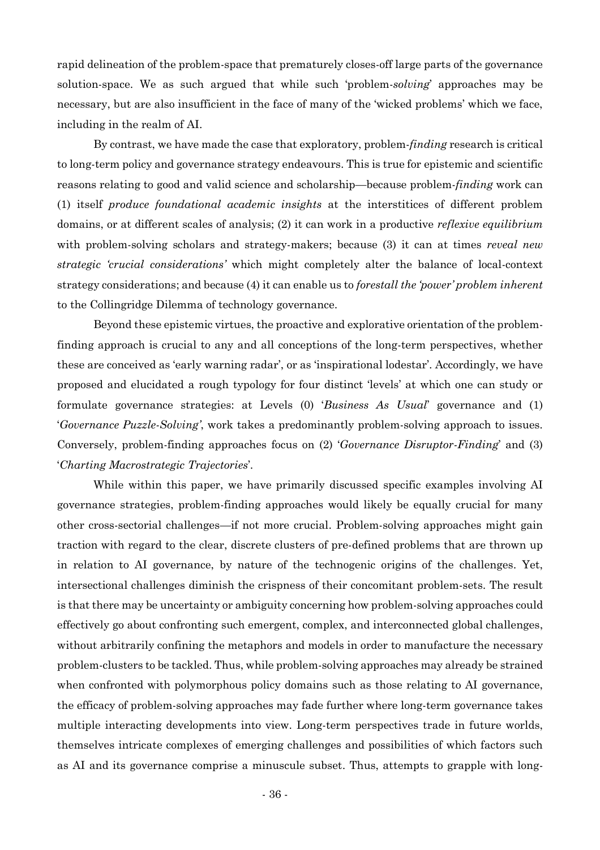rapid delineation of the problem-space that prematurely closes-off large parts of the governance solution-space. We as such argued that while such 'problem-*solving*' approaches may be necessary, but are also insufficient in the face of many of the 'wicked problems' which we face, including in the realm of AI.

By contrast, we have made the case that exploratory, problem-*finding* research is critical to long-term policy and governance strategy endeavours. This is true for epistemic and scientific reasons relating to good and valid science and scholarship—because problem-*finding* work can (1) itself *produce foundational academic insights* at the interstitices of different problem domains, or at different scales of analysis; (2) it can work in a productive *reflexive equilibrium*  with problem-solving scholars and strategy-makers; because (3) it can at times *reveal new strategic 'crucial considerations'* which might completely alter the balance of local-context strategy considerations; and because (4) it can enable us to *forestall the 'power' problem inherent* to the Collingridge Dilemma of technology governance.

Beyond these epistemic virtues, the proactive and explorative orientation of the problemfinding approach is crucial to any and all conceptions of the long-term perspectives, whether these are conceived as 'early warning radar', or as 'inspirational lodestar'. Accordingly, we have proposed and elucidated a rough typology for four distinct 'levels' at which one can study or formulate governance strategies: at Levels (0) '*Business As Usual*' governance and (1) '*Governance Puzzle-Solving'*, work takes a predominantly problem-solving approach to issues. Conversely, problem-finding approaches focus on (2) '*Governance Disruptor-Finding*' and (3) '*Charting Macrostrategic Trajectories*'.

While within this paper, we have primarily discussed specific examples involving AI governance strategies, problem-finding approaches would likely be equally crucial for many other cross-sectorial challenges—if not more crucial. Problem-solving approaches might gain traction with regard to the clear, discrete clusters of pre-defined problems that are thrown up in relation to AI governance, by nature of the technogenic origins of the challenges. Yet, intersectional challenges diminish the crispness of their concomitant problem-sets. The result is that there may be uncertainty or ambiguity concerning how problem-solving approaches could effectively go about confronting such emergent, complex, and interconnected global challenges, without arbitrarily confining the metaphors and models in order to manufacture the necessary problem-clusters to be tackled. Thus, while problem-solving approaches may already be strained when confronted with polymorphous policy domains such as those relating to AI governance, the efficacy of problem-solving approaches may fade further where long-term governance takes multiple interacting developments into view. Long-term perspectives trade in future worlds, themselves intricate complexes of emerging challenges and possibilities of which factors such as AI and its governance comprise a minuscule subset. Thus, attempts to grapple with long-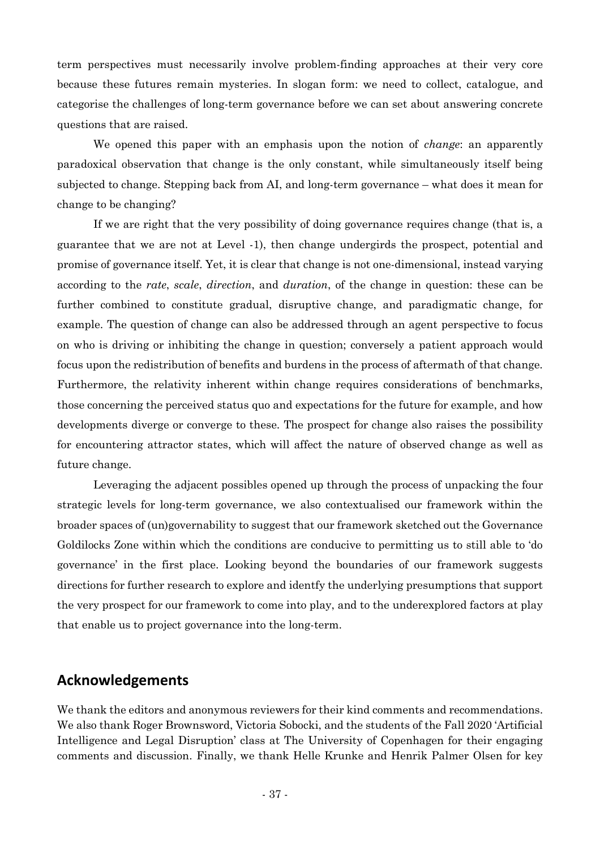term perspectives must necessarily involve problem-finding approaches at their very core because these futures remain mysteries. In slogan form: we need to collect, catalogue, and categorise the challenges of long-term governance before we can set about answering concrete questions that are raised.

We opened this paper with an emphasis upon the notion of *change*: an apparently paradoxical observation that change is the only constant, while simultaneously itself being subjected to change. Stepping back from AI, and long-term governance – what does it mean for change to be changing?

If we are right that the very possibility of doing governance requires change (that is, a guarantee that we are not at Level -1), then change undergirds the prospect, potential and promise of governance itself. Yet, it is clear that change is not one-dimensional, instead varying according to the *rate*, *scale*, *direction*, and *duration*, of the change in question: these can be further combined to constitute gradual, disruptive change, and paradigmatic change, for example. The question of change can also be addressed through an agent perspective to focus on who is driving or inhibiting the change in question; conversely a patient approach would focus upon the redistribution of benefits and burdens in the process of aftermath of that change. Furthermore, the relativity inherent within change requires considerations of benchmarks, those concerning the perceived status quo and expectations for the future for example, and how developments diverge or converge to these. The prospect for change also raises the possibility for encountering attractor states, which will affect the nature of observed change as well as future change.

Leveraging the adjacent possibles opened up through the process of unpacking the four strategic levels for long-term governance, we also contextualised our framework within the broader spaces of (un)governability to suggest that our framework sketched out the Governance Goldilocks Zone within which the conditions are conducive to permitting us to still able to 'do governance' in the first place. Looking beyond the boundaries of our framework suggests directions for further research to explore and identfy the underlying presumptions that support the very prospect for our framework to come into play, and to the underexplored factors at play that enable us to project governance into the long-term.

### **Acknowledgements**

We thank the editors and anonymous reviewers for their kind comments and recommendations. We also thank Roger Brownsword, Victoria Sobocki, and the students of the Fall 2020 'Artificial Intelligence and Legal Disruption' class at The University of Copenhagen for their engaging comments and discussion. Finally, we thank Helle Krunke and Henrik Palmer Olsen for key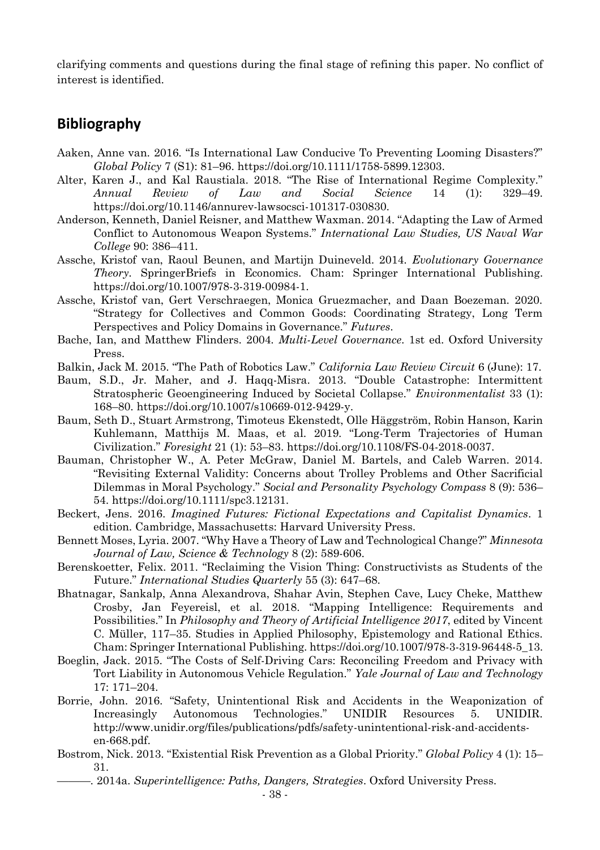clarifying comments and questions during the final stage of refining this paper. No conflict of interest is identified.

### **Bibliography**

- Aaken, Anne van. 2016. "Is International Law Conducive To Preventing Looming Disasters?" *Global Policy* 7 (S1): 81–96. https://doi.org/10.1111/1758-5899.12303.
- Alter, Karen J., and Kal Raustiala. 2018. "The Rise of International Regime Complexity." *Annual Review of Law and Social Science* 14 (1): 329–49. https://doi.org/10.1146/annurev-lawsocsci-101317-030830.
- Anderson, Kenneth, Daniel Reisner, and Matthew Waxman. 2014. "Adapting the Law of Armed Conflict to Autonomous Weapon Systems." *International Law Studies, US Naval War College* 90: 386–411.
- Assche, Kristof van, Raoul Beunen, and Martijn Duineveld. 2014. *Evolutionary Governance Theory*. SpringerBriefs in Economics. Cham: Springer International Publishing. https://doi.org/10.1007/978-3-319-00984-1.
- Assche, Kristof van, Gert Verschraegen, Monica Gruezmacher, and Daan Boezeman. 2020. "Strategy for Collectives and Common Goods: Coordinating Strategy, Long Term Perspectives and Policy Domains in Governance." *Futures*.
- Bache, Ian, and Matthew Flinders. 2004. *Multi-Level Governance*. 1st ed. Oxford University Press.
- Balkin, Jack M. 2015. "The Path of Robotics Law." *California Law Review Circuit* 6 (June): 17.
- Baum, S.D., Jr. Maher, and J. Haqq-Misra. 2013. "Double Catastrophe: Intermittent Stratospheric Geoengineering Induced by Societal Collapse." *Environmentalist* 33 (1): 168–80. https://doi.org/10.1007/s10669-012-9429-y.
- Baum, Seth D., Stuart Armstrong, Timoteus Ekenstedt, Olle Häggström, Robin Hanson, Karin Kuhlemann, Matthijs M. Maas, et al. 2019. "Long-Term Trajectories of Human Civilization." *Foresight* 21 (1): 53–83. https://doi.org/10.1108/FS-04-2018-0037.
- Bauman, Christopher W., A. Peter McGraw, Daniel M. Bartels, and Caleb Warren. 2014. "Revisiting External Validity: Concerns about Trolley Problems and Other Sacrificial Dilemmas in Moral Psychology." *Social and Personality Psychology Compass* 8 (9): 536– 54. https://doi.org/10.1111/spc3.12131.
- Beckert, Jens. 2016. *Imagined Futures: Fictional Expectations and Capitalist Dynamics*. 1 edition. Cambridge, Massachusetts: Harvard University Press.
- Bennett Moses, Lyria. 2007. "Why Have a Theory of Law and Technological Change?" *Minnesota Journal of Law, Science & Technology* 8 (2): 589-606.
- Berenskoetter, Felix. 2011. "Reclaiming the Vision Thing: Constructivists as Students of the Future." *International Studies Quarterly* 55 (3): 647–68.
- Bhatnagar, Sankalp, Anna Alexandrova, Shahar Avin, Stephen Cave, Lucy Cheke, Matthew Crosby, Jan Feyereisl, et al. 2018. "Mapping Intelligence: Requirements and Possibilities." In *Philosophy and Theory of Artificial Intelligence 2017*, edited by Vincent C. Müller, 117–35. Studies in Applied Philosophy, Epistemology and Rational Ethics. Cham: Springer International Publishing. https://doi.org/10.1007/978-3-319-96448-5\_13.
- Boeglin, Jack. 2015. "The Costs of Self-Driving Cars: Reconciling Freedom and Privacy with Tort Liability in Autonomous Vehicle Regulation." *Yale Journal of Law and Technology* 17: 171–204.
- Borrie, John. 2016. "Safety, Unintentional Risk and Accidents in the Weaponization of Increasingly Autonomous Technologies." UNIDIR Resources 5. UNIDIR. http://www.unidir.org/files/publications/pdfs/safety-unintentional-risk-and-accidentsen-668.pdf.
- Bostrom, Nick. 2013. "Existential Risk Prevention as a Global Priority." *Global Policy* 4 (1): 15– 31.
	- ———. 2014a. *Superintelligence: Paths, Dangers, Strategies*. Oxford University Press.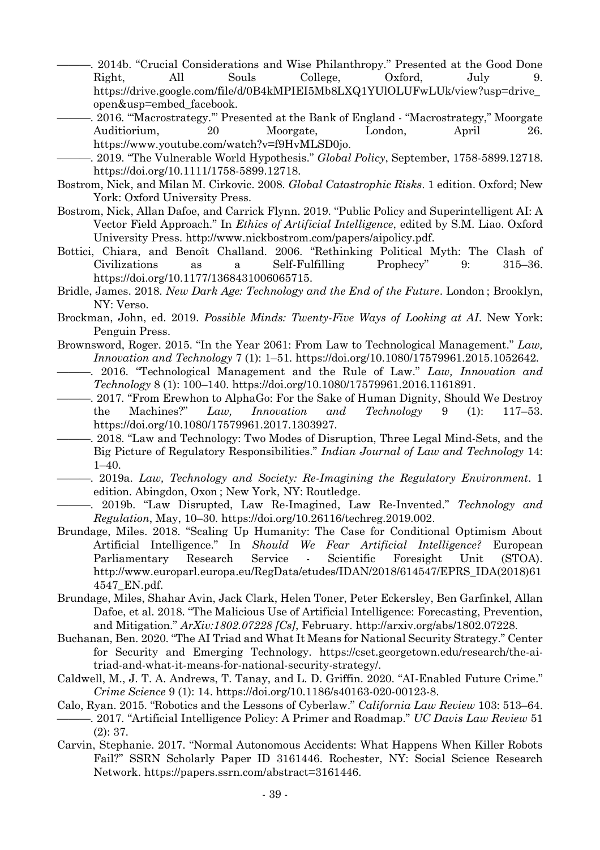. 2014b. "Crucial Considerations and Wise Philanthropy." Presented at the Good Done Right, All Souls College, Oxford, July 9. https://drive.google.com/file/d/0B4kMPIEI5Mb8LXQ1YUlOLUFwLUk/view?usp=drive\_ open&usp=embed\_facebook.

-. 2016. "Macrostrategy." Presented at the Bank of England - "Macrostrategy," Moorgate Auditiorium, 20 Moorgate, London, April 26. https://www.youtube.com/watch?v=f9HvMLSD0jo.

———. 2019. "The Vulnerable World Hypothesis." *Global Policy*, September, 1758-5899.12718. https://doi.org/10.1111/1758-5899.12718.

- Bostrom, Nick, and Milan M. Cirkovic. 2008. *Global Catastrophic Risks*. 1 edition. Oxford; New York: Oxford University Press.
- Bostrom, Nick, Allan Dafoe, and Carrick Flynn. 2019. "Public Policy and Superintelligent AI: A Vector Field Approach." In *Ethics of Artificial Intelligence*, edited by S.M. Liao. Oxford University Press. http://www.nickbostrom.com/papers/aipolicy.pdf.
- Bottici, Chiara, and Benoît Challand. 2006. "Rethinking Political Myth: The Clash of Civilizations as a Self-Fulfilling Prophecy" 9: 315–36. https://doi.org/10.1177/1368431006065715.
- Bridle, James. 2018. *New Dark Age: Technology and the End of the Future*. London ; Brooklyn, NY: Verso.
- Brockman, John, ed. 2019. *Possible Minds: Twenty-Five Ways of Looking at AI*. New York: Penguin Press.
- Brownsword, Roger. 2015. "In the Year 2061: From Law to Technological Management." *Law, Innovation and Technology* 7 (1): 1–51. https://doi.org/10.1080/17579961.2015.1052642.
	- ———. 2016. "Technological Management and the Rule of Law." *Law, Innovation and Technology* 8 (1): 100–140. https://doi.org/10.1080/17579961.2016.1161891.
- ———. 2017. "From Erewhon to AlphaGo: For the Sake of Human Dignity, Should We Destroy the Machines?" *Law, Innovation and Technology* 9 (1): 117–53. https://doi.org/10.1080/17579961.2017.1303927.
- ———. 2018. "Law and Technology: Two Modes of Disruption, Three Legal Mind-Sets, and the Big Picture of Regulatory Responsibilities." *Indian Journal of Law and Technology* 14:  $1-40.$
- ———. 2019a. *Law, Technology and Society: Re-Imagining the Regulatory Environment*. 1 edition. Abingdon, Oxon ; New York, NY: Routledge.
- ———. 2019b. "Law Disrupted, Law Re-Imagined, Law Re-Invented." *Technology and Regulation*, May, 10–30. https://doi.org/10.26116/techreg.2019.002.
- Brundage, Miles. 2018. "Scaling Up Humanity: The Case for Conditional Optimism About Artificial Intelligence." In *Should We Fear Artificial Intelligence?* European Parliamentary Research Service - Scientific Foresight Unit (STOA). http://www.europarl.europa.eu/RegData/etudes/IDAN/2018/614547/EPRS\_IDA(2018)61 4547\_EN.pdf.
- Brundage, Miles, Shahar Avin, Jack Clark, Helen Toner, Peter Eckersley, Ben Garfinkel, Allan Dafoe, et al. 2018. "The Malicious Use of Artificial Intelligence: Forecasting, Prevention, and Mitigation." *ArXiv:1802.07228 [Cs]*, February. http://arxiv.org/abs/1802.07228.
- Buchanan, Ben. 2020. "The AI Triad and What It Means for National Security Strategy." Center for Security and Emerging Technology. https://cset.georgetown.edu/research/the-aitriad-and-what-it-means-for-national-security-strategy/.
- Caldwell, M., J. T. A. Andrews, T. Tanay, and L. D. Griffin. 2020. "AI-Enabled Future Crime." *Crime Science* 9 (1): 14. https://doi.org/10.1186/s40163-020-00123-8.
- Calo, Ryan. 2015. "Robotics and the Lessons of Cyberlaw." *California Law Review* 103: 513–64. ———. 2017. "Artificial Intelligence Policy: A Primer and Roadmap." *UC Davis Law Review* 51 (2): 37.
- Carvin, Stephanie. 2017. "Normal Autonomous Accidents: What Happens When Killer Robots Fail?" SSRN Scholarly Paper ID 3161446. Rochester, NY: Social Science Research Network. https://papers.ssrn.com/abstract=3161446.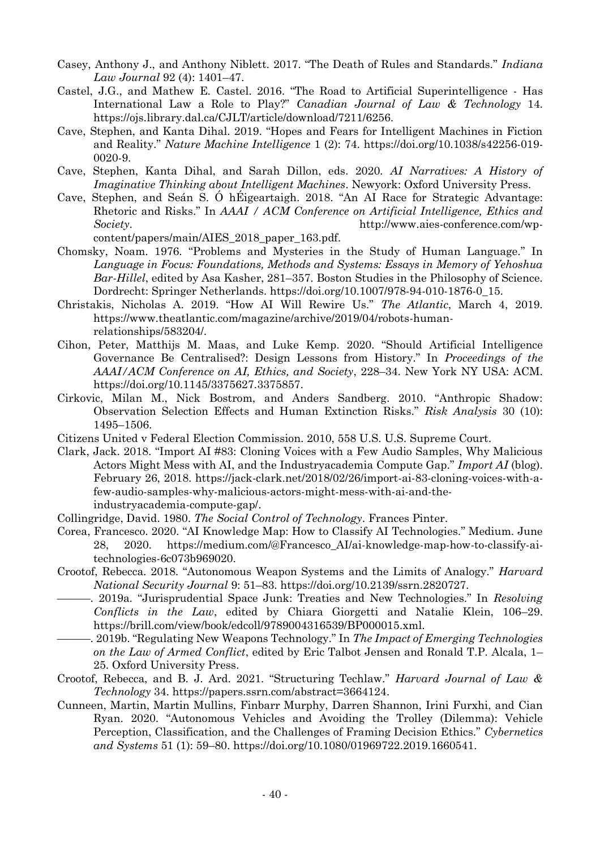- Casey, Anthony J., and Anthony Niblett. 2017. "The Death of Rules and Standards." *Indiana Law Journal* 92 (4): 1401–47.
- Castel, J.G., and Mathew E. Castel. 2016. "The Road to Artificial Superintelligence Has International Law a Role to Play?" *Canadian Journal of Law & Technology* 14. https://ojs.library.dal.ca/CJLT/article/download/7211/6256.
- Cave, Stephen, and Kanta Dihal. 2019. "Hopes and Fears for Intelligent Machines in Fiction and Reality." *Nature Machine Intelligence* 1 (2): 74. https://doi.org/10.1038/s42256-019- 0020-9.
- Cave, Stephen, Kanta Dihal, and Sarah Dillon, eds. 2020. *AI Narratives: A History of Imaginative Thinking about Intelligent Machines*. Newyork: Oxford University Press.
- Cave, Stephen, and Seán S. Ó hÉigeartaigh. 2018. "An AI Race for Strategic Advantage: Rhetoric and Risks." In *AAAI / ACM Conference on Artificial Intelligence, Ethics and Society*. http://www.aies-conference.com/wpcontent/papers/main/AIES\_2018\_paper\_163.pdf.
- Chomsky, Noam. 1976. "Problems and Mysteries in the Study of Human Language." In *Language in Focus: Foundations, Methods and Systems: Essays in Memory of Yehoshua Bar-Hillel*, edited by Asa Kasher, 281–357. Boston Studies in the Philosophy of Science. Dordrecht: Springer Netherlands. https://doi.org/10.1007/978-94-010-1876-0\_15.
- Christakis, Nicholas A. 2019. "How AI Will Rewire Us." *The Atlantic*, March 4, 2019. https://www.theatlantic.com/magazine/archive/2019/04/robots-humanrelationships/583204/.
- Cihon, Peter, Matthijs M. Maas, and Luke Kemp. 2020. "Should Artificial Intelligence Governance Be Centralised?: Design Lessons from History." In *Proceedings of the AAAI/ACM Conference on AI, Ethics, and Society*, 228–34. New York NY USA: ACM. https://doi.org/10.1145/3375627.3375857.
- Cirkovic, Milan M., Nick Bostrom, and Anders Sandberg. 2010. "Anthropic Shadow: Observation Selection Effects and Human Extinction Risks." *Risk Analysis* 30 (10): 1495–1506.
- Citizens United v Federal Election Commission. 2010, 558 U.S. U.S. Supreme Court.
- Clark, Jack. 2018. "Import AI #83: Cloning Voices with a Few Audio Samples, Why Malicious Actors Might Mess with AI, and the Industryacademia Compute Gap." *Import AI* (blog). February 26, 2018. https://jack-clark.net/2018/02/26/import-ai-83-cloning-voices-with-afew-audio-samples-why-malicious-actors-might-mess-with-ai-and-theindustryacademia-compute-gap/.
- Collingridge, David. 1980. *The Social Control of Technology*. Frances Pinter.
- Corea, Francesco. 2020. "AI Knowledge Map: How to Classify AI Technologies." Medium. June 28, 2020. https://medium.com/@Francesco\_AI/ai-knowledge-map-how-to-classify-aitechnologies-6c073b969020.
- Crootof, Rebecca. 2018. "Autonomous Weapon Systems and the Limits of Analogy." *Harvard National Security Journal* 9: 51–83. https://doi.org/10.2139/ssrn.2820727.
- ———. 2019a. "Jurisprudential Space Junk: Treaties and New Technologies." In *Resolving Conflicts in the Law*, edited by Chiara Giorgetti and Natalie Klein, 106–29. https://brill.com/view/book/edcoll/9789004316539/BP000015.xml.
- ———. 2019b. "Regulating New Weapons Technology." In *The Impact of Emerging Technologies on the Law of Armed Conflict*, edited by Eric Talbot Jensen and Ronald T.P. Alcala, 1– 25. Oxford University Press.
- Crootof, Rebecca, and B. J. Ard. 2021. "Structuring Techlaw." *Harvard Journal of Law & Technology* 34. https://papers.ssrn.com/abstract=3664124.
- Cunneen, Martin, Martin Mullins, Finbarr Murphy, Darren Shannon, Irini Furxhi, and Cian Ryan. 2020. "Autonomous Vehicles and Avoiding the Trolley (Dilemma): Vehicle Perception, Classification, and the Challenges of Framing Decision Ethics." *Cybernetics and Systems* 51 (1): 59–80. https://doi.org/10.1080/01969722.2019.1660541.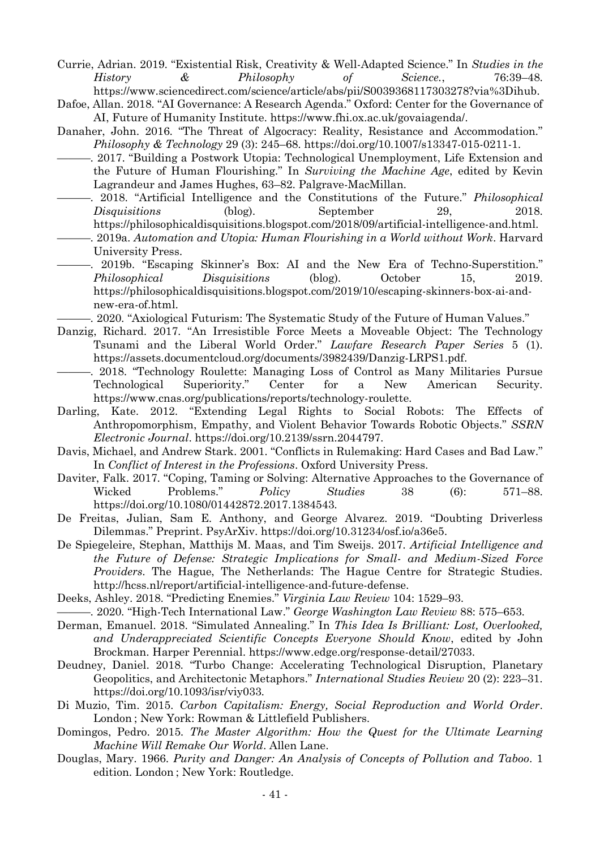- Currie, Adrian. 2019. "Existential Risk, Creativity & Well-Adapted Science." In *Studies in the History & Philosophy of Science.*, 76:39–48. https://www.sciencedirect.com/science/article/abs/pii/S0039368117303278?via%3Dihub.
- Dafoe, Allan. 2018. "AI Governance: A Research Agenda." Oxford: Center for the Governance of AI, Future of Humanity Institute. https://www.fhi.ox.ac.uk/govaiagenda/.
- Danaher, John. 2016. "The Threat of Algocracy: Reality, Resistance and Accommodation." *Philosophy & Technology* 29 (3): 245–68. https://doi.org/10.1007/s13347-015-0211-1.
- -. 2017. "Building a Postwork Utopia: Technological Unemployment, Life Extension and the Future of Human Flourishing." In *Surviving the Machine Age*, edited by Kevin Lagrandeur and James Hughes, 63–82. Palgrave-MacMillan.
- ———. 2018. "Artificial Intelligence and the Constitutions of the Future." *Philosophical Disquisitions* (blog). September 29, 2018. https://philosophicaldisquisitions.blogspot.com/2018/09/artificial-intelligence-and.html.
	- ———. 2019a. *Automation and Utopia: Human Flourishing in a World without Work*. Harvard University Press.
- ———. 2019b. "Escaping Skinner's Box: AI and the New Era of Techno-Superstition." *Philosophical Disquisitions* (blog). October 15, 2019. https://philosophicaldisquisitions.blogspot.com/2019/10/escaping-skinners-box-ai-andnew-era-of.html.

. 2020. "Axiological Futurism: The Systematic Study of the Future of Human Values."

- Danzig, Richard. 2017. "An Irresistible Force Meets a Moveable Object: The Technology Tsunami and the Liberal World Order." *Lawfare Research Paper Series* 5 (1). https://assets.documentcloud.org/documents/3982439/Danzig-LRPS1.pdf.
- ———. 2018. "Technology Roulette: Managing Loss of Control as Many Militaries Pursue Technological Superiority." Center for a New American Security. https://www.cnas.org/publications/reports/technology-roulette.
- Darling, Kate. 2012. "Extending Legal Rights to Social Robots: The Effects of Anthropomorphism, Empathy, and Violent Behavior Towards Robotic Objects." *SSRN Electronic Journal*. https://doi.org/10.2139/ssrn.2044797.
- Davis, Michael, and Andrew Stark. 2001. "Conflicts in Rulemaking: Hard Cases and Bad Law." In *Conflict of Interest in the Professions*. Oxford University Press.
- Daviter, Falk. 2017. "Coping, Taming or Solving: Alternative Approaches to the Governance of Wicked Problems." *Policy Studies* 38 (6): 571–88. https://doi.org/10.1080/01442872.2017.1384543.
- De Freitas, Julian, Sam E. Anthony, and George Alvarez. 2019. "Doubting Driverless Dilemmas." Preprint. PsyArXiv. https://doi.org/10.31234/osf.io/a36e5.
- De Spiegeleire, Stephan, Matthijs M. Maas, and Tim Sweijs. 2017. *Artificial Intelligence and the Future of Defense: Strategic Implications for Small- and Medium-Sized Force Providers*. The Hague, The Netherlands: The Hague Centre for Strategic Studies. http://hcss.nl/report/artificial-intelligence-and-future-defense.
- Deeks, Ashley. 2018. "Predicting Enemies." *Virginia Law Review* 104: 1529–93.
- ———. 2020. "High-Tech International Law." *George Washington Law Review* 88: 575–653.
- Derman, Emanuel. 2018. "Simulated Annealing." In *This Idea Is Brilliant: Lost, Overlooked, and Underappreciated Scientific Concepts Everyone Should Know*, edited by John Brockman. Harper Perennial. https://www.edge.org/response-detail/27033.
- Deudney, Daniel. 2018. "Turbo Change: Accelerating Technological Disruption, Planetary Geopolitics, and Architectonic Metaphors." *International Studies Review* 20 (2): 223–31. https://doi.org/10.1093/isr/viy033.
- Di Muzio, Tim. 2015. *Carbon Capitalism: Energy, Social Reproduction and World Order*. London ; New York: Rowman & Littlefield Publishers.
- Domingos, Pedro. 2015. *The Master Algorithm: How the Quest for the Ultimate Learning Machine Will Remake Our World*. Allen Lane.
- Douglas, Mary. 1966. *Purity and Danger: An Analysis of Concepts of Pollution and Taboo*. 1 edition. London ; New York: Routledge.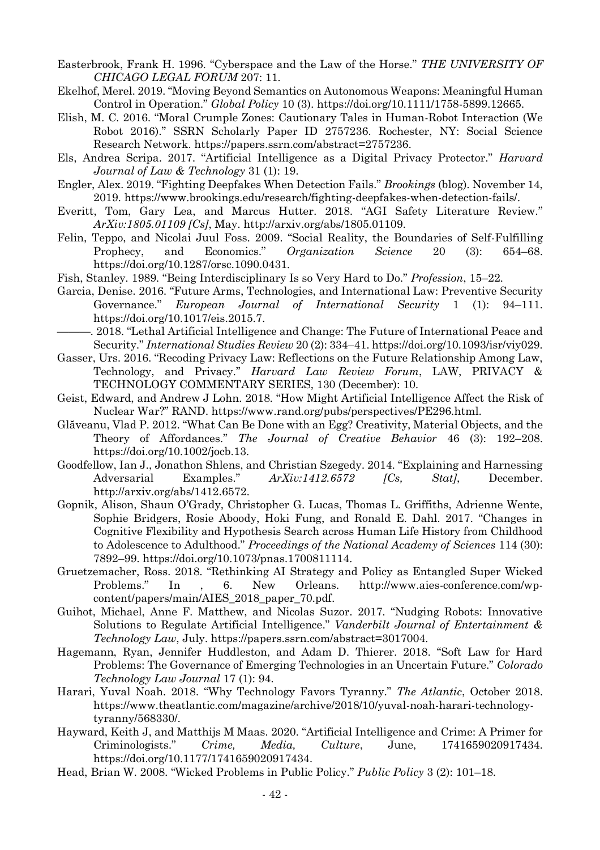- Easterbrook, Frank H. 1996. "Cyberspace and the Law of the Horse." *THE UNIVERSITY OF CHICAGO LEGAL FORUM* 207: 11.
- Ekelhof, Merel. 2019. "Moving Beyond Semantics on Autonomous Weapons: Meaningful Human Control in Operation." *Global Policy* 10 (3). https://doi.org/10.1111/1758-5899.12665.
- Elish, M. C. 2016. "Moral Crumple Zones: Cautionary Tales in Human-Robot Interaction (We Robot 2016)." SSRN Scholarly Paper ID 2757236. Rochester, NY: Social Science Research Network. https://papers.ssrn.com/abstract=2757236.
- Els, Andrea Scripa. 2017. "Artificial Intelligence as a Digital Privacy Protector." *Harvard Journal of Law & Technology* 31 (1): 19.
- Engler, Alex. 2019. "Fighting Deepfakes When Detection Fails." *Brookings* (blog). November 14, 2019. https://www.brookings.edu/research/fighting-deepfakes-when-detection-fails/.
- Everitt, Tom, Gary Lea, and Marcus Hutter. 2018. "AGI Safety Literature Review." *ArXiv:1805.01109 [Cs]*, May. http://arxiv.org/abs/1805.01109.
- Felin, Teppo, and Nicolai Juul Foss. 2009. "Social Reality, the Boundaries of Self-Fulfilling Prophecy, and Economics." *Organization Science* 20 (3): 654–68. https://doi.org/10.1287/orsc.1090.0431.
- Fish, Stanley. 1989. "Being Interdisciplinary Is so Very Hard to Do." *Profession*, 15–22.
- Garcia, Denise. 2016. "Future Arms, Technologies, and International Law: Preventive Security Governance." *European Journal of International Security* 1 (1): 94–111. https://doi.org/10.1017/eis.2015.7.
- ———. 2018. "Lethal Artificial Intelligence and Change: The Future of International Peace and Security." *International Studies Review* 20 (2): 334–41. https://doi.org/10.1093/isr/viy029.
- Gasser, Urs. 2016. "Recoding Privacy Law: Reflections on the Future Relationship Among Law, Technology, and Privacy." *Harvard Law Review Forum*, LAW, PRIVACY & TECHNOLOGY COMMENTARY SERIES, 130 (December): 10.
- Geist, Edward, and Andrew J Lohn. 2018. "How Might Artificial Intelligence Affect the Risk of Nuclear War?" RAND. https://www.rand.org/pubs/perspectives/PE296.html.
- Glăveanu, Vlad P. 2012. "What Can Be Done with an Egg? Creativity, Material Objects, and the Theory of Affordances." *The Journal of Creative Behavior* 46 (3): 192–208. https://doi.org/10.1002/jocb.13.
- Goodfellow, Ian J., Jonathon Shlens, and Christian Szegedy. 2014. "Explaining and Harnessing Adversarial Examples." *ArXiv:1412.6572 [Cs, Stat]*, December. http://arxiv.org/abs/1412.6572.
- Gopnik, Alison, Shaun O'Grady, Christopher G. Lucas, Thomas L. Griffiths, Adrienne Wente, Sophie Bridgers, Rosie Aboody, Hoki Fung, and Ronald E. Dahl. 2017. "Changes in Cognitive Flexibility and Hypothesis Search across Human Life History from Childhood to Adolescence to Adulthood." *Proceedings of the National Academy of Sciences* 114 (30): 7892–99. https://doi.org/10.1073/pnas.1700811114.
- Gruetzemacher, Ross. 2018. "Rethinking AI Strategy and Policy as Entangled Super Wicked Problems." In , 6. New Orleans. http://www.aies-conference.com/wpcontent/papers/main/AIES\_2018\_paper\_70.pdf.
- Guihot, Michael, Anne F. Matthew, and Nicolas Suzor. 2017. "Nudging Robots: Innovative Solutions to Regulate Artificial Intelligence." *Vanderbilt Journal of Entertainment & Technology Law*, July. https://papers.ssrn.com/abstract=3017004.
- Hagemann, Ryan, Jennifer Huddleston, and Adam D. Thierer. 2018. "Soft Law for Hard Problems: The Governance of Emerging Technologies in an Uncertain Future." *Colorado Technology Law Journal* 17 (1): 94.
- Harari, Yuval Noah. 2018. "Why Technology Favors Tyranny." *The Atlantic*, October 2018. https://www.theatlantic.com/magazine/archive/2018/10/yuval-noah-harari-technologytyranny/568330/.
- Hayward, Keith J, and Matthijs M Maas. 2020. "Artificial Intelligence and Crime: A Primer for Criminologists." *Crime, Media, Culture*, June, 1741659020917434. https://doi.org/10.1177/1741659020917434.
- Head, Brian W. 2008. "Wicked Problems in Public Policy." *Public Policy* 3 (2): 101–18.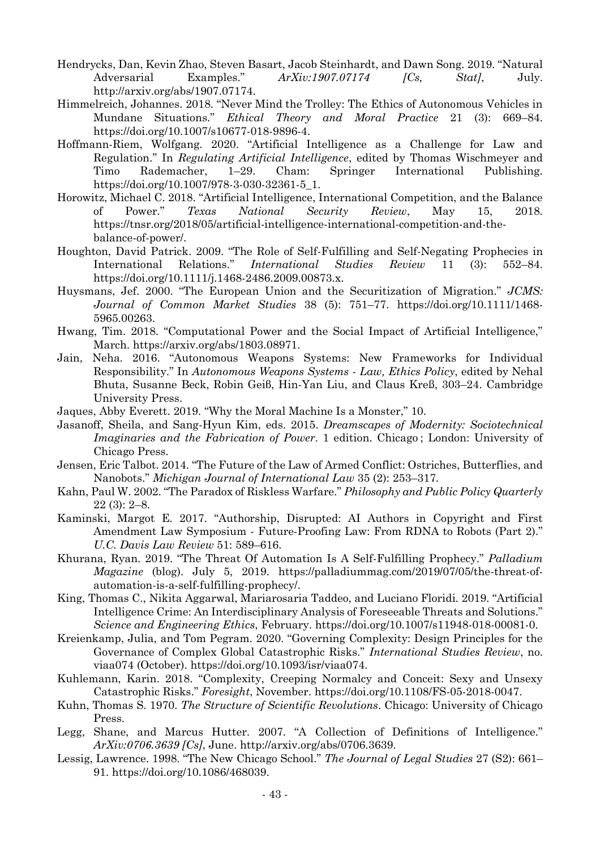- Hendrycks, Dan, Kevin Zhao, Steven Basart, Jacob Steinhardt, and Dawn Song. 2019. "Natural Adversarial Examples." *ArXiv:1907.07174 [Cs, Stat]*, July. http://arxiv.org/abs/1907.07174.
- Himmelreich, Johannes. 2018. "Never Mind the Trolley: The Ethics of Autonomous Vehicles in Mundane Situations." *Ethical Theory and Moral Practice* 21 (3): 669–84. https://doi.org/10.1007/s10677-018-9896-4.
- Hoffmann-Riem, Wolfgang. 2020. "Artificial Intelligence as a Challenge for Law and Regulation." In *Regulating Artificial Intelligence*, edited by Thomas Wischmeyer and Timo Rademacher, 1–29. Cham: Springer International Publishing. https://doi.org/10.1007/978-3-030-32361-5\_1.
- Horowitz, Michael C. 2018. "Artificial Intelligence, International Competition, and the Balance of Power." *Texas National Security Review*, May 15, 2018. https://tnsr.org/2018/05/artificial-intelligence-international-competition-and-thebalance-of-power/.
- Houghton, David Patrick. 2009. "The Role of Self-Fulfilling and Self-Negating Prophecies in International Relations." *International Studies Review* 11 (3): 552–84. https://doi.org/10.1111/j.1468-2486.2009.00873.x.
- Huysmans, Jef. 2000. "The European Union and the Securitization of Migration." *JCMS: Journal of Common Market Studies* 38 (5): 751–77. https://doi.org/10.1111/1468- 5965.00263.
- Hwang, Tim. 2018. "Computational Power and the Social Impact of Artificial Intelligence," March. https://arxiv.org/abs/1803.08971.
- Jain, Neha. 2016. "Autonomous Weapons Systems: New Frameworks for Individual Responsibility." In *Autonomous Weapons Systems - Law, Ethics Policy*, edited by Nehal Bhuta, Susanne Beck, Robin Geiβ, Hin-Yan Liu, and Claus Kreß, 303–24. Cambridge University Press.
- Jaques, Abby Everett. 2019. "Why the Moral Machine Is a Monster," 10.
- Jasanoff, Sheila, and Sang-Hyun Kim, eds. 2015. *Dreamscapes of Modernity: Sociotechnical Imaginaries and the Fabrication of Power*. 1 edition. Chicago ; London: University of Chicago Press.
- Jensen, Eric Talbot. 2014. "The Future of the Law of Armed Conflict: Ostriches, Butterflies, and Nanobots." *Michigan Journal of International Law* 35 (2): 253–317.
- Kahn, Paul W. 2002. "The Paradox of Riskless Warfare." *Philosophy and Public Policy Quarterly* 22 (3): 2–8.
- Kaminski, Margot E. 2017. "Authorship, Disrupted: AI Authors in Copyright and First Amendment Law Symposium - Future-Proofing Law: From RDNA to Robots (Part 2)." *U.C. Davis Law Review* 51: 589–616.
- Khurana, Ryan. 2019. "The Threat Of Automation Is A Self-Fulfilling Prophecy." *Palladium Magazine* (blog). July 5, 2019. https://palladiummag.com/2019/07/05/the-threat-ofautomation-is-a-self-fulfilling-prophecy/.
- King, Thomas C., Nikita Aggarwal, Mariarosaria Taddeo, and Luciano Floridi. 2019. "Artificial Intelligence Crime: An Interdisciplinary Analysis of Foreseeable Threats and Solutions." *Science and Engineering Ethics*, February. https://doi.org/10.1007/s11948-018-00081-0.
- Kreienkamp, Julia, and Tom Pegram. 2020. "Governing Complexity: Design Principles for the Governance of Complex Global Catastrophic Risks." *International Studies Review*, no. viaa074 (October). https://doi.org/10.1093/isr/viaa074.
- Kuhlemann, Karin. 2018. "Complexity, Creeping Normalcy and Conceit: Sexy and Unsexy Catastrophic Risks." *Foresight*, November. https://doi.org/10.1108/FS-05-2018-0047.
- Kuhn, Thomas S. 1970. *The Structure of Scientific Revolutions*. Chicago: University of Chicago Press.
- Legg, Shane, and Marcus Hutter. 2007. "A Collection of Definitions of Intelligence." *ArXiv:0706.3639 [Cs]*, June. http://arxiv.org/abs/0706.3639.
- Lessig, Lawrence. 1998. "The New Chicago School." *The Journal of Legal Studies* 27 (S2): 661– 91. https://doi.org/10.1086/468039.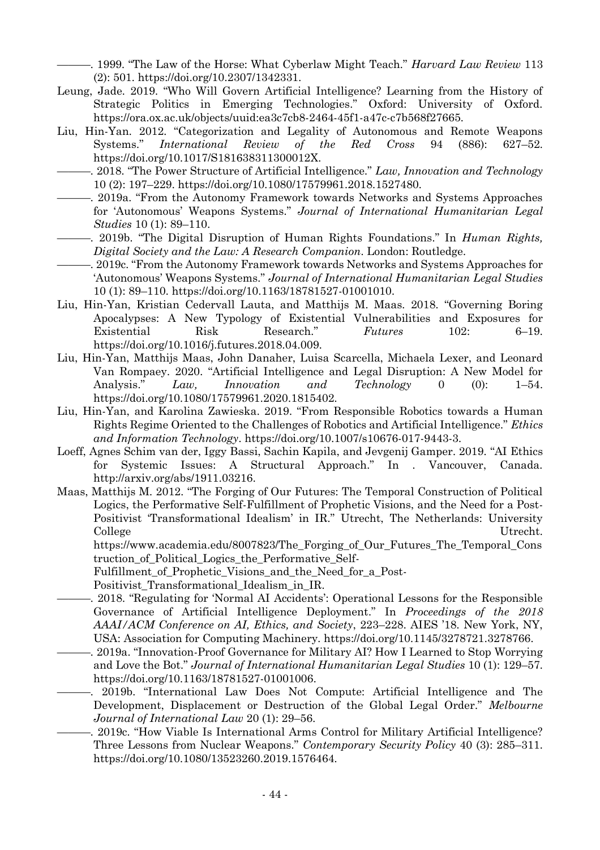———. 1999. "The Law of the Horse: What Cyberlaw Might Teach." *Harvard Law Review* 113 (2): 501. https://doi.org/10.2307/1342331.

- Leung, Jade. 2019. "Who Will Govern Artificial Intelligence? Learning from the History of Strategic Politics in Emerging Technologies." Oxford: University of Oxford. https://ora.ox.ac.uk/objects/uuid:ea3c7cb8-2464-45f1-a47c-c7b568f27665.
- Liu, Hin-Yan. 2012. "Categorization and Legality of Autonomous and Remote Weapons Systems." *International Review of the Red Cross* 94 (886): 627–52. https://doi.org/10.1017/S181638311300012X.
- ———. 2018. "The Power Structure of Artificial Intelligence." *Law, Innovation and Technology* 10 (2): 197–229. https://doi.org/10.1080/17579961.2018.1527480.
- -. 2019a. "From the Autonomy Framework towards Networks and Systems Approaches for 'Autonomous' Weapons Systems." *Journal of International Humanitarian Legal Studies* 10 (1): 89–110.
- ———. 2019b. "The Digital Disruption of Human Rights Foundations." In *Human Rights, Digital Society and the Law: A Research Companion*. London: Routledge.
- ———. 2019c. "From the Autonomy Framework towards Networks and Systems Approaches for 'Autonomous' Weapons Systems." *Journal of International Humanitarian Legal Studies* 10 (1): 89–110. https://doi.org/10.1163/18781527-01001010.
- Liu, Hin-Yan, Kristian Cedervall Lauta, and Matthijs M. Maas. 2018. "Governing Boring Apocalypses: A New Typology of Existential Vulnerabilities and Exposures for Existential Risk Research." *Futures* 102: 6–19. https://doi.org/10.1016/j.futures.2018.04.009.
- Liu, Hin-Yan, Matthijs Maas, John Danaher, Luisa Scarcella, Michaela Lexer, and Leonard Van Rompaey. 2020. "Artificial Intelligence and Legal Disruption: A New Model for Analysis." *Law, Innovation and Technology* 0 (0): 1–54. https://doi.org/10.1080/17579961.2020.1815402.
- Liu, Hin-Yan, and Karolina Zawieska. 2019. "From Responsible Robotics towards a Human Rights Regime Oriented to the Challenges of Robotics and Artificial Intelligence." *Ethics and Information Technology*. https://doi.org/10.1007/s10676-017-9443-3.
- Loeff, Agnes Schim van der, Iggy Bassi, Sachin Kapila, and Jevgenij Gamper. 2019. "AI Ethics for Systemic Issues: A Structural Approach." In . Vancouver, Canada. http://arxiv.org/abs/1911.03216.
- Maas, Matthijs M. 2012. "The Forging of Our Futures: The Temporal Construction of Political Logics, the Performative Self-Fulfillment of Prophetic Visions, and the Need for a Post-Positivist 'Transformational Idealism' in IR." Utrecht, The Netherlands: University College Utrecht.

https://www.academia.edu/8007823/The\_Forging\_of\_Our\_Futures\_The\_Temporal\_Cons truction\_of\_Political\_Logics\_the\_Performative\_Self-

Fulfillment\_of\_Prophetic\_Visions\_and\_the\_Need\_for\_a\_Post-

Positivist\_Transformational\_Idealism\_in\_IR.

- -. 2018. "Regulating for 'Normal AI Accidents': Operational Lessons for the Responsible Governance of Artificial Intelligence Deployment." In *Proceedings of the 2018 AAAI/ACM Conference on AI, Ethics, and Society*, 223–228. AIES '18. New York, NY, USA: Association for Computing Machinery. https://doi.org/10.1145/3278721.3278766.
- ———. 2019a. "Innovation-Proof Governance for Military AI? How I Learned to Stop Worrying and Love the Bot." *Journal of International Humanitarian Legal Studies* 10 (1): 129–57. https://doi.org/10.1163/18781527-01001006.

———. 2019b. "International Law Does Not Compute: Artificial Intelligence and The Development, Displacement or Destruction of the Global Legal Order." *Melbourne Journal of International Law* 20 (1): 29–56.

-. 2019c. "How Viable Is International Arms Control for Military Artificial Intelligence? Three Lessons from Nuclear Weapons." *Contemporary Security Policy* 40 (3): 285–311. https://doi.org/10.1080/13523260.2019.1576464.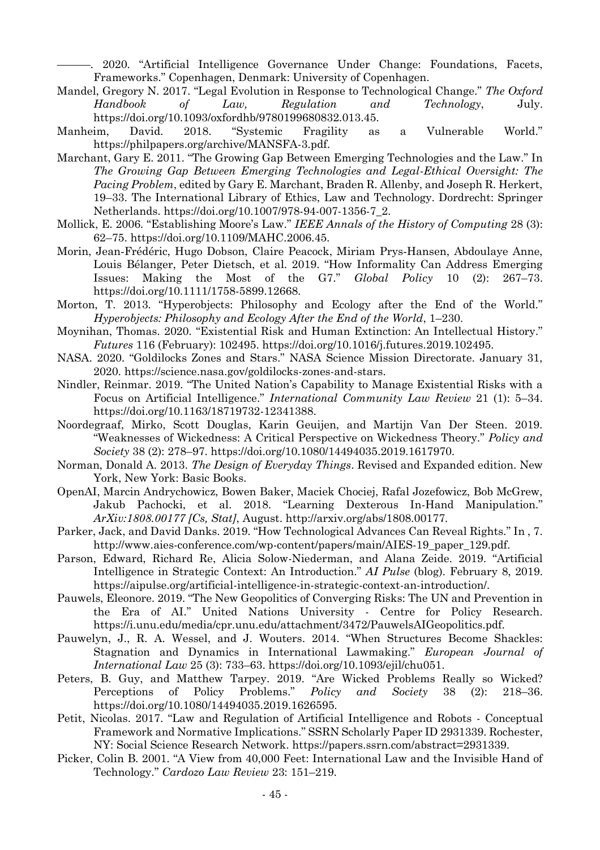———. 2020. "Artificial Intelligence Governance Under Change: Foundations, Facets, Frameworks." Copenhagen, Denmark: University of Copenhagen.

- Mandel, Gregory N. 2017. "Legal Evolution in Response to Technological Change." *The Oxford Handbook of Law, Regulation and Technology*, July. https://doi.org/10.1093/oxfordhb/9780199680832.013.45.
- Manheim, David. 2018. "Systemic Fragility as a Vulnerable World." https://philpapers.org/archive/MANSFA-3.pdf.
- Marchant, Gary E. 2011. "The Growing Gap Between Emerging Technologies and the Law." In *The Growing Gap Between Emerging Technologies and Legal-Ethical Oversight: The Pacing Problem*, edited by Gary E. Marchant, Braden R. Allenby, and Joseph R. Herkert, 19–33. The International Library of Ethics, Law and Technology. Dordrecht: Springer Netherlands. https://doi.org/10.1007/978-94-007-1356-7\_2.
- Mollick, E. 2006. "Establishing Moore's Law." *IEEE Annals of the History of Computing* 28 (3): 62–75. https://doi.org/10.1109/MAHC.2006.45.
- Morin, Jean‐Frédéric, Hugo Dobson, Claire Peacock, Miriam Prys‐Hansen, Abdoulaye Anne, Louis Bélanger, Peter Dietsch, et al. 2019. "How Informality Can Address Emerging Issues: Making the Most of the G7." *Global Policy* 10 (2): 267–73. https://doi.org/10.1111/1758-5899.12668.
- Morton, T. 2013. "Hyperobjects: Philosophy and Ecology after the End of the World." *Hyperobjects: Philosophy and Ecology After the End of the World*, 1–230.
- Moynihan, Thomas. 2020. "Existential Risk and Human Extinction: An Intellectual History." *Futures* 116 (February): 102495. https://doi.org/10.1016/j.futures.2019.102495.
- NASA. 2020. "Goldilocks Zones and Stars." NASA Science Mission Directorate. January 31, 2020. https://science.nasa.gov/goldilocks-zones-and-stars.
- Nindler, Reinmar. 2019. "The United Nation's Capability to Manage Existential Risks with a Focus on Artificial Intelligence." *International Community Law Review* 21 (1): 5–34. https://doi.org/10.1163/18719732-12341388.
- Noordegraaf, Mirko, Scott Douglas, Karin Geuijen, and Martijn Van Der Steen. 2019. "Weaknesses of Wickedness: A Critical Perspective on Wickedness Theory." *Policy and Society* 38 (2): 278–97. https://doi.org/10.1080/14494035.2019.1617970.
- Norman, Donald A. 2013. *The Design of Everyday Things*. Revised and Expanded edition. New York, New York: Basic Books.
- OpenAI, Marcin Andrychowicz, Bowen Baker, Maciek Chociej, Rafal Jozefowicz, Bob McGrew, Jakub Pachocki, et al. 2018. "Learning Dexterous In-Hand Manipulation." *ArXiv:1808.00177 [Cs, Stat]*, August. http://arxiv.org/abs/1808.00177.
- Parker, Jack, and David Danks. 2019. "How Technological Advances Can Reveal Rights." In , 7. http://www.aies-conference.com/wp-content/papers/main/AIES-19\_paper\_129.pdf.
- Parson, Edward, Richard Re, Alicia Solow-Niederman, and Alana Zeide. 2019. "Artificial Intelligence in Strategic Context: An Introduction." *AI Pulse* (blog). February 8, 2019. https://aipulse.org/artificial-intelligence-in-strategic-context-an-introduction/.
- Pauwels, Eleonore. 2019. "The New Geopolitics of Converging Risks: The UN and Prevention in the Era of AI." United Nations University - Centre for Policy Research. https://i.unu.edu/media/cpr.unu.edu/attachment/3472/PauwelsAIGeopolitics.pdf.
- Pauwelyn, J., R. A. Wessel, and J. Wouters. 2014. "When Structures Become Shackles: Stagnation and Dynamics in International Lawmaking." *European Journal of International Law* 25 (3): 733–63. https://doi.org/10.1093/ejil/chu051.
- Peters, B. Guy, and Matthew Tarpey. 2019. "Are Wicked Problems Really so Wicked? Perceptions of Policy Problems." *Policy and Society* 38 (2): 218–36. https://doi.org/10.1080/14494035.2019.1626595.
- Petit, Nicolas. 2017. "Law and Regulation of Artificial Intelligence and Robots Conceptual Framework and Normative Implications." SSRN Scholarly Paper ID 2931339. Rochester, NY: Social Science Research Network. https://papers.ssrn.com/abstract=2931339.
- Picker, Colin B. 2001. "A View from 40,000 Feet: International Law and the Invisible Hand of Technology." *Cardozo Law Review* 23: 151–219.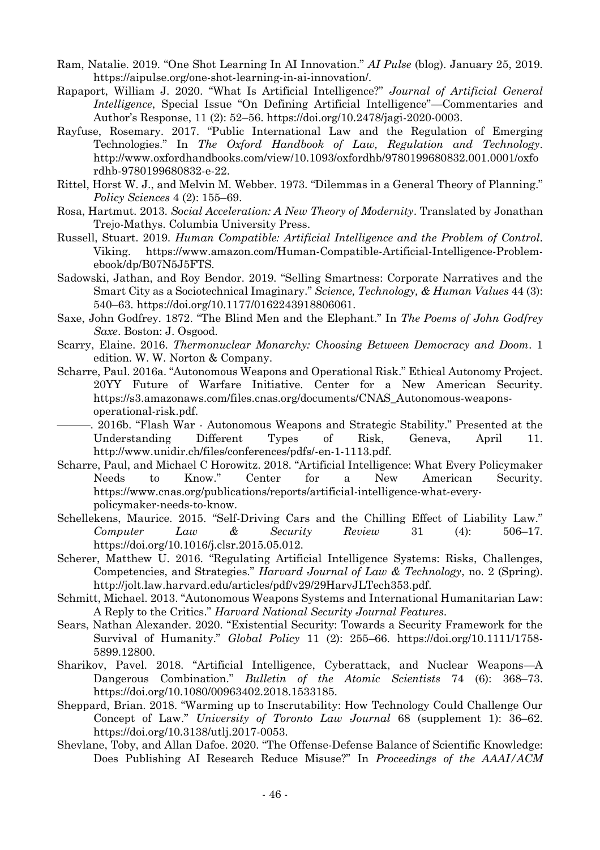- Ram, Natalie. 2019. "One Shot Learning In AI Innovation." *AI Pulse* (blog). January 25, 2019. https://aipulse.org/one-shot-learning-in-ai-innovation/.
- Rapaport, William J. 2020. "What Is Artificial Intelligence?" *Journal of Artificial General Intelligence*, Special Issue "On Defining Artificial Intelligence"—Commentaries and Author's Response, 11 (2): 52–56. https://doi.org/10.2478/jagi-2020-0003.
- Rayfuse, Rosemary. 2017. "Public International Law and the Regulation of Emerging Technologies." In *The Oxford Handbook of Law, Regulation and Technology*. http://www.oxfordhandbooks.com/view/10.1093/oxfordhb/9780199680832.001.0001/oxfo rdhb-9780199680832-e-22.
- Rittel, Horst W. J., and Melvin M. Webber. 1973. "Dilemmas in a General Theory of Planning." *Policy Sciences* 4 (2): 155–69.
- Rosa, Hartmut. 2013. *Social Acceleration: A New Theory of Modernity*. Translated by Jonathan Trejo-Mathys. Columbia University Press.
- Russell, Stuart. 2019. *Human Compatible: Artificial Intelligence and the Problem of Control*. Viking. https://www.amazon.com/Human-Compatible-Artificial-Intelligence-Problemebook/dp/B07N5J5FTS.
- Sadowski, Jathan, and Roy Bendor. 2019. "Selling Smartness: Corporate Narratives and the Smart City as a Sociotechnical Imaginary." *Science, Technology, & Human Values* 44 (3): 540–63. https://doi.org/10.1177/0162243918806061.
- Saxe, John Godfrey. 1872. "The Blind Men and the Elephant." In *The Poems of John Godfrey Saxe*. Boston: J. Osgood.
- Scarry, Elaine. 2016. *Thermonuclear Monarchy: Choosing Between Democracy and Doom*. 1 edition. W. W. Norton & Company.
- Scharre, Paul. 2016a. "Autonomous Weapons and Operational Risk." Ethical Autonomy Project. 20YY Future of Warfare Initiative. Center for a New American Security. https://s3.amazonaws.com/files.cnas.org/documents/CNAS\_Autonomous-weaponsoperational-risk.pdf.
- -. 2016b. "Flash War Autonomous Weapons and Strategic Stability." Presented at the Understanding Different Types of Risk, Geneva, April 11. http://www.unidir.ch/files/conferences/pdfs/-en-1-1113.pdf.
- Scharre, Paul, and Michael C Horowitz. 2018. "Artificial Intelligence: What Every Policymaker Needs to Know." Center for a New American Security. https://www.cnas.org/publications/reports/artificial-intelligence-what-everypolicymaker-needs-to-know.
- Schellekens, Maurice. 2015. "Self-Driving Cars and the Chilling Effect of Liability Law." *Computer Law & Security Review* 31 (4): 506–17. https://doi.org/10.1016/j.clsr.2015.05.012.
- Scherer, Matthew U. 2016. "Regulating Artificial Intelligence Systems: Risks, Challenges, Competencies, and Strategies." *Harvard Journal of Law & Technology*, no. 2 (Spring). http://jolt.law.harvard.edu/articles/pdf/v29/29HarvJLTech353.pdf.
- Schmitt, Michael. 2013. "Autonomous Weapons Systems and International Humanitarian Law: A Reply to the Critics." *Harvard National Security Journal Features*.
- Sears, Nathan Alexander. 2020. "Existential Security: Towards a Security Framework for the Survival of Humanity." *Global Policy* 11 (2): 255–66. https://doi.org/10.1111/1758- 5899.12800.
- Sharikov, Pavel. 2018. "Artificial Intelligence, Cyberattack, and Nuclear Weapons—A Dangerous Combination." *Bulletin of the Atomic Scientists* 74 (6): 368–73. https://doi.org/10.1080/00963402.2018.1533185.
- Sheppard, Brian. 2018. "Warming up to Inscrutability: How Technology Could Challenge Our Concept of Law." *University of Toronto Law Journal* 68 (supplement 1): 36–62. https://doi.org/10.3138/utlj.2017-0053.
- Shevlane, Toby, and Allan Dafoe. 2020. "The Offense-Defense Balance of Scientific Knowledge: Does Publishing AI Research Reduce Misuse?" In *Proceedings of the AAAI/ACM*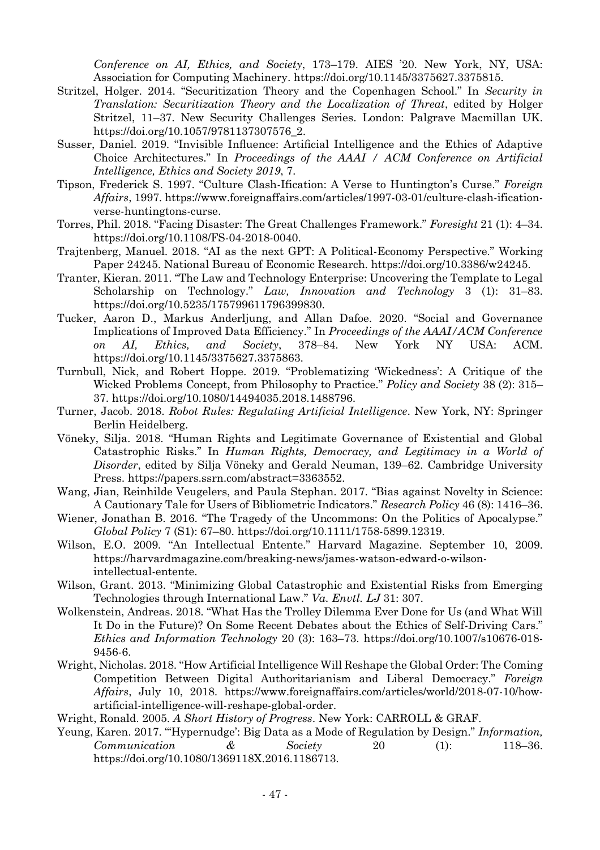*Conference on AI, Ethics, and Society*, 173–179. AIES '20. New York, NY, USA: Association for Computing Machinery. https://doi.org/10.1145/3375627.3375815.

- Stritzel, Holger. 2014. "Securitization Theory and the Copenhagen School." In *Security in Translation: Securitization Theory and the Localization of Threat*, edited by Holger Stritzel, 11–37. New Security Challenges Series. London: Palgrave Macmillan UK. https://doi.org/10.1057/9781137307576\_2.
- Susser, Daniel. 2019. "Invisible Influence: Artificial Intelligence and the Ethics of Adaptive Choice Architectures." In *Proceedings of the AAAI / ACM Conference on Artificial Intelligence, Ethics and Society 2019*, 7.
- Tipson, Frederick S. 1997. "Culture Clash-Ification: A Verse to Huntington's Curse." *Foreign Affairs*, 1997. https://www.foreignaffairs.com/articles/1997-03-01/culture-clash-ificationverse-huntingtons-curse.
- Torres, Phil. 2018. "Facing Disaster: The Great Challenges Framework." *Foresight* 21 (1): 4–34. https://doi.org/10.1108/FS-04-2018-0040.
- Trajtenberg, Manuel. 2018. "AI as the next GPT: A Political-Economy Perspective." Working Paper 24245. National Bureau of Economic Research. https://doi.org/10.3386/w24245.
- Tranter, Kieran. 2011. "The Law and Technology Enterprise: Uncovering the Template to Legal Scholarship on Technology." *Law, Innovation and Technology* 3 (1): 31–83. https://doi.org/10.5235/175799611796399830.
- Tucker, Aaron D., Markus Anderljung, and Allan Dafoe. 2020. "Social and Governance Implications of Improved Data Efficiency." In *Proceedings of the AAAI/ACM Conference on AI, Ethics, and Society*, 378–84. New York NY USA: ACM. https://doi.org/10.1145/3375627.3375863.
- Turnbull, Nick, and Robert Hoppe. 2019. "Problematizing 'Wickedness': A Critique of the Wicked Problems Concept, from Philosophy to Practice." *Policy and Society* 38 (2): 315– 37. https://doi.org/10.1080/14494035.2018.1488796.
- Turner, Jacob. 2018. *Robot Rules: Regulating Artificial Intelligence*. New York, NY: Springer Berlin Heidelberg.
- Vöneky, Silja. 2018. "Human Rights and Legitimate Governance of Existential and Global Catastrophic Risks." In *Human Rights, Democracy, and Legitimacy in a World of Disorder*, edited by Silja Vöneky and Gerald Neuman, 139–62. Cambridge University Press. https://papers.ssrn.com/abstract=3363552.
- Wang, Jian, Reinhilde Veugelers, and Paula Stephan. 2017. "Bias against Novelty in Science: A Cautionary Tale for Users of Bibliometric Indicators." *Research Policy* 46 (8): 1416–36.
- Wiener, Jonathan B. 2016. "The Tragedy of the Uncommons: On the Politics of Apocalypse." *Global Policy* 7 (S1): 67–80. https://doi.org/10.1111/1758-5899.12319.
- Wilson, E.O. 2009. "An Intellectual Entente." Harvard Magazine. September 10, 2009. https://harvardmagazine.com/breaking-news/james-watson-edward-o-wilsonintellectual-entente.
- Wilson, Grant. 2013. "Minimizing Global Catastrophic and Existential Risks from Emerging Technologies through International Law." *Va. Envtl. LJ* 31: 307.
- Wolkenstein, Andreas. 2018. "What Has the Trolley Dilemma Ever Done for Us (and What Will It Do in the Future)? On Some Recent Debates about the Ethics of Self-Driving Cars." *Ethics and Information Technology* 20 (3): 163–73. https://doi.org/10.1007/s10676-018- 9456-6.
- Wright, Nicholas. 2018. "How Artificial Intelligence Will Reshape the Global Order: The Coming Competition Between Digital Authoritarianism and Liberal Democracy." *Foreign Affairs*, July 10, 2018. https://www.foreignaffairs.com/articles/world/2018-07-10/howartificial-intelligence-will-reshape-global-order.
- Wright, Ronald. 2005. *A Short History of Progress*. New York: CARROLL & GRAF.
- Yeung, Karen. 2017. "'Hypernudge': Big Data as a Mode of Regulation by Design." *Information, Communication & Society* 20 (1): 118–36. https://doi.org/10.1080/1369118X.2016.1186713.